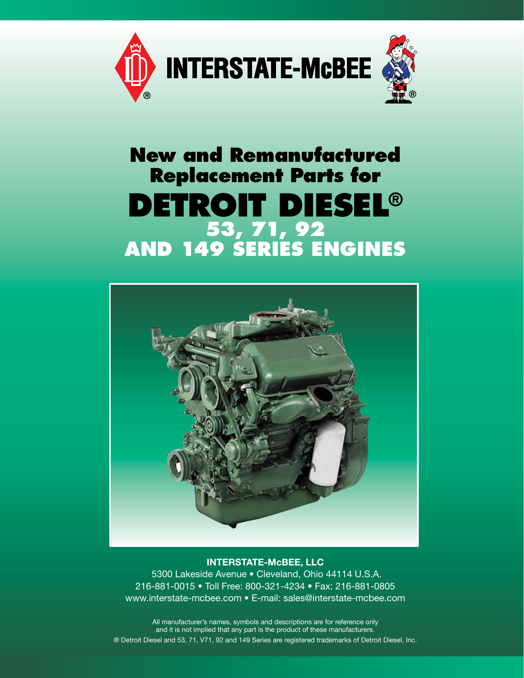

## **New and Remanufactured Replacement Parts for Detroit Diesel® 53, 71, 92 AND 149 SERIES ENGINE**



#### INTERSTATE-McBEE, LLC

 5300 Lakeside Avenue • Cleveland, Ohio 44114 U.S.A. 216-881-0015 • Toll Free: 800-321-4234 • Fax: 216-881-0805 www.interstate-mcbee.com • E-mail: sales@interstate-mcbee.com

All manufacturer's names, symbols and descriptions are for reference only and it is not implied that any part is the product of these manufacturers. ® Detroit Diesel and 53, 71, V71, 92 and 149 Series are registered trademarks of Detroit Diesel, Inc.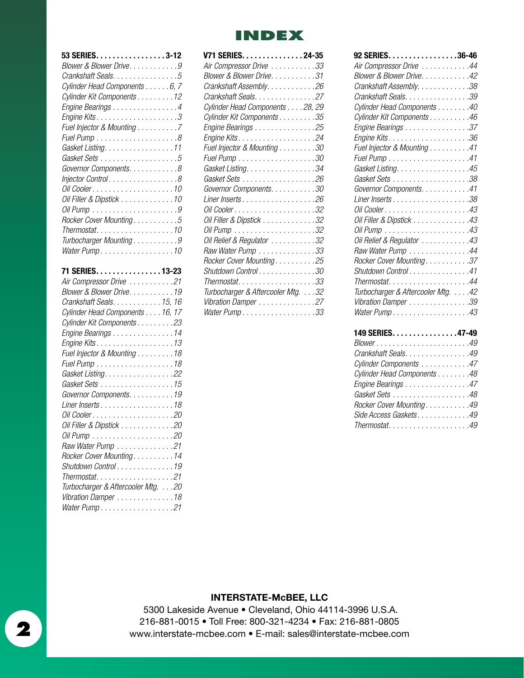## **INDEX**

| 53 SERIES. 3-12                     |
|-------------------------------------|
| Blower & Blower Drive. 9            |
| Crankshaft Seals. 5                 |
| Cylinder Head Components 6, 7       |
| Cylinder Kit Components 12          |
| Engine Bearings 4                   |
|                                     |
| Fuel Injector & Mounting 7          |
|                                     |
| Gasket Listing. 11                  |
|                                     |
| Governor Components. 8              |
| Injector Control8                   |
|                                     |
| Oil Filler & Dipstick 10            |
|                                     |
| Rocker Cover Mounting. 5            |
| Thermostat10                        |
| Turbocharger Mounting9              |
| Water Pump10                        |
|                                     |
| 71 SERIES. 13-23                    |
|                                     |
| Air Compressor Drive 21             |
| Blower & Blower Drive. 19           |
| Crankshaft Seals. 15, 16            |
| Cylinder Head Components 16, 17     |
| Cylinder Kit Components 23          |
| Engine Bearings 14                  |
|                                     |
| Fuel Injector & Mounting 18         |
| Fuel Pump 18                        |
| Gasket Listing. 22                  |
| Gasket Sets 15                      |
| Governor Components. 19             |
| Liner Inserts 18                    |
|                                     |
| Oil Filler & Dipstick 20            |
|                                     |
| Raw Water Pump 21                   |
| Rocker Cover Mounting. 14           |
| Shutdown Control19                  |
| Thermostat21                        |
| Turbocharger & Aftercooler Mtg. 20  |
| Vibration Damper 18<br>Water Pump21 |

| V71 SERIES. 24-35                                          |  |
|------------------------------------------------------------|--|
| Air Compressor Drive 33                                    |  |
| Blower & Blower Drive. 31                                  |  |
| Crankshaft Assembly. 26                                    |  |
| Crankshaft Seals. 27                                       |  |
| Cylinder Head Components 28, 29                            |  |
| Cylinder Kit Components 35                                 |  |
| Engine Bearings 25                                         |  |
|                                                            |  |
| Fuel Injector & Mounting 30                                |  |
| Fuel Pump 30                                               |  |
| Gasket Listing. 34                                         |  |
| Gasket Sets 26                                             |  |
| Governor Components. 30                                    |  |
| Liner Inserts 26                                           |  |
|                                                            |  |
| Oil Filler & Dipstick 32                                   |  |
|                                                            |  |
| Oil Relief & Regulator 32                                  |  |
| Raw Water Pump 33                                          |  |
| Rocker Cover Mounting. 25                                  |  |
| Shutdown Control 30                                        |  |
| $Thermostat. \ldots \ldots \ldots \ldots \ldots \ldots 33$ |  |
| Turbocharger & Aftercooler Mtg. 32                         |  |
| Vibration Damper 27                                        |  |
| Water Pump 33                                              |  |

| Air Compressor Drive 44            |
|------------------------------------|
|                                    |
| Blower & Blower Drive. 42          |
| Crankshaft Assembly. 38            |
| Crankshaft Seals. 39               |
| Cylinder Head Components 40        |
| Cylinder Kit Components 46         |
| Engine Bearings 37                 |
|                                    |
| Fuel Injector & Mounting 41        |
|                                    |
| Gasket Listing. 45                 |
| Gasket Sets 38                     |
| Governor Components. 41            |
| Liner Inserts 38                   |
|                                    |
| Oil Filler & Dipstick 43           |
|                                    |
| Oil Relief & Regulator 43          |
| Raw Water Pump 44                  |
| Rocker Cover Mounting37            |
| Shutdown Control 41                |
|                                    |
| Turbocharger & Aftercooler Mtg. 42 |
| Vibration Damper 39                |
| Water Pump 43                      |
|                                    |

| 149 SERIES. 47-49           |
|-----------------------------|
| $B$ lower49                 |
| Crankshaft Seals. 49        |
| Cylinder Components 47      |
| Cylinder Head Components 48 |
| Engine Bearings 47          |
| Gasket Sets 48              |
| Rocker Cover Mounting49     |
| Side Access Gaskets49       |
| Thermostat49                |

#### INTERSTATE-McBEE, LLC

www.interstate-mcbee.com • E-mail: sales@interstate-mcbee.com 5300 Lakeside Avenue • Cleveland, Ohio 44114-3996 U.S.A. 216-881-0015 • Toll Free: 800-321-4234 • Fax: 216-881-0805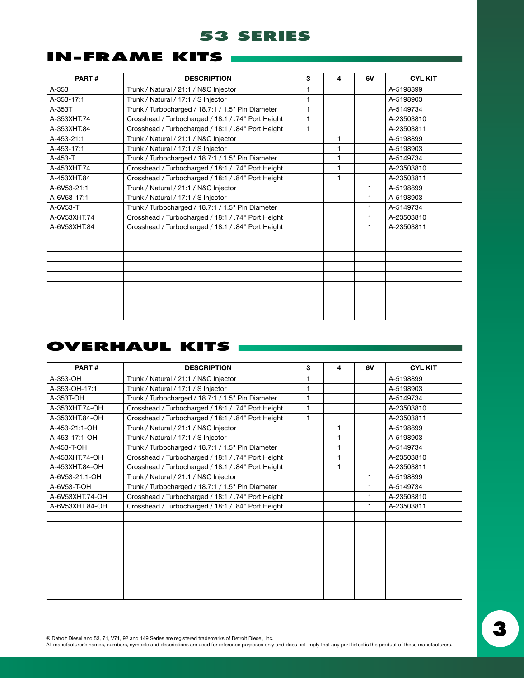## **in-frame kits**

| PART#         | <b>DESCRIPTION</b>                                 | 3 | 4 | 6V | <b>CYL KIT</b> |
|---------------|----------------------------------------------------|---|---|----|----------------|
| $A - 353$     | Trunk / Natural / 21:1 / N&C Injector              | 1 |   |    | A-5198899      |
| A-353-17:1    | Trunk / Natural / 17:1 / S Injector                | 1 |   |    | A-5198903      |
| $A-353T$      | Trunk / Turbocharged / 18.7:1 / 1.5" Pin Diameter  | 1 |   |    | A-5149734      |
| A-353XHT.74   | Crosshead / Turbocharged / 18:1 / .74" Port Height | 1 |   |    | A-23503810     |
| A-353XHT.84   | Crosshead / Turbocharged / 18:1 / .84" Port Height | 1 |   |    | A-23503811     |
| A-453-21:1    | Trunk / Natural / 21:1 / N&C Injector              |   | 1 |    | A-5198899      |
| A-453-17:1    | Trunk / Natural / 17:1 / S Injector                |   | 1 |    | A-5198903      |
| $A - 453 - T$ | Trunk / Turbocharged / 18.7:1 / 1.5" Pin Diameter  |   | 1 |    | A-5149734      |
| A-453XHT.74   | Crosshead / Turbocharged / 18:1 / .74" Port Height |   | 1 |    | A-23503810     |
| A-453XHT.84   | Crosshead / Turbocharged / 18:1 / .84" Port Height |   | 1 |    | A-23503811     |
| A-6V53-21:1   | Trunk / Natural / 21:1 / N&C Injector              |   |   | 1  | A-5198899      |
| A-6V53-17:1   | Trunk / Natural / 17:1 / S Injector                |   |   | 1  | A-5198903      |
| A-6V53-T      | Trunk / Turbocharged / 18.7:1 / 1.5" Pin Diameter  |   |   | 1  | A-5149734      |
| A-6V53XHT.74  | Crosshead / Turbocharged / 18:1 / .74" Port Height |   |   | 1  | A-23503810     |
| A-6V53XHT.84  | Crosshead / Turbocharged / 18:1 / .84" Port Height |   |   | 1  | A-23503811     |
|               |                                                    |   |   |    |                |
|               |                                                    |   |   |    |                |
|               |                                                    |   |   |    |                |
|               |                                                    |   |   |    |                |
|               |                                                    |   |   |    |                |
|               |                                                    |   |   |    |                |
|               |                                                    |   |   |    |                |
|               |                                                    |   |   |    |                |
|               |                                                    |   |   |    |                |

## **overhaul kits**

| PART#           | <b>DESCRIPTION</b>                                 | 3 | 4            | 6V | <b>CYL KIT</b> |
|-----------------|----------------------------------------------------|---|--------------|----|----------------|
| A-353-OH        | Trunk / Natural / 21:1 / N&C Injector              |   |              |    | A-5198899      |
| A-353-OH-17:1   | Trunk / Natural / 17:1 / S Injector                | 1 |              |    | A-5198903      |
| A-353T-OH       | Trunk / Turbocharged / 18.7:1 / 1.5" Pin Diameter  | 1 |              |    | A-5149734      |
| A-353XHT.74-OH  | Crosshead / Turbocharged / 18:1 / .74" Port Height | 1 |              |    | A-23503810     |
| A-353XHT.84-OH  | Crosshead / Turbocharged / 18:1 / .84" Port Height | 1 |              |    | A-23503811     |
| A-453-21:1-OH   | Trunk / Natural / 21:1 / N&C Injector              |   | 1            |    | A-5198899      |
| A-453-17:1-OH   | Trunk / Natural / 17:1 / S Injector                |   | 1            |    | A-5198903      |
| A-453-T-OH      | Trunk / Turbocharged / 18.7:1 / 1.5" Pin Diameter  |   | 1            |    | A-5149734      |
| A-453XHT.74-OH  | Crosshead / Turbocharged / 18:1 / .74" Port Height |   | $\mathbf{1}$ |    | A-23503810     |
| A-453XHT.84-OH  | Crosshead / Turbocharged / 18:1 / .84" Port Height |   | 1            |    | A-23503811     |
| A-6V53-21:1-OH  | Trunk / Natural / 21:1 / N&C Injector              |   |              | 1  | A-5198899      |
| A-6V53-T-OH     | Trunk / Turbocharged / 18.7:1 / 1.5" Pin Diameter  |   |              | 1  | A-5149734      |
| A-6V53XHT.74-OH | Crosshead / Turbocharged / 18:1 / .74" Port Height |   |              | 1  | A-23503810     |
| A-6V53XHT.84-OH | Crosshead / Turbocharged / 18:1 / .84" Port Height |   |              | 1  | A-23503811     |
|                 |                                                    |   |              |    |                |
|                 |                                                    |   |              |    |                |
|                 |                                                    |   |              |    |                |
|                 |                                                    |   |              |    |                |
|                 |                                                    |   |              |    |                |
|                 |                                                    |   |              |    |                |
|                 |                                                    |   |              |    |                |
|                 |                                                    |   |              |    |                |
|                 |                                                    |   |              |    |                |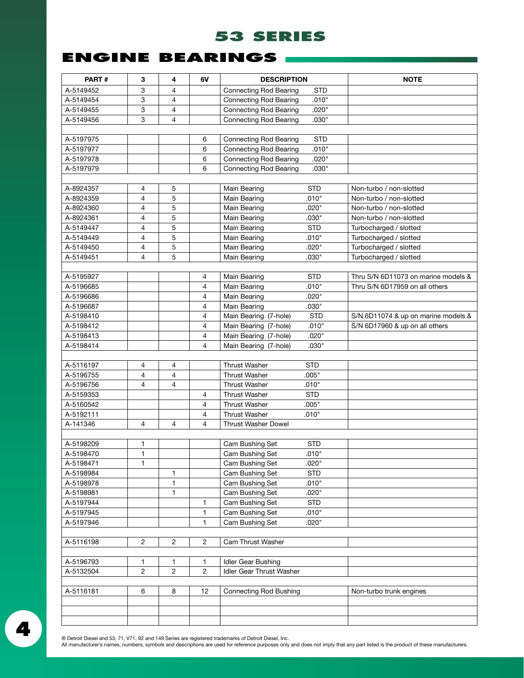## **engine bearings**

| PART#     | 3              | 4              | 6V             | <b>DESCRIPTION</b>                          | <b>NOTE</b>                         |
|-----------|----------------|----------------|----------------|---------------------------------------------|-------------------------------------|
| A-5149452 | 3              | 4              |                | <b>Connecting Rod Bearing</b><br><b>STD</b> |                                     |
| A-5149454 | 3              | 4              |                | .010"<br><b>Connecting Rod Bearing</b>      |                                     |
| A-5149455 | 3              | 4              |                | <b>Connecting Rod Bearing</b><br>.020"      |                                     |
| A-5149456 | 3              | 4              |                | <b>Connecting Rod Bearing</b><br>.030"      |                                     |
|           |                |                |                |                                             |                                     |
| A-5197975 |                |                | 6              | <b>Connecting Rod Bearing</b><br><b>STD</b> |                                     |
| A-5197977 |                |                | 6              | .010"<br><b>Connecting Rod Bearing</b>      |                                     |
| A-5197978 |                |                | 6              | <b>Connecting Rod Bearing</b><br>.020"      |                                     |
| A-5197979 |                |                | 6              | <b>Connecting Rod Bearing</b><br>.030"      |                                     |
|           |                |                |                |                                             |                                     |
| A-8924357 | 4              | 5              |                | <b>STD</b><br>Main Bearing                  | Non-turbo / non-slotted             |
| A-8924359 | 4              | 5              |                | Main Bearing<br>.010"                       | Non-turbo / non-slotted             |
| A-8924360 | 4              | 5              |                | Main Bearing<br>.020"                       | Non-turbo / non-slotted             |
| A-8924361 | 4              | 5              |                | .030"<br>Main Bearing                       | Non-turbo / non-slotted             |
| A-5149447 | 4              | 5              |                | <b>STD</b><br>Main Bearing                  | Turbocharged / slotted              |
| A-5149449 | 4              | 5              |                | Main Bearing<br>.010"                       | Turbocharged / slotted              |
| A-5149450 | 4              | 5              |                | .020"<br>Main Bearing                       | Turbocharged / slotted              |
| A-5149451 | $\overline{4}$ | 5              |                | .030"<br>Main Bearing                       | Turbocharged / slotted              |
|           |                |                |                |                                             |                                     |
| A-5195927 |                |                | 4              | <b>STD</b><br>Main Bearing                  | Thru S/N 6D11073 on marine models & |
| A-5196685 |                |                | 4              | .010"<br>Main Bearing                       | Thru S/N 6D17959 on all others      |
| A-5196686 |                |                | 4              | Main Bearing<br>.020"                       |                                     |
| A-5196687 |                |                | 4              | .030"<br>Main Bearing                       |                                     |
| A-5198410 |                |                | 4              | Main Bearing (7-hole)<br><b>STD</b>         | S/N 6D11074 & up on marine models & |
| A-5198412 |                |                | 4              | .010"<br>Main Bearing (7-hole)              | S/N 6D17960 & up on all others      |
| A-5198413 |                |                | $\overline{4}$ | Main Bearing (7-hole)<br>.020"              |                                     |
| A-5198414 |                |                | $\overline{4}$ | .030"<br>Main Bearing (7-hole)              |                                     |
|           |                |                |                |                                             |                                     |
| A-5116197 | 4              | 4              |                | <b>Thrust Washer</b><br><b>STD</b>          |                                     |
| A-5196755 | 4              | 4              |                | .005"<br><b>Thrust Washer</b>               |                                     |
| A-5196756 | 4              | $\overline{4}$ |                | .010"<br><b>Thrust Washer</b>               |                                     |
| A-5159353 |                |                | 4              | <b>Thrust Washer</b><br><b>STD</b>          |                                     |
| A-5160542 |                |                | 4              | .005"<br><b>Thrust Washer</b>               |                                     |
| A-5192111 |                |                | 4              | <b>Thrust Washer</b><br>.010"               |                                     |
| A-141346  | 4              | 4              | 4              | <b>Thrust Washer Dowel</b>                  |                                     |
|           |                |                |                |                                             |                                     |
| A-5198209 | 1              |                |                | Cam Bushing Set<br><b>STD</b>               |                                     |
| A-5198470 | 1              |                |                | .010"<br>Cam Bushing Set                    |                                     |
| A-5198471 | $\mathbf{1}$   |                |                | Cam Bushing Set<br>.020"                    |                                     |
| A-5198984 |                | 1              |                | Cam Bushing Set<br><b>STD</b>               |                                     |
| A-5198978 |                | $\mathbf{1}$   |                | Cam Bushing Set<br>.010"                    |                                     |
| A-5198981 |                | 1              |                | Cam Bushing Set<br>.020"                    |                                     |
| A-5197944 |                |                | 1              | Cam Bushing Set<br><b>STD</b>               |                                     |
| A-5197945 |                |                | 1              | Cam Bushing Set<br>.010"                    |                                     |
| A-5197946 |                |                | $\mathbf{1}$   | Cam Bushing Set<br>.020"                    |                                     |
|           |                |                |                |                                             |                                     |
| A-5116198 | 2              | $\overline{2}$ | $\overline{2}$ | Cam Thrust Washer                           |                                     |
|           |                |                |                |                                             |                                     |
| A-5196793 | 1              | 1              | 1              | Idler Gear Bushing                          |                                     |
| A-5132504 | $\overline{c}$ | 2              | $\overline{c}$ | Idler Gear Thrust Washer                    |                                     |
|           |                |                |                |                                             |                                     |
| A-5116181 | 6              | 8              | 12             | <b>Connecting Rod Bushing</b>               | Non-turbo trunk engines             |
|           |                |                |                |                                             |                                     |
|           |                |                |                |                                             |                                     |
|           |                |                |                |                                             |                                     |
|           |                |                |                |                                             |                                     |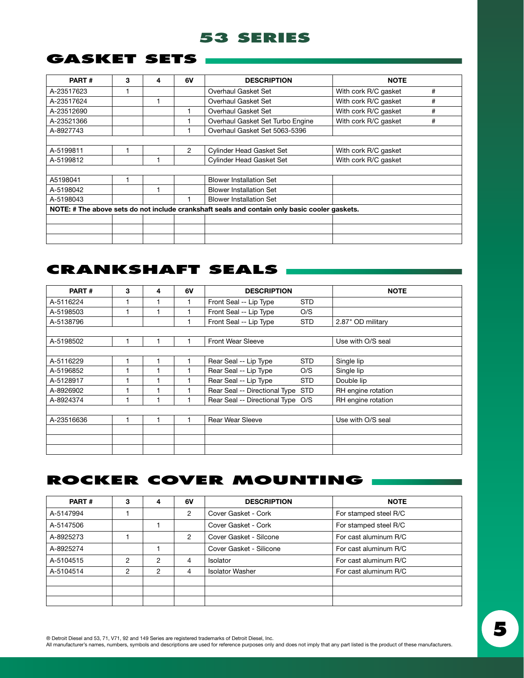## **gasket sets**

| PART#      | 3 | 4 | 6V             | <b>DESCRIPTION</b>                                                                            | <b>NOTE</b>               |
|------------|---|---|----------------|-----------------------------------------------------------------------------------------------|---------------------------|
| A-23517623 |   |   |                | Overhaul Gasket Set                                                                           | #<br>With cork R/C gasket |
| A-23517624 |   |   |                | Overhaul Gasket Set                                                                           | With cork R/C gasket<br># |
| A-23512690 |   |   |                | Overhaul Gasket Set                                                                           | #<br>With cork R/C gasket |
| A-23521366 |   |   |                | Overhaul Gasket Set Turbo Engine                                                              | #<br>With cork R/C gasket |
| A-8927743  |   |   |                | Overhaul Gasket Set 5063-5396                                                                 |                           |
|            |   |   |                |                                                                                               |                           |
| A-5199811  |   |   | $\overline{2}$ | Cylinder Head Gasket Set                                                                      | With cork R/C gasket      |
| A-5199812  |   |   |                | <b>Cylinder Head Gasket Set</b>                                                               | With cork R/C gasket      |
|            |   |   |                |                                                                                               |                           |
| A5198041   | 1 |   |                | <b>Blower Installation Set</b>                                                                |                           |
| A-5198042  |   |   |                | <b>Blower Installation Set</b>                                                                |                           |
| A-5198043  |   |   |                | <b>Blower Installation Set</b>                                                                |                           |
|            |   |   |                | NOTE: # The above sets do not include crankshaft seals and contain only basic cooler gaskets. |                           |
|            |   |   |                |                                                                                               |                           |
|            |   |   |                |                                                                                               |                           |
|            |   |   |                |                                                                                               |                           |

## **crankshaft seals**

| PART#      | 3 | 4 | 6V | <b>DESCRIPTION</b>                |            | <b>NOTE</b>        |
|------------|---|---|----|-----------------------------------|------------|--------------------|
| A-5116224  |   |   |    | Front Seal -- Lip Type            | <b>STD</b> |                    |
| A-5198503  |   |   |    | Front Seal -- Lip Type            | O/S        |                    |
| A-5138796  |   |   |    | Front Seal -- Lip Type            | <b>STD</b> | 2.87" OD military  |
|            |   |   |    |                                   |            |                    |
| A-5198502  | 1 |   |    | <b>Front Wear Sleeve</b>          |            | Use with O/S seal  |
|            |   |   |    |                                   |            |                    |
| A-5116229  |   |   |    | Rear Seal -- Lip Type             | <b>STD</b> | Single lip         |
| A-5196852  |   |   |    | Rear Seal -- Lip Type             | O/S        | Single lip         |
| A-5128917  |   |   |    | Rear Seal -- Lip Type             | <b>STD</b> | Double lip         |
| A-8926902  | 1 |   |    | Rear Seal -- Directional Type STD |            | RH engine rotation |
| A-8924374  |   |   |    | Rear Seal -- Directional Type O/S |            | RH engine rotation |
|            |   |   |    |                                   |            |                    |
| A-23516636 | 1 |   |    | <b>Rear Wear Sleeve</b>           |            | Use with O/S seal  |
|            |   |   |    |                                   |            |                    |
|            |   |   |    |                                   |            |                    |
|            |   |   |    |                                   |            |                    |

## **rocker cover mounting**

| PART#     | 3 | 4 | 6V             | <b>DESCRIPTION</b>      | <b>NOTE</b>           |
|-----------|---|---|----------------|-------------------------|-----------------------|
| A-5147994 |   |   | 2              | Cover Gasket - Cork     | For stamped steel R/C |
| A-5147506 |   |   |                | Cover Gasket - Cork     | For stamped steel R/C |
| A-8925273 |   |   | $\overline{2}$ | Cover Gasket - Silcone  | For cast aluminum R/C |
| A-8925274 |   |   |                | Cover Gasket - Silicone | For cast aluminum R/C |
| A-5104515 | 2 | 2 | 4              | Isolator                | For cast aluminum R/C |
| A-5104514 | 2 | 2 | 4              | <b>Isolator Washer</b>  | For cast aluminum R/C |
|           |   |   |                |                         |                       |
|           |   |   |                |                         |                       |
|           |   |   |                |                         |                       |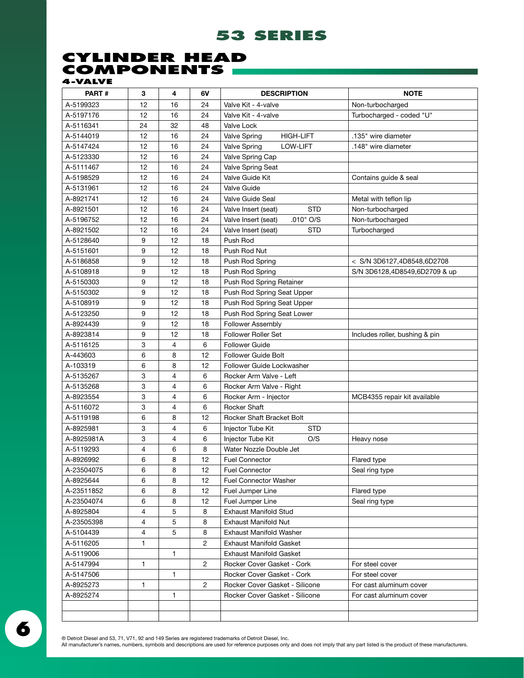## **CYLINDER HEA components 4-valve**

| PART#      | 3            | 4            | 6V             | <b>DESCRIPTION</b>                | <b>NOTE</b>                    |
|------------|--------------|--------------|----------------|-----------------------------------|--------------------------------|
| A-5199323  | 12           | 16           | 24             | Valve Kit - 4-valve               | Non-turbocharged               |
| A-5197176  | 12           | 16           | 24             | Valve Kit - 4-valve               | Turbocharged - coded "U"       |
| A-5116341  | 24           | 32           | 48             | Valve Lock                        |                                |
| A-5144019  | 12           | 16           | 24             | Valve Spring<br><b>HIGH-LIFT</b>  | .135" wire diameter            |
| A-5147424  | 12           | 16           | 24             | LOW-LIFT<br>Valve Spring          | .148" wire diameter            |
| A-5123330  | 12           | 16           | 24             | Valve Spring Cap                  |                                |
| A-5111467  | 12           | 16           | 24             | Valve Spring Seat                 |                                |
| A-5198529  | 12           | 16           | 24             | Valve Guide Kit                   | Contains guide & seal          |
| A-5131961  | 12           | 16           | 24             | Valve Guide                       |                                |
| A-8921741  | 12           | 16           | 24             | Valve Guide Seal                  | Metal with teflon lip          |
| A-8921501  | 12           | 16           | 24             | <b>STD</b><br>Valve Insert (seat) | Non-turbocharged               |
| A-5196752  | 12           | 16           | 24             | .010" O/S<br>Valve Insert (seat)  | Non-turbocharged               |
| A-8921502  | 12           | 16           | 24             | <b>STD</b><br>Valve Insert (seat) | Turbocharged                   |
| A-5128640  | 9            | 12           | 18             | Push Rod                          |                                |
| A-5151601  | 9            | 12           | 18             | Push Rod Nut                      |                                |
| A-5186858  | 9            | 12           | 18             | Push Rod Spring                   | < S/N 3D6127,4D8548,6D2708     |
| A-5108918  | 9            | 12           | 18             | Push Rod Spring                   | S/N 3D6128,4D8549,6D2709 & up  |
| A-5150303  | 9            | 12           | 18             | Push Rod Spring Retainer          |                                |
| A-5150302  | 9            | 12           | 18             | Push Rod Spring Seat Upper        |                                |
| A-5108919  | 9            | 12           | 18             | Push Rod Spring Seat Upper        |                                |
| A-5123250  | 9            | 12           | 18             | Push Rod Spring Seat Lower        |                                |
| A-8924439  | 9            | 12           | 18             | Follower Assembly                 |                                |
| A-8923814  | 9            | 12           | 18             | <b>Follower Roller Set</b>        | Includes roller, bushing & pin |
| A-5116125  | 3            | 4            | 6              | <b>Follower Guide</b>             |                                |
| A-443603   | 6            | 8            | 12             | Follower Guide Bolt               |                                |
| A-103319   | 6            | 8            | 12             | Follower Guide Lockwasher         |                                |
| A-5135267  | 3            | 4            | 6              | Rocker Arm Valve - Left           |                                |
| A-5135268  | 3            | 4            | 6              | Rocker Arm Valve - Right          |                                |
| A-8923554  | 3            | 4            | 6              | Rocker Arm - Injector             | MCB4355 repair kit available   |
| A-5116072  | 3            | 4            | 6              | <b>Rocker Shaft</b>               |                                |
| A-5119198  | 6            | 8            | 12             | Rocker Shaft Bracket Bolt         |                                |
| A-8925981  | 3            | 4            | 6              | <b>STD</b><br>Injector Tube Kit   |                                |
| A-8925981A | 3            | 4            | 6              | Injector Tube Kit<br>O/S          | Heavy nose                     |
| A-5119293  | 4            | 6            | 8              | Water Nozzle Double Jet           |                                |
| A-8926992  | 6            | 8            | 12             | <b>Fuel Connector</b>             | Flared type                    |
| A-23504075 | 6            | 8            | 12             | <b>Fuel Connector</b>             | Seal ring type                 |
| A-8925644  | 6            | 8            | 12             | <b>Fuel Connector Washer</b>      |                                |
| A-23511852 | 6            | 8            | 12             | Fuel Jumper Line                  | Flared type                    |
| A-23504074 | 6            | 8            | 12             | Fuel Jumper Line                  | Seal ring type                 |
| A-8925804  | 4            | 5            | 8              | <b>Exhaust Manifold Stud</b>      |                                |
| A-23505398 | 4            | 5            | 8              | <b>Exhaust Manifold Nut</b>       |                                |
| A-5104439  | 4            | 5            | 8              | <b>Exhaust Manifold Washer</b>    |                                |
| A-5116205  | $\mathbf{1}$ |              | $\overline{2}$ | <b>Exhaust Manifold Gasket</b>    |                                |
| A-5119006  |              | 1            |                | <b>Exhaust Manifold Gasket</b>    |                                |
| A-5147994  | $\mathbf{1}$ |              | $\overline{2}$ | Rocker Cover Gasket - Cork        | For steel cover                |
| A-5147506  |              | 1            |                | Rocker Cover Gasket - Cork        | For steel cover                |
| A-8925273  | 1            |              | $\overline{2}$ | Rocker Cover Gasket - Silicone    | For cast aluminum cover        |
| A-8925274  |              | $\mathbf{1}$ |                | Rocker Cover Gasket - Silicone    | For cast aluminum cover        |
|            |              |              |                |                                   |                                |
|            |              |              |                |                                   |                                |

**6**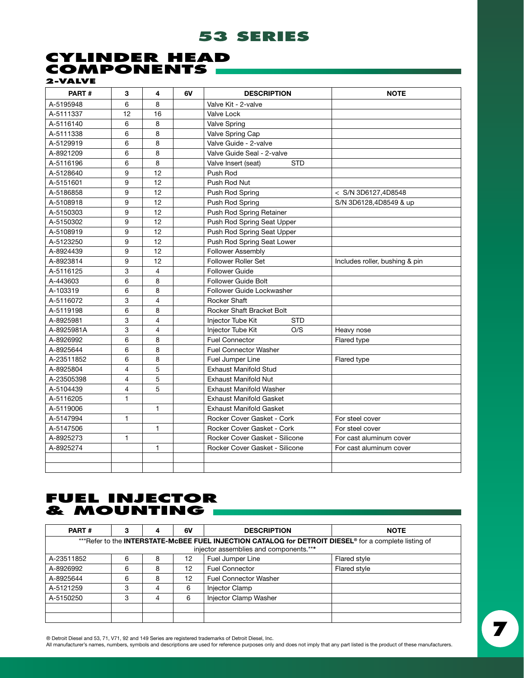## **CYLINDER HEA components**

**2-valve** 

| PART#      | 3              | 4              | 6V | <b>DESCRIPTION</b>                | <b>NOTE</b>                    |
|------------|----------------|----------------|----|-----------------------------------|--------------------------------|
| A-5195948  | 6              | 8              |    | Valve Kit - 2-valve               |                                |
| A-5111337  | 12             | 16             |    | Valve Lock                        |                                |
| A-5116140  | 6              | 8              |    | <b>Valve Spring</b>               |                                |
| A-5111338  | 6              | 8              |    | Valve Spring Cap                  |                                |
| A-5129919  | 6              | 8              |    | Valve Guide - 2-valve             |                                |
| A-8921209  | 6              | 8              |    | Valve Guide Seal - 2-valve        |                                |
| A-5116196  | 6              | 8              |    | <b>STD</b><br>Valve Insert (seat) |                                |
| A-5128640  | 9              | 12             |    | Push Rod                          |                                |
| A-5151601  | 9              | 12             |    | Push Rod Nut                      |                                |
| A-5186858  | 9              | 12             |    | Push Rod Spring                   | < S/N 3D6127,4D8548            |
| A-5108918  | 9              | 12             |    | Push Rod Spring                   | S/N 3D6128,4D8549 & up         |
| A-5150303  | 9              | 12             |    | Push Rod Spring Retainer          |                                |
| A-5150302  | 9              | 12             |    | Push Rod Spring Seat Upper        |                                |
| A-5108919  | 9              | 12             |    | Push Rod Spring Seat Upper        |                                |
| A-5123250  | 9              | 12             |    | Push Rod Spring Seat Lower        |                                |
| A-8924439  | 9              | 12             |    | Follower Assembly                 |                                |
| A-8923814  | 9              | 12             |    | Follower Roller Set               | Includes roller, bushing & pin |
| A-5116125  | 3              | $\overline{4}$ |    | <b>Follower Guide</b>             |                                |
| A-443603   | 6              | 8              |    | <b>Follower Guide Bolt</b>        |                                |
| A-103319   | 6              | 8              |    | Follower Guide Lockwasher         |                                |
| A-5116072  | 3              | $\overline{4}$ |    | Rocker Shaft                      |                                |
| A-5119198  | 6              | 8              |    | Rocker Shaft Bracket Bolt         |                                |
| A-8925981  | 3              | 4              |    | Injector Tube Kit<br><b>STD</b>   |                                |
| A-8925981A | 3              | $\overline{4}$ |    | Injector Tube Kit<br>O/S          | Heavy nose                     |
| A-8926992  | 6              | 8              |    | <b>Fuel Connector</b>             | Flared type                    |
| A-8925644  | 6              | 8              |    | <b>Fuel Connector Washer</b>      |                                |
| A-23511852 | 6              | 8              |    | Fuel Jumper Line                  | Flared type                    |
| A-8925804  | $\overline{4}$ | 5              |    | <b>Exhaust Manifold Stud</b>      |                                |
| A-23505398 | $\overline{4}$ | 5              |    | <b>Exhaust Manifold Nut</b>       |                                |
| A-5104439  | $\overline{4}$ | 5              |    | <b>Exhaust Manifold Washer</b>    |                                |
| A-5116205  | $\mathbf{1}$   |                |    | <b>Exhaust Manifold Gasket</b>    |                                |
| A-5119006  |                | $\mathbf{1}$   |    | <b>Exhaust Manifold Gasket</b>    |                                |
| A-5147994  | $\mathbf{1}$   |                |    | Rocker Cover Gasket - Cork        | For steel cover                |
| A-5147506  |                | $\mathbf{1}$   |    | Rocker Cover Gasket - Cork        | For steel cover                |
| A-8925273  | $\mathbf{1}$   |                |    | Rocker Cover Gasket - Silicone    | For cast aluminum cover        |
| A-8925274  |                | $\mathbf{1}$   |    | Rocker Cover Gasket - Silicone    | For cast aluminum cover        |
|            |                |                |    |                                   |                                |
|            |                |                |    |                                   |                                |

## **fuel injector & mounting**

| PART#                                                                                                                                           | з | 4 | 6V | <b>DESCRIPTION</b>           | <b>NOTE</b>  |  |  |  |  |  |
|-------------------------------------------------------------------------------------------------------------------------------------------------|---|---|----|------------------------------|--------------|--|--|--|--|--|
| ***Refer to the INTERSTATE-McBEE FUEL INJECTION CATALOG for DETROIT DIESEL® for a complete listing of<br>injector assemblies and components.*** |   |   |    |                              |              |  |  |  |  |  |
| A-23511852                                                                                                                                      | 6 | 8 | 12 | Fuel Jumper Line             | Flared style |  |  |  |  |  |
| A-8926992                                                                                                                                       | 6 | 8 | 12 | <b>Fuel Connector</b>        | Flared style |  |  |  |  |  |
| A-8925644                                                                                                                                       | 6 | 8 | 12 | <b>Fuel Connector Washer</b> |              |  |  |  |  |  |
| A-5121259                                                                                                                                       | 3 | 4 | 6  | Injector Clamp               |              |  |  |  |  |  |
| A-5150250                                                                                                                                       | 3 | 4 | 6  | Injector Clamp Washer        |              |  |  |  |  |  |
|                                                                                                                                                 |   |   |    |                              |              |  |  |  |  |  |
|                                                                                                                                                 |   |   |    |                              |              |  |  |  |  |  |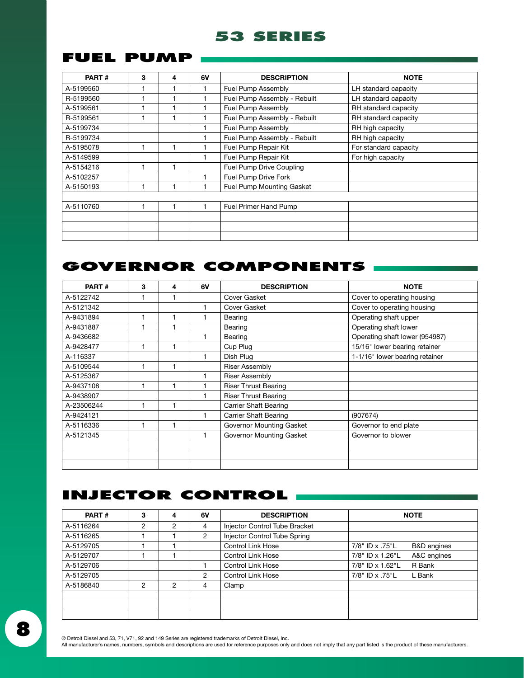## **fuel pump**

| PART#     | 3 | 4 | 6V | <b>DESCRIPTION</b>               | <b>NOTE</b>           |
|-----------|---|---|----|----------------------------------|-----------------------|
| A-5199560 |   |   |    | Fuel Pump Assembly               | LH standard capacity  |
| R-5199560 |   |   |    | Fuel Pump Assembly - Rebuilt     | LH standard capacity  |
| A-5199561 |   |   |    | <b>Fuel Pump Assembly</b>        | RH standard capacity  |
| R-5199561 |   |   |    | Fuel Pump Assembly - Rebuilt     | RH standard capacity  |
| A-5199734 |   |   |    | Fuel Pump Assembly               | RH high capacity      |
| R-5199734 |   |   |    | Fuel Pump Assembly - Rebuilt     | RH high capacity      |
| A-5195078 |   |   |    | Fuel Pump Repair Kit             | For standard capacity |
| A-5149599 |   |   |    | Fuel Pump Repair Kit             | For high capacity     |
| A-5154216 | 1 |   |    | Fuel Pump Drive Coupling         |                       |
| A-5102257 |   |   |    | Fuel Pump Drive Fork             |                       |
| A-5150193 |   |   |    | <b>Fuel Pump Mounting Gasket</b> |                       |
|           |   |   |    |                                  |                       |
| A-5110760 |   |   |    | <b>Fuel Primer Hand Pump</b>     |                       |
|           |   |   |    |                                  |                       |
|           |   |   |    |                                  |                       |
|           |   |   |    |                                  |                       |

## **governor components**

| PART#      | 3 | 4 | 6V | <b>DESCRIPTION</b>           | <b>NOTE</b>                    |
|------------|---|---|----|------------------------------|--------------------------------|
| A-5122742  | 1 |   |    | Cover Gasket                 | Cover to operating housing     |
| A-5121342  |   |   |    | Cover Gasket                 | Cover to operating housing     |
| A-9431894  | 1 |   |    | Bearing                      | Operating shaft upper          |
| A-9431887  | 1 |   |    | Bearing                      | Operating shaft lower          |
| A-9436682  |   |   |    | Bearing                      | Operating shaft lower (954987) |
| A-9428477  | 1 |   |    | Cup Plug                     | 15/16" lower bearing retainer  |
| A-116337   |   |   |    | Dish Plug                    | 1-1/16" lower bearing retainer |
| A-5109544  |   |   |    | <b>Riser Assembly</b>        |                                |
| A-5125367  |   |   |    | <b>Riser Assembly</b>        |                                |
| A-9437108  | 1 |   |    | <b>Riser Thrust Bearing</b>  |                                |
| A-9438907  |   |   |    | <b>Riser Thrust Bearing</b>  |                                |
| A-23506244 |   |   |    | <b>Carrier Shaft Bearing</b> |                                |
| A-9424121  |   |   |    | <b>Carrier Shaft Bearing</b> | (907674)                       |
| A-5116336  | 1 |   |    | Governor Mounting Gasket     | Governor to end plate          |
| A-5121345  |   |   |    | Governor Mounting Gasket     | Governor to blower             |
|            |   |   |    |                              |                                |
|            |   |   |    |                              |                                |
|            |   |   |    |                              |                                |

## **injector control**

| PART#     | 3              | 4 | 6V             | <b>DESCRIPTION</b>            | <b>NOTE</b>                               |
|-----------|----------------|---|----------------|-------------------------------|-------------------------------------------|
| A-5116264 | 2              | 2 | 4              | Injector Control Tube Bracket |                                           |
| A-5116265 |                |   | $\overline{2}$ | Injector Control Tube Spring  |                                           |
| A-5129705 |                |   |                | <b>Control Link Hose</b>      | 7/8" ID x .75"L<br><b>B&amp;D</b> engines |
| A-5129707 |                |   |                | <b>Control Link Hose</b>      | 7/8" ID x 1.26"L<br>A&C engines           |
| A-5129706 |                |   |                | <b>Control Link Hose</b>      | 7/8" ID x 1.62"L<br>R Bank                |
| A-5129705 |                |   | 2              | <b>Control Link Hose</b>      | 7/8" ID x .75"L<br>L Bank                 |
| A-5186840 | $\overline{2}$ | 2 | 4              | Clamp                         |                                           |
|           |                |   |                |                               |                                           |
|           |                |   |                |                               |                                           |
|           |                |   |                |                               |                                           |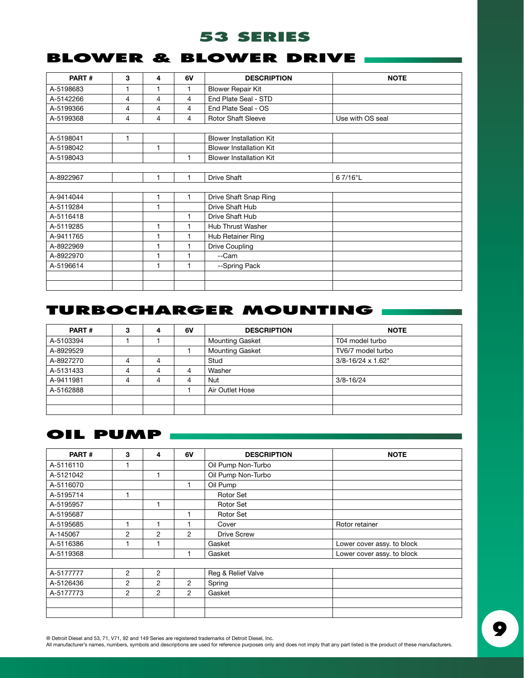## **blower & blower drive**

| PART#     | 3 | 4            | 6V | <b>DESCRIPTION</b>             | <b>NOTE</b>      |
|-----------|---|--------------|----|--------------------------------|------------------|
| A-5198683 | 1 | 1            | 1  | <b>Blower Repair Kit</b>       |                  |
| A-5142266 | 4 | 4            | 4  | End Plate Seal - STD           |                  |
| A-5199366 | 4 | 4            | 4  | End Plate Seal - OS            |                  |
| A-5199368 | 4 | 4            | 4  | <b>Rotor Shaft Sleeve</b>      | Use with OS seal |
|           |   |              |    |                                |                  |
| A-5198041 | 1 |              |    | <b>Blower Installation Kit</b> |                  |
| A-5198042 |   | 1            |    | <b>Blower Installation Kit</b> |                  |
| A-5198043 |   |              | 1  | <b>Blower Installation Kit</b> |                  |
|           |   |              |    |                                |                  |
| A-8922967 |   | 1            | 1  | <b>Drive Shaft</b>             | 67/16"L          |
|           |   |              |    |                                |                  |
| A-9414044 |   | 1            | 1  | Drive Shaft Snap Ring          |                  |
| A-5119284 |   | 1            |    | Drive Shaft Hub                |                  |
| A-5116418 |   |              | 1  | Drive Shaft Hub                |                  |
| A-5119285 |   | 1            |    | Hub Thrust Washer              |                  |
| A-9411765 |   | 1            |    | Hub Retainer Ring              |                  |
| A-8922969 |   | $\mathbf{1}$ |    | Drive Coupling                 |                  |
| A-8922970 |   | 1            |    | --Cam                          |                  |
| A-5196614 |   | 1            | 1  | --Spring Pack                  |                  |
|           |   |              |    |                                |                  |
|           |   |              |    |                                |                  |

## **turbocharger mounting**

| <b>PART#</b> | з | 4 | 6V | <b>DESCRIPTION</b>                                                                 | <b>NOTE</b>     |  |
|--------------|---|---|----|------------------------------------------------------------------------------------|-----------------|--|
| A-5103394    |   |   |    | <b>Mounting Gasket</b>                                                             | T04 model turbo |  |
| A-8929529    |   |   |    | <b>Mounting Gasket</b><br>TV6/7 model turbo<br>$3/8 - 16/24 \times 1.62$ "<br>Stud |                 |  |
| A-8927270    | 4 | 4 |    |                                                                                    |                 |  |
| A-5131433    | 4 | 4 | 4  | Washer                                                                             |                 |  |
| A-9411981    | 4 | 4 | 4  | Nut                                                                                | $3/8 - 16/24$   |  |
| A-5162888    |   |   |    | Air Outlet Hose                                                                    |                 |  |
|              |   |   |    |                                                                                    |                 |  |
|              |   |   |    |                                                                                    |                 |  |

## **oil pump**

| PART#     | 3              | 4              | 6V | <b>DESCRIPTION</b> | <b>NOTE</b>                |
|-----------|----------------|----------------|----|--------------------|----------------------------|
| A-5116110 |                |                |    | Oil Pump Non-Turbo |                            |
| A-5121042 |                |                |    | Oil Pump Non-Turbo |                            |
| A-5116070 |                |                |    | Oil Pump           |                            |
| A-5195714 | 1              |                |    | <b>Rotor Set</b>   |                            |
| A-5195957 |                |                |    | Rotor Set          |                            |
| A-5195687 |                |                |    | <b>Rotor Set</b>   |                            |
| A-5195685 | $\mathbf 1$    |                |    | Cover              | Rotor retainer             |
| A-145067  | $\overline{2}$ | 2              | 2  | <b>Drive Screw</b> |                            |
| A-5116386 |                |                |    | Gasket             | Lower cover assy. to block |
| A-5119368 |                |                | 1  | Gasket             | Lower cover assy. to block |
|           |                |                |    |                    |                            |
| A-5177777 | $\overline{2}$ | $\overline{2}$ |    | Reg & Relief Valve |                            |
| A-5126436 | 2              | $\overline{2}$ | 2  | Spring             |                            |
| A-5177773 | 2              | $\overline{2}$ | 2  | Gasket             |                            |
|           |                |                |    |                    |                            |
|           |                |                |    |                    |                            |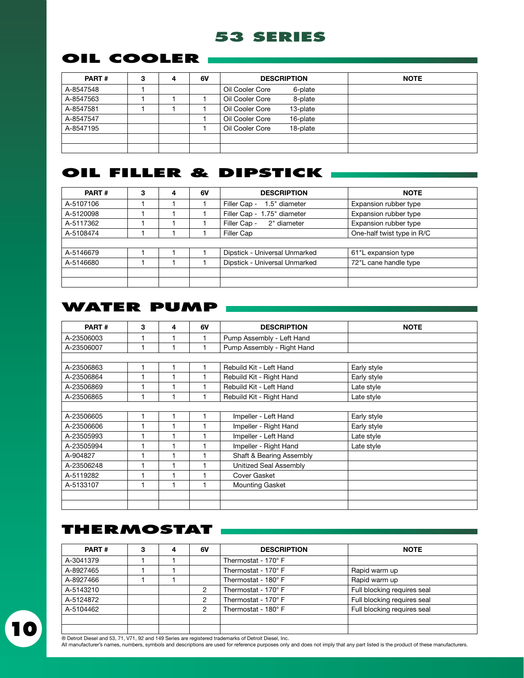and the state of the state of the state

## **oil cooler**

| PART#     | 3 | 4 | 6V | <b>DESCRIPTION</b> |          | <b>NOTE</b> |
|-----------|---|---|----|--------------------|----------|-------------|
| A-8547548 |   |   |    | Oil Cooler Core    | 6-plate  |             |
| A-8547563 |   |   |    | Oil Cooler Core    | 8-plate  |             |
| A-8547581 |   |   |    | Oil Cooler Core    | 13-plate |             |
| A-8547547 |   |   |    | Oil Cooler Core    | 16-plate |             |
| A-8547195 |   |   |    | Oil Cooler Core    | 18-plate |             |
|           |   |   |    |                    |          |             |
|           |   |   |    |                    |          |             |

## **oil filler & dipstick**

| PART#     | з | 6V | <b>DESCRIPTION</b>            | <b>NOTE</b>                |
|-----------|---|----|-------------------------------|----------------------------|
| A-5107106 |   |    | 1.5" diameter<br>Filler Cap - | Expansion rubber type      |
| A-5120098 |   |    | Filler Cap - 1.75" diameter   | Expansion rubber type      |
| A-5117362 |   |    | Filler Cap -<br>2" diameter   | Expansion rubber type      |
| A-5108474 |   |    | Filler Cap                    | One-half twist type in R/C |
|           |   |    |                               |                            |
| A-5146679 |   |    | Dipstick - Universal Unmarked | 61"L expansion type        |
| A-5146680 |   |    | Dipstick - Universal Unmarked | 72"L cane handle type      |
|           |   |    |                               |                            |
|           |   |    |                               |                            |

## **water pump**

| PART#      | 3 | 4 | 6V | <b>DESCRIPTION</b>         | <b>NOTE</b> |
|------------|---|---|----|----------------------------|-------------|
| A-23506003 |   |   |    | Pump Assembly - Left Hand  |             |
| A-23506007 |   |   |    | Pump Assembly - Right Hand |             |
|            |   |   |    |                            |             |
| A-23506863 | 1 |   |    | Rebuild Kit - Left Hand    | Early style |
| A-23506864 |   |   |    | Rebuild Kit - Right Hand   | Early style |
| A-23506869 |   |   |    | Rebuild Kit - Left Hand    | Late style  |
| A-23506865 | 1 |   |    | Rebuild Kit - Right Hand   | Late style  |
|            |   |   |    |                            |             |
| A-23506605 | 1 |   |    | Impeller - Left Hand       | Early style |
| A-23506606 |   |   |    | Impeller - Right Hand      | Early style |
| A-23505993 |   |   |    | Impeller - Left Hand       | Late style  |
| A-23505994 |   |   |    | Impeller - Right Hand      | Late style  |
| A-904827   |   |   |    | Shaft & Bearing Assembly   |             |
| A-23506248 | 1 |   |    | Unitized Seal Assembly     |             |
| A-5119282  | 1 |   |    | Cover Gasket               |             |
| A-5133107  |   |   |    | <b>Mounting Gasket</b>     |             |
|            |   |   |    |                            |             |
|            |   |   |    |                            |             |

## **thermostat**

| <b>PART#</b> | 4 | 6V | <b>DESCRIPTION</b>            | <b>NOTE</b>                 |
|--------------|---|----|-------------------------------|-----------------------------|
| A-3041379    |   |    | Thermostat - 170 $^{\circ}$ F |                             |
| A-8927465    |   |    | Thermostat - 170 $^{\circ}$ F | Rapid warm up               |
| A-8927466    |   |    | Thermostat - 180° F           | Rapid warm up               |
| A-5143210    |   | 2  | Thermostat - $170^\circ$ F    | Full blocking requires seal |
| A-5124872    |   | C  | Thermostat - 170° F           | Full blocking requires seal |
| A-5104462    |   | っ  | Thermostat - 180° F           | Full blocking requires seal |
|              |   |    |                               |                             |
|              |   |    |                               |                             |

**10**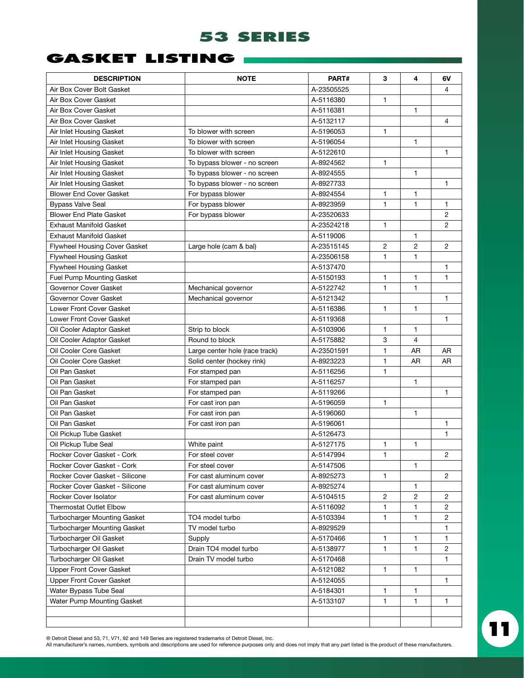## **gasket listing**

| <b>DESCRIPTION</b>                   | <b>NOTE</b>                    | PART#      | 3            | 4            | 6V             |
|--------------------------------------|--------------------------------|------------|--------------|--------------|----------------|
| Air Box Cover Bolt Gasket            |                                | A-23505525 |              |              | 4              |
| Air Box Cover Gasket                 |                                | A-5116380  | 1            |              |                |
| Air Box Cover Gasket                 |                                | A-5116381  |              | $\mathbf{1}$ |                |
| Air Box Cover Gasket                 |                                | A-5132117  |              |              | 4              |
| Air Inlet Housing Gasket             | To blower with screen          | A-5196053  | 1            |              |                |
| Air Inlet Housing Gasket             | To blower with screen          | A-5196054  |              | 1            |                |
| Air Inlet Housing Gasket             | To blower with screen          | A-5122610  |              |              | $\mathbf{1}$   |
| Air Inlet Housing Gasket             | To bypass blower - no screen   | A-8924562  | 1            |              |                |
| Air Inlet Housing Gasket             | To bypass blower - no screen   | A-8924555  |              | 1            |                |
| Air Inlet Housing Gasket             | To bypass blower - no screen   | A-8927733  |              |              | 1              |
| <b>Blower End Cover Gasket</b>       | For bypass blower              | A-8924554  | 1            | 1            |                |
| <b>Bypass Valve Seal</b>             | For bypass blower              | A-8923959  | 1            | 1            | 1              |
| <b>Blower End Plate Gasket</b>       | For bypass blower              | A-23520633 |              |              | 2              |
| <b>Exhaust Manifold Gasket</b>       |                                | A-23524218 | 1            |              | 2              |
| <b>Exhaust Manifold Gasket</b>       |                                | A-5119006  |              | 1            |                |
| <b>Flywheel Housing Cover Gasket</b> | Large hole (cam & bal)         | A-23515145 | 2            | 2            | 2              |
| <b>Flywheel Housing Gasket</b>       |                                | A-23506158 | 1            | 1            |                |
| <b>Flywheel Housing Gasket</b>       |                                | A-5137470  |              |              | 1              |
| Fuel Pump Mounting Gasket            |                                | A-5150193  | 1            | 1            | $\mathbf{1}$   |
| Governor Cover Gasket                | Mechanical governor            | A-5122742  | 1            | 1            |                |
| Governor Cover Gasket                | Mechanical governor            | A-5121342  |              |              | 1              |
| Lower Front Cover Gasket             |                                | A-5116386  | 1            | 1            |                |
| Lower Front Cover Gasket             |                                | A-5119368  |              |              | 1              |
| Oil Cooler Adaptor Gasket            | Strip to block                 | A-5103906  | 1            | 1            |                |
| Oil Cooler Adaptor Gasket            | Round to block                 | A-5175882  | 3            | 4            |                |
| Oil Cooler Core Gasket               | Large center hole (race track) | A-23501591 | 1            | AR           | AR             |
| Oil Cooler Core Gasket               | Solid center (hockey rink)     | A-8923223  | 1            | AR.          | AR.            |
| Oil Pan Gasket                       | For stamped pan                | A-5116256  | 1            |              |                |
| Oil Pan Gasket                       | For stamped pan                | A-5116257  |              | 1            |                |
| Oil Pan Gasket                       | For stamped pan                | A-5119266  |              |              | 1              |
| Oil Pan Gasket                       | For cast iron pan              | A-5196059  | 1            |              |                |
| Oil Pan Gasket                       | For cast iron pan              | A-5196060  |              | 1            |                |
| Oil Pan Gasket                       | For cast iron pan              | A-5196061  |              |              | 1              |
| Oil Pickup Tube Gasket               |                                | A-5126473  |              |              | 1              |
| Oil Pickup Tube Seal                 | White paint                    | A-5127175  | 1            | $\mathbf{1}$ |                |
| Rocker Cover Gasket - Cork           | For steel cover                | A-5147994  | $\mathbf{1}$ |              | $\overline{c}$ |
| Rocker Cover Gasket - Cork           | For steel cover                | A-5147506  |              | 1            |                |
| Rocker Cover Gasket - Silicone       | For cast aluminum cover        | A-8925273  | 1            |              | $\overline{2}$ |
| Rocker Cover Gasket - Silicone       | For cast aluminum cover        | A-8925274  |              | 1            |                |
| Rocker Cover Isolator                | For cast aluminum cover        | A-5104515  | 2            | 2            | $\overline{2}$ |
| Thermostat Outlet Elbow              |                                | A-5116092  | 1            | 1            | $\overline{2}$ |
| Turbocharger Mounting Gasket         | TO4 model turbo                | A-5103394  | 1            | 1            | $\overline{2}$ |
| Turbocharger Mounting Gasket         | TV model turbo                 | A-8929529  |              |              | 1              |
| Turbocharger Oil Gasket              | Supply                         | A-5170466  | 1            | 1            | 1              |
| Turbocharger Oil Gasket              | Drain TO4 model turbo          | A-5138977  | 1            | 1            | $\overline{c}$ |
| Turbocharger Oil Gasket              | Drain TV model turbo           | A-5170468  |              |              | 1              |
| Upper Front Cover Gasket             |                                | A-5121082  | 1            | 1            |                |
| Upper Front Cover Gasket             |                                | A-5124055  |              |              | 1              |
| Water Bypass Tube Seal               |                                | A-5184301  | 1            | 1            |                |
| Water Pump Mounting Gasket           |                                | A-5133107  | 1            | 1            | $\mathbf{1}$   |
|                                      |                                |            |              |              |                |
|                                      |                                |            |              |              |                |

® Detroit Diesel and 53, 71, V71, 92 and 149 Series are registered trademarks of Detroit Diesel, Inc.<br>All manufacturer's names, numbers, symbols and descriptions are used for reference purposes only and does not imply that

**11**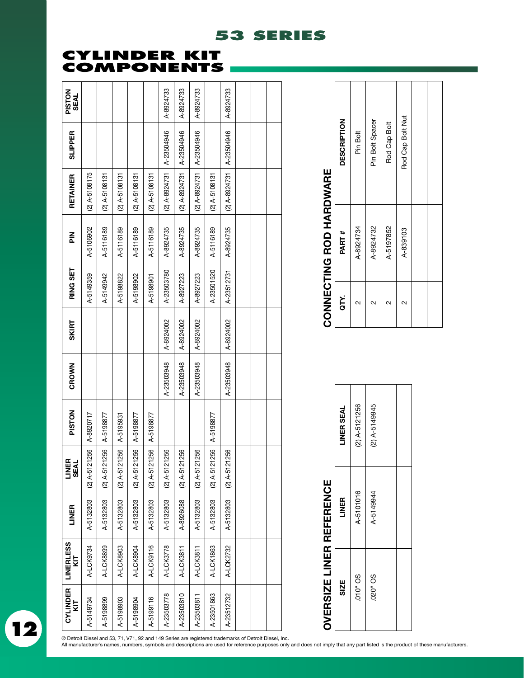## **cylinder kit COMPONENT**

**53 Series**

| <b>PISTON</b><br><b>SEAL</b> |                     |                      |                      |                      |                      | A-8924733            | A-8924733            | A-8924733            |                      | A-8924733       |  |  |
|------------------------------|---------------------|----------------------|----------------------|----------------------|----------------------|----------------------|----------------------|----------------------|----------------------|-----------------|--|--|
| <b>SLIPPER</b>               |                     |                      |                      |                      |                      | A-23504946           | A-23504946           | A-23504946           |                      | A-23504946      |  |  |
| RETAINER                     | $(2)$ A-5108175     | $(2)$ A-5108131      | $(2)$ A-510813       | $(2)$ A-5108131      | $(2)$ A-510813       | $(2)$ A-8924731      | $(2)$ A-8924731      | $(2)$ A-8924731      | $(2)$ A-510813       | $(2)$ A-8924731 |  |  |
| 즖                            | A-5106902           | A-5116189            | A-5116189            | A-5116189            | A-5116189            | A-8924735            | A-8924735            | A-8924735            | A-5116189            | A-8924735       |  |  |
| <b>RING SET</b>              | A-5149359           | A-5149942            | A-5198822            | A-5198902            | A-5198901            | A-23503780           | A-8927223            | A-8927223            | A-23501520           | A-23512731      |  |  |
| <b>SKIRT</b>                 |                     |                      |                      |                      |                      | A-8924002            | A-8924002            | A-8924002            |                      | A-8924002       |  |  |
| CROWN                        |                     |                      |                      |                      |                      | A-23503948           | A-23503948           | A-23503948           |                      | A-23503948      |  |  |
| <b>PISTON</b>                | A-8920717           | A-5198877            | A-5195931            | A-5198877            | A-5198877            |                      |                      |                      | A-5198877            |                 |  |  |
| Æ<br>₹<br>⊆₩                 | 121256<br>$(2)$ A-5 | 121256<br>$(2)$ A-51 | 121256<br>$(2)$ A-5; | 121256<br>$(2)$ A-51 | 121256<br>$(2)$ A-51 | 121256<br>$(2)$ A-51 | 121256<br>$(2)$ A-51 | 121256<br>$(2)$ A-51 | 121256<br>$(2)$ A-51 | $(2)$ A-5121256 |  |  |
| LINER                        | A-5132803           | A-5132803            | A-5132803            | A-5132803            | A-5132803            | A-5132803            | A-8926088            | A-5132803            | A-5132803            | A-5132803       |  |  |
| <b>LINERLESS</b><br>ΚL       | A-LCK9734           | A-LCK8899            | A-LCK8903            | A-LCK8904            | A-LCK9116            | A-LCK3778            | A-LCK3811            | A-LCK3811            | A-LCK1863            | A-LCK2732       |  |  |
| CYLINDER<br>KIT              | A-5149734           | A-5198899            | A-5198903            | A-5198904            | A-5199116            | A-23503778           | A-23503810           | A-23503811           | A-23501863           | A-23512732      |  |  |

**12**

# OVERSIZE LINER REFERENCE

CONNECTING ROD HARDWARE

CONNECTING ROD HARDWARE

QTY. PART # DESCRIPTION

PART#

ary.

 $\Box$ 

**DESCRIPTION** 

Pin Bolt

15 Pin Bolt 24 Phin Bolt 2 Pin Bolt 2 Phin Bolt 2 Phin Bolt 2 Phin Bolt 2 Phin Bolt 2 Phin Bolt 2 Phin Bolt 2 P

A-8924734 A-8924732 A-5197852 A-839103

abada Pin Bolt Spacer<br>
A-8924732<br>
Pin Bolt Spacer

Pin Bolt Spacer Rod Cap Bolt

A-5197852 Rod Cap Bolt

 $\frac{1}{2}$  Pole Rod Cap Bolt Nutries A-839103 Rod Species A

Rod Cap Bolt Nut

 $\sim$ 

<u> Tanzania de la propia de la propia de la propia de la propia de la propia de la propia de la propia de la p</u>

 $\sim$ 

 $\sim$ 

T

 $\sim$ 

|                                 | LINER SEAL   | $(2)$ A-5121256 | $(2)$ A-5149945 |  |
|---------------------------------|--------------|-----------------|-----------------|--|
|                                 | <b>LINER</b> | A-5101016       | A-5149944       |  |
| <b>OVERSIZE LINER REFERENCE</b> | <b>SIZE</b>  | 010" OS         | 020" OS         |  |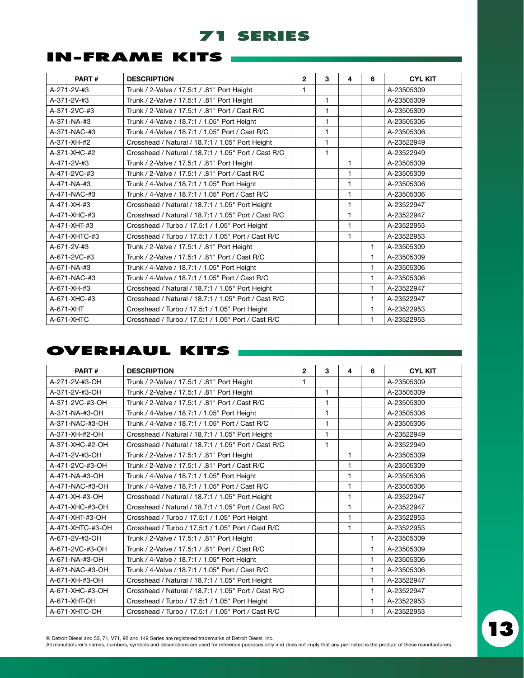## **IN-FRAME KITS**

| PART#         | <b>DESCRIPTION</b>                                   | $\mathbf{2}$ | 3            | 4            | 6 | <b>CYL KIT</b> |
|---------------|------------------------------------------------------|--------------|--------------|--------------|---|----------------|
| A-271-2V-#3   | Trunk / 2-Valve / 17.5:1 / .81" Port Height          | 1            |              |              |   | A-23505309     |
| A-371-2V-#3   | Trunk / 2-Valve / 17.5:1 / .81" Port Height          |              | 1            |              |   | A-23505309     |
| A-371-2VC-#3  | Trunk / 2-Valve / 17.5:1 / .81" Port / Cast R/C      |              | 1            |              |   | A-23505309     |
| A-371-NA-#3   | Trunk / 4-Valve / 18.7:1 / 1.05" Port Height         |              | 1            |              |   | A-23505306     |
| A-371-NAC-#3  | Trunk / 4-Valve / 18.7:1 / 1.05" Port / Cast R/C     |              | 1            |              |   | A-23505306     |
| A-371-XH-#2   | Crosshead / Natural / 18.7:1 / 1.05" Port Height     |              | $\mathbf{1}$ |              |   | A-23522949     |
| A-371-XHC-#2  | Crosshead / Natural / 18.7:1 / 1.05" Port / Cast R/C |              | $\mathbf{1}$ |              |   | A-23522949     |
| A-471-2V-#3   | Trunk / 2-Valve / 17.5:1 / .81" Port Height          |              |              | 1            |   | A-23505309     |
| A-471-2VC-#3  | Trunk / 2-Valve / 17.5:1 / .81" Port / Cast R/C      |              |              | 1            |   | A-23505309     |
| A-471-NA-#3   | Trunk / 4-Valve / 18.7:1 / 1.05" Port Height         |              |              | 1            |   | A-23505306     |
| A-471-NAC-#3  | Trunk / 4-Valve / 18.7:1 / 1.05" Port / Cast R/C     |              |              | 1            |   | A-23505306     |
| A-471-XH-#3   | Crosshead / Natural / 18.7:1 / 1.05" Port Height     |              |              | $\mathbf{1}$ |   | A-23522947     |
| A-471-XHC-#3  | Crosshead / Natural / 18.7:1 / 1.05" Port / Cast R/C |              |              | 1            |   | A-23522947     |
| A-471-XHT-#3  | Crosshead / Turbo / 17.5:1 / 1.05" Port Height       |              |              | 1            |   | A-23522953     |
| A-471-XHTC-#3 | Crosshead / Turbo / 17.5:1 / 1.05" Port / Cast R/C   |              |              | $\mathbf{1}$ |   | A-23522953     |
| A-671-2V-#3   | Trunk / 2-Valve / 17.5:1 / .81" Port Height          |              |              |              | 1 | A-23505309     |
| A-671-2VC-#3  | Trunk / 2-Valve / 17.5:1 / .81" Port / Cast R/C      |              |              |              | 1 | A-23505309     |
| A-671-NA-#3   | Trunk / 4-Valve / 18.7:1 / 1.05" Port Height         |              |              |              | 1 | A-23505306     |
| A-671-NAC-#3  | Trunk / 4-Valve / 18.7:1 / 1.05" Port / Cast R/C     |              |              |              | 1 | A-23505306     |
| A-671-XH-#3   | Crosshead / Natural / 18.7:1 / 1.05" Port Height     |              |              |              | 1 | A-23522947     |
| A-671-XHC-#3  | Crosshead / Natural / 18.7:1 / 1.05" Port / Cast R/C |              |              |              | 1 | A-23522947     |
| A-671-XHT     | Crosshead / Turbo / 17.5:1 / 1.05" Port Height       |              |              |              | 1 | A-23522953     |
| A-671-XHTC    | Crosshead / Turbo / 17.5:1 / 1.05" Port / Cast R/C   |              |              |              | 1 | A-23522953     |

## **overhaul kits**

| PART#            | <b>DESCRIPTION</b>                                   | $\overline{2}$ | 3            | 4 | 6            | <b>CYL KIT</b> |
|------------------|------------------------------------------------------|----------------|--------------|---|--------------|----------------|
| A-271-2V-#3-OH   | Trunk / 2-Valve / 17.5:1 / .81" Port Height          | 1              |              |   |              | A-23505309     |
| A-371-2V-#3-OH   | Trunk / 2-Valve / 17.5:1 / .81" Port Height          |                | 1            |   |              | A-23505309     |
| A-371-2VC-#3-OH  | Trunk / 2-Valve / 17.5:1 / .81" Port / Cast R/C      |                | 1            |   |              | A-23505309     |
| A-371-NA-#3-OH   | Trunk / 4-Valve / 18.7:1 / 1.05" Port Height         |                | $\mathbf{1}$ |   |              | A-23505306     |
| A-371-NAC-#3-OH  | Trunk / 4-Valve / 18.7:1 / 1.05" Port / Cast R/C     |                | 1            |   |              | A-23505306     |
| A-371-XH-#2-OH   | Crosshead / Natural / 18.7:1 / 1.05" Port Height     |                | $\mathbf{1}$ |   |              | A-23522949     |
| A-371-XHC-#2-OH  | Crosshead / Natural / 18.7:1 / 1.05" Port / Cast R/C |                | 1            |   |              | A-23522949     |
| A-471-2V-#3-OH   | Trunk / 2-Valve / 17.5:1 / .81" Port Height          |                |              | 1 |              | A-23505309     |
| A-471-2VC-#3-OH  | Trunk / 2-Valve / 17.5:1 / .81" Port / Cast R/C      |                |              | 1 |              | A-23505309     |
| A-471-NA-#3-OH   | Trunk / 4-Valve / 18.7:1 / 1.05" Port Height         |                |              | 1 |              | A-23505306     |
| A-471-NAC-#3-OH  | Trunk / 4-Valve / 18.7:1 / 1.05" Port / Cast R/C     |                |              | 1 |              | A-23505306     |
| A-471-XH-#3-OH   | Crosshead / Natural / 18.7:1 / 1.05" Port Height     |                |              | 1 |              | A-23522947     |
| A-471-XHC-#3-OH  | Crosshead / Natural / 18.7:1 / 1.05" Port / Cast R/C |                |              | 1 |              | A-23522947     |
| A-471-XHT-#3-OH  | Crosshead / Turbo / 17.5:1 / 1.05" Port Height       |                |              | 1 |              | A-23522953     |
| A-471-XHTC-#3-OH | Crosshead / Turbo / 17.5:1 / 1.05" Port / Cast R/C   |                |              | 1 |              | A-23522953     |
| A-671-2V-#3-OH   | Trunk / 2-Valve / 17.5:1 / .81" Port Height          |                |              |   | 1            | A-23505309     |
| A-671-2VC-#3-OH  | Trunk / 2-Valve / 17.5:1 / .81" Port / Cast R/C      |                |              |   | 1            | A-23505309     |
| A-671-NA-#3-OH   | Trunk / 4-Valve / 18.7:1 / 1.05" Port Height         |                |              |   | 1            | A-23505306     |
| A-671-NAC-#3-OH  | Trunk / 4-Valve / 18.7:1 / 1.05" Port / Cast R/C     |                |              |   | 1            | A-23505306     |
| A-671-XH-#3-OH   | Crosshead / Natural / 18.7:1 / 1.05" Port Height     |                |              |   | $\mathbf{1}$ | A-23522947     |
| A-671-XHC-#3-OH  | Crosshead / Natural / 18.7:1 / 1.05" Port / Cast R/C |                |              |   | 1            | A-23522947     |
| A-671-XHT-OH     | Crosshead / Turbo / 17.5:1 / 1.05" Port Height       |                |              |   | $\mathbf{1}$ | A-23522953     |
| A-671-XHTC-OH    | Crosshead / Turbo / 17.5:1 / 1.05" Port / Cast R/C   |                |              |   | 1            | A-23522953     |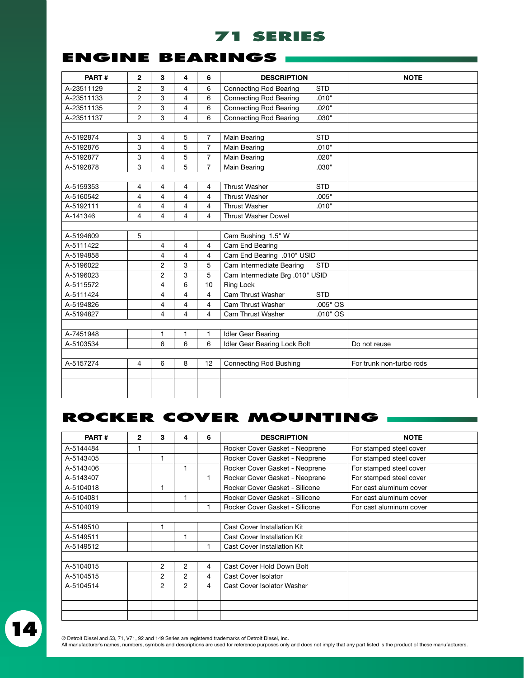## **engine bearings**

| PART#      | $\mathbf{2}$   | 3              | 4                       | 6              | <b>DESCRIPTION</b>              |            | <b>NOTE</b>              |
|------------|----------------|----------------|-------------------------|----------------|---------------------------------|------------|--------------------------|
| A-23511129 | $\overline{2}$ | 3              | $\overline{4}$          | 6              | <b>Connecting Rod Bearing</b>   | <b>STD</b> |                          |
| A-23511133 | $\overline{2}$ | 3              | $\overline{4}$          | 6              | <b>Connecting Rod Bearing</b>   | .010"      |                          |
| A-23511135 | $\overline{c}$ | 3              | $\overline{4}$          | 6              | <b>Connecting Rod Bearing</b>   | .020"      |                          |
| A-23511137 | $\overline{2}$ | 3              | $\overline{\mathbf{4}}$ | 6              | <b>Connecting Rod Bearing</b>   | .030"      |                          |
|            |                |                |                         |                |                                 |            |                          |
| A-5192874  | 3              | 4              | 5                       | $\overline{7}$ | Main Bearing                    | <b>STD</b> |                          |
| A-5192876  | 3              | $\overline{4}$ | 5                       | $\overline{7}$ | Main Bearing                    | .010"      |                          |
| A-5192877  | 3              | $\overline{4}$ | 5                       | $\overline{7}$ | Main Bearing                    | .020"      |                          |
| A-5192878  | 3              | $\overline{4}$ | 5                       | $\overline{7}$ | Main Bearing                    | .030"      |                          |
|            |                |                |                         |                |                                 |            |                          |
| A-5159353  | 4              | 4              | 4                       | 4              | <b>Thrust Washer</b>            | <b>STD</b> |                          |
| A-5160542  | 4              | $\overline{4}$ | 4                       | 4              | <b>Thrust Washer</b>            | .005"      |                          |
| A-5192111  | $\overline{4}$ | $\overline{4}$ | $\overline{4}$          | $\overline{4}$ | <b>Thrust Washer</b>            | .010"      |                          |
| A-141346   | 4              | $\overline{4}$ | 4                       | 4              | <b>Thrust Washer Dowel</b>      |            |                          |
|            |                |                |                         |                |                                 |            |                          |
| A-5194609  | 5              |                |                         |                | Cam Bushing 1.5" W              |            |                          |
| A-5111422  |                | $\overline{4}$ | 4                       | $\overline{4}$ | Cam End Bearing                 |            |                          |
| A-5194858  |                | $\overline{4}$ | $\overline{4}$          | $\overline{4}$ | Cam End Bearing .010" USID      |            |                          |
| A-5196022  |                | $\overline{2}$ | 3                       | 5              | Cam Intermediate Bearing        | <b>STD</b> |                          |
| A-5196023  |                | $\overline{2}$ | 3                       | 5              | Cam Intermediate Brg .010" USID |            |                          |
| A-5115572  |                | $\overline{4}$ | 6                       | 10             | <b>Ring Lock</b>                |            |                          |
| A-5111424  |                | $\overline{4}$ | $\overline{4}$          | $\overline{4}$ | Cam Thrust Washer               | <b>STD</b> |                          |
| A-5194826  |                | $\overline{4}$ | $\overline{4}$          | 4              | Cam Thrust Washer               | .005" OS   |                          |
| A-5194827  |                | $\overline{4}$ | $\overline{4}$          | 4              | Cam Thrust Washer               | $.010"$ OS |                          |
|            |                |                |                         |                |                                 |            |                          |
| A-7451948  |                | $\mathbf{1}$   | 1                       | $\mathbf{1}$   | <b>Idler Gear Bearing</b>       |            |                          |
| A-5103534  |                | 6              | 6                       | 6              | Idler Gear Bearing Lock Bolt    |            | Do not reuse             |
|            |                |                |                         |                |                                 |            |                          |
| A-5157274  | 4              | 6              | 8                       | 12             | <b>Connecting Rod Bushing</b>   |            | For trunk non-turbo rods |
|            |                |                |                         |                |                                 |            |                          |
|            |                |                |                         |                |                                 |            |                          |
|            |                |                |                         |                |                                 |            |                          |

## **rocker cover mounting**

| PART#     | $\mathbf{2}$ | 3              | 4              | 6 | <b>DESCRIPTION</b>                 | <b>NOTE</b>             |
|-----------|--------------|----------------|----------------|---|------------------------------------|-------------------------|
| A-5144484 |              |                |                |   | Rocker Cover Gasket - Neoprene     | For stamped steel cover |
| A-5143405 |              |                |                |   | Rocker Cover Gasket - Neoprene     | For stamped steel cover |
| A-5143406 |              |                |                |   | Rocker Cover Gasket - Neoprene     | For stamped steel cover |
| A-5143407 |              |                |                | 1 | Rocker Cover Gasket - Neoprene     | For stamped steel cover |
| A-5104018 |              |                |                |   | Rocker Cover Gasket - Silicone     | For cast aluminum cover |
| A-5104081 |              |                |                |   | Rocker Cover Gasket - Silicone     | For cast aluminum cover |
| A-5104019 |              |                |                | 1 | Rocker Cover Gasket - Silicone     | For cast aluminum cover |
|           |              |                |                |   |                                    |                         |
| A-5149510 |              |                |                |   | Cast Cover Installation Kit        |                         |
| A-5149511 |              |                |                |   | Cast Cover Installation Kit        |                         |
| A-5149512 |              |                |                | 1 | <b>Cast Cover Installation Kit</b> |                         |
|           |              |                |                |   |                                    |                         |
| A-5104015 |              | 2              | 2              | 4 | Cast Cover Hold Down Bolt          |                         |
| A-5104515 |              | 2              | $\overline{2}$ | 4 | Cast Cover Isolator                |                         |
| A-5104514 |              | $\overline{2}$ | $\overline{2}$ | 4 | Cast Cover Isolator Washer         |                         |
|           |              |                |                |   |                                    |                         |
|           |              |                |                |   |                                    |                         |
|           |              |                |                |   |                                    |                         |

**14**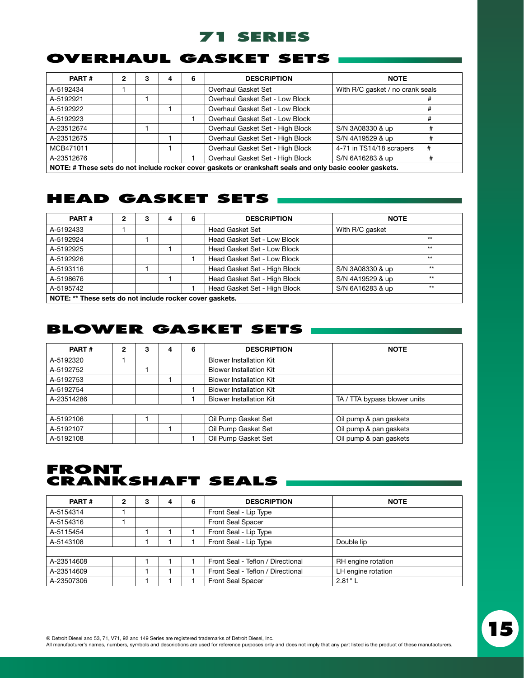## **OVERHAUL GASKET SETS**

| PART#      | 2 | з | 4 | 6 | <b>DESCRIPTION</b>                                                                                        | <b>NOTE</b>                      |
|------------|---|---|---|---|-----------------------------------------------------------------------------------------------------------|----------------------------------|
| A-5192434  |   |   |   |   | Overhaul Gasket Set                                                                                       | With R/C gasket / no crank seals |
| A-5192921  |   |   |   |   | Overhaul Gasket Set - Low Block                                                                           |                                  |
| A-5192922  |   |   |   |   | Overhaul Gasket Set - Low Block                                                                           |                                  |
| A-5192923  |   |   |   |   | Overhaul Gasket Set - Low Block                                                                           |                                  |
| A-23512674 |   |   |   |   | Overhaul Gasket Set - High Block                                                                          | S/N 3A08330 & up                 |
| A-23512675 |   |   |   |   | Overhaul Gasket Set - High Block                                                                          | S/N 4A19529 & up                 |
| MCB471011  |   |   |   |   | Overhaul Gasket Set - High Block                                                                          | 4-71 in TS14/18 scrapers<br>#    |
| A-23512676 |   |   |   |   | Overhaul Gasket Set - High Block                                                                          | S/N 6A16283 & up                 |
|            |   |   |   |   | NOTE: # These sets do not include rocker cover gaskets or crankshaft seals and only basic cooler gaskets. |                                  |

## **HEAD GASKET SETS**

| PART#                                                    | 2 | з | 4 | 6 | <b>DESCRIPTION</b>           | <b>NOTE</b>              |
|----------------------------------------------------------|---|---|---|---|------------------------------|--------------------------|
| A-5192433                                                |   |   |   |   | Head Gasket Set              | With R/C gasket          |
| A-5192924                                                |   |   |   |   | Head Gasket Set - Low Block  | $**$                     |
| A-5192925                                                |   |   |   |   | Head Gasket Set - Low Block  | $**$                     |
| A-5192926                                                |   |   |   |   | Head Gasket Set - Low Block  | $**$                     |
| A-5193116                                                |   |   |   |   | Head Gasket Set - High Block | $**$<br>S/N 3A08330 & up |
| A-5198676                                                |   |   |   |   | Head Gasket Set - High Block | $**$<br>S/N 4A19529 & up |
| A-5195742                                                |   |   |   |   | Head Gasket Set - High Block | $**$<br>S/N 6A16283 & up |
| NOTE: ** Those sets do not include realier cover goskets |   |   |   |   |                              |                          |

NOTE: \*\* These sets do not include rocker cover gaskets.

## **BLOWER GASKET SETS**

| PART#      | 2 | 3 | 4 | 6 | <b>DESCRIPTION</b>             | <b>NOTE</b>                  |
|------------|---|---|---|---|--------------------------------|------------------------------|
| A-5192320  |   |   |   |   | <b>Blower Installation Kit</b> |                              |
| A-5192752  |   |   |   |   | <b>Blower Installation Kit</b> |                              |
| A-5192753  |   |   |   |   | <b>Blower Installation Kit</b> |                              |
| A-5192754  |   |   |   |   | <b>Blower Installation Kit</b> |                              |
| A-23514286 |   |   |   |   | <b>Blower Installation Kit</b> | TA / TTA bypass blower units |
|            |   |   |   |   |                                |                              |
| A-5192106  |   |   |   |   | Oil Pump Gasket Set            | Oil pump & pan gaskets       |
| A-5192107  |   |   |   |   | Oil Pump Gasket Set            | Oil pump & pan gaskets       |
| A-5192108  |   |   |   |   | Oil Pump Gasket Set            | Oil pump & pan gaskets       |

## **FRONT CRANKSHAFT SEALS**

| PART#      | 2 | з | 4 | 6 | <b>DESCRIPTION</b>                | <b>NOTE</b>        |
|------------|---|---|---|---|-----------------------------------|--------------------|
| A-5154314  |   |   |   |   | Front Seal - Lip Type             |                    |
| A-5154316  |   |   |   |   | <b>Front Seal Spacer</b>          |                    |
| A-5115454  |   |   |   |   | Front Seal - Lip Type             |                    |
| A-5143108  |   |   |   |   | Front Seal - Lip Type             | Double lip         |
|            |   |   |   |   |                                   |                    |
| A-23514608 |   |   |   |   | Front Seal - Teflon / Directional | RH engine rotation |
| A-23514609 |   |   |   |   | Front Seal - Teflon / Directional | LH engine rotation |
| A-23507306 |   |   |   |   | <b>Front Seal Spacer</b>          | 2.81"L             |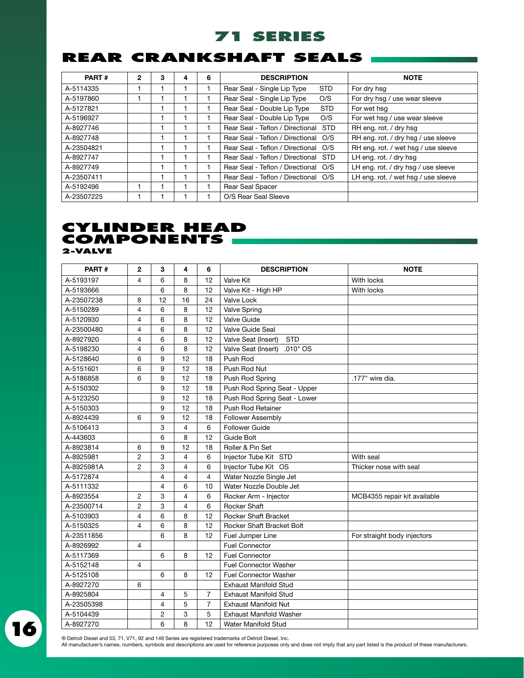## **REAR CRANKSHAFT SEALS**

| PART#      | 2 | 3 | 4 | 6 | <b>DESCRIPTION</b>                             | <b>NOTE</b>                         |
|------------|---|---|---|---|------------------------------------------------|-------------------------------------|
| A-5114335  |   |   |   |   | Rear Seal - Single Lip Type<br>STD.            | For dry hsg                         |
| A-5197860  |   |   |   |   | Rear Seal - Single Lip Type<br>O/S             | For dry hsg / use wear sleeve       |
| A-5127821  |   |   |   |   | <b>STD</b><br>Rear Seal - Double Lip Type      | For wet hsg                         |
| A-5196927  |   |   |   |   | Rear Seal - Double Lip Type<br>O/S             | For wet hsq / use wear sleeve       |
| A-8927746  |   |   |   |   | Rear Seal - Teflon / Directional<br><b>STD</b> | RH eng. rot. / dry hsg              |
| A-8927748  |   |   |   |   | Rear Seal - Teflon / Directional<br>O/S        | RH eng. rot. / dry hsg / use sleeve |
| A-23504821 |   |   |   |   | Rear Seal - Teflon / Directional<br>O/S        | RH eng. rot. / wet hsg / use sleeve |
| A-8927747  |   |   |   |   | Rear Seal - Teflon / Directional<br><b>STD</b> | LH eng. rot. / dry hsq              |
| A-8927749  |   |   |   |   | Rear Seal - Teflon / Directional<br>O/S        | LH eng. rot. / dry hsg / use sleeve |
| A-23507411 |   |   |   |   | Rear Seal - Teflon / Directional O/S           | LH eng. rot. / wet hsg / use sleeve |
| A-5192496  |   |   |   |   | Rear Seal Spacer                               |                                     |
| A-23507225 |   |   |   |   | O/S Rear Seal Sleeve                           |                                     |

## **CYLINDER HEA components**

**2-valve**

| PART#      | $\mathbf{2}$   | З              | 4                        | 6                        | <b>DESCRIPTION</b>                | <b>NOTE</b>                  |
|------------|----------------|----------------|--------------------------|--------------------------|-----------------------------------|------------------------------|
| A-5193197  | 4              | 6              | 8                        | 12                       | <b>Valve Kit</b>                  | <b>With locks</b>            |
| A-5193666  |                | 6              | 8                        | 12                       | Valve Kit - High HP               | With locks                   |
| A-23507238 | 8              | 12             | 16                       | 24                       | <b>Valve Lock</b>                 |                              |
| A-5150289  | $\overline{4}$ | 6              | 8                        | 12                       | Valve Spring                      |                              |
| A-5120930  | $\overline{4}$ | 6              | 8                        | 12                       | Valve Guide                       |                              |
| A-23500480 | $\overline{4}$ | 6              | 8                        | 12                       | Valve Guide Seal                  |                              |
| A-8927920  | $\overline{4}$ | 6              | 8                        | 12                       | <b>STD</b><br>Valve Seat (Insert) |                              |
| A-5198230  | $\overline{4}$ | 6              | 8                        | 12                       | .010" OS<br>Valve Seat (Insert)   |                              |
| A-5128640  | 6              | 9              | 12                       | 18                       | Push Rod                          |                              |
| A-5151601  | 6              | 9              | 12                       | 18                       | Push Rod Nut                      |                              |
| A-5186858  | 6              | 9              | 12                       | 18                       | Push Rod Spring                   | .177" wire dia.              |
| A-5150302  |                | 9              | 12                       | 18                       | Push Rod Spring Seat - Upper      |                              |
| A-5123250  |                | 9              | 12                       | 18                       | Push Rod Spring Seat - Lower      |                              |
| A-5150303  |                | 9              | 12                       | 18                       | Push Rod Retainer                 |                              |
| A-8924439  | 6              | 9              | 12                       | 18                       | Follower Assembly                 |                              |
| A-5106413  |                | 3              | $\overline{\mathcal{L}}$ | 6                        | <b>Follower Guide</b>             |                              |
| A-443603   |                | 6              | 8                        | 12                       | <b>Guide Bolt</b>                 |                              |
| A-8923814  | 6              | 9              | 12                       | 18                       | Roller & Pin Set                  |                              |
| A-8925981  | 2              | 3              | 4                        | 6                        | Injector Tube Kit STD             | With seal                    |
| A-8925981A | 2              | 3              | $\overline{4}$           | 6                        | Injector Tube Kit OS              | Thicker nose with seal       |
| A-5172874  |                | $\overline{4}$ | 4                        | $\overline{\mathcal{L}}$ | Water Nozzle Single Jet           |                              |
| A-5111332  |                | $\overline{4}$ | 6                        | 10                       | Water Nozzle Double Jet           |                              |
| A-8923554  | $\overline{2}$ | 3              | $\overline{4}$           | 6                        | Rocker Arm - Injector             | MCB4355 repair kit available |
| A-23500714 | $\overline{c}$ | 3              | 4                        | 6                        | <b>Rocker Shaft</b>               |                              |
| A-5103903  | $\overline{4}$ | 6              | 8                        | 12                       | Rocker Shaft Bracket              |                              |
| A-5150325  | $\overline{4}$ | 6              | 8                        | 12                       | Rocker Shaft Bracket Bolt         |                              |
| A-23511856 |                | 6              | 8                        | 12                       | Fuel Jumper Line                  | For straight body injectors  |
| A-8926992  | $\overline{4}$ |                |                          |                          | <b>Fuel Connector</b>             |                              |
| A-5117369  |                | 6              | 8                        | 12                       | <b>Fuel Connector</b>             |                              |
| A-5152148  | $\overline{4}$ |                |                          |                          | <b>Fuel Connector Washer</b>      |                              |
| A-5125108  |                | 6              | 8                        | 12                       | <b>Fuel Connector Washer</b>      |                              |
| A-8927270  | 6              |                |                          |                          | <b>Exhaust Manifold Stud</b>      |                              |
| A-8925804  |                | $\overline{4}$ | 5                        | $\overline{7}$           | <b>Exhaust Manifold Stud</b>      |                              |
| A-23505398 |                | 4              | 5                        | $\overline{7}$           | <b>Exhaust Manifold Nut</b>       |                              |
| A-5104439  |                | 2              | 3                        | 5                        | Exhaust Manifold Washer           |                              |
| A-8927270  |                | 6              | 8                        | 12                       | <b>Water Manifold Stud</b>        |                              |

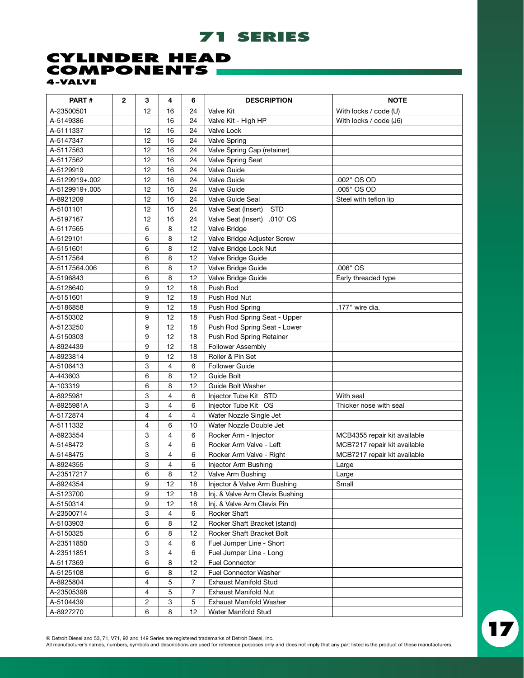## **CYLINDER HEA components**

**4-valve**

| PART#          | $\mathbf{2}$ | 3              | 4              | 6                        | <b>DESCRIPTION</b>                | <b>NOTE</b>                  |
|----------------|--------------|----------------|----------------|--------------------------|-----------------------------------|------------------------------|
| A-23500501     |              | 12             | 16             | 24                       | Valve Kit                         | With locks / code (U)        |
| A-5149386      |              |                | 16             | 24                       | Valve Kit - High HP               | With locks / code (J6)       |
| A-5111337      |              | 12             | 16             | 24                       | Valve Lock                        |                              |
| A-5147347      |              | 12             | 16             | 24                       | <b>Valve Spring</b>               |                              |
| A-5117563      |              | 12             | 16             | 24                       | Valve Spring Cap (retainer)       |                              |
| A-5117562      |              | 12             | 16             | 24                       | Valve Spring Seat                 |                              |
| A-5129919      |              | 12             | 16             | 24                       | Valve Guide                       |                              |
| A-5129919+.002 |              | 12             | 16             | 24                       | Valve Guide                       | .002" OS OD                  |
| A-5129919+.005 |              | 12             | 16             | 24                       | Valve Guide                       | .005" OS OD                  |
| A-8921209      |              | 12             | 16             | 24                       | Valve Guide Seal                  | Steel with teflon lip        |
| A-5101101      |              | 12             | 16             | 24                       | Valve Seat (Insert)<br><b>STD</b> |                              |
| A-5197167      |              | 12             | 16             | 24                       | Valve Seat (Insert) .010" OS      |                              |
| A-5117565      |              | 6              | 8              | 12                       | Valve Bridge                      |                              |
| A-5129101      |              | 6              | 8              | 12                       | Valve Bridge Adjuster Screw       |                              |
| A-5151601      |              | 6              | 8              | 12                       | Valve Bridge Lock Nut             |                              |
| A-5117564      |              | 6              | 8              | 12                       | Valve Bridge Guide                |                              |
| A-5117564.006  |              | 6              | 8              | 12                       | Valve Bridge Guide                | .006" OS                     |
| A-5196843      |              | 6              | 8              | 12                       | Valve Bridge Guide                | Early threaded type          |
| A-5128640      |              | 9              | 12             | 18                       | Push Rod                          |                              |
| A-5151601      |              | 9              | 12             | 18                       | Push Rod Nut                      |                              |
| A-5186858      |              | 9              | 12             | 18                       | Push Rod Spring                   | .177" wire dia.              |
| A-5150302      |              | 9              | 12             | 18                       | Push Rod Spring Seat - Upper      |                              |
| A-5123250      |              | 9              | 12             | 18                       | Push Rod Spring Seat - Lower      |                              |
| A-5150303      |              | 9              | 12             | 18                       | Push Rod Spring Retainer          |                              |
| A-8924439      |              | 9              | 12             | 18                       | Follower Assembly                 |                              |
| A-8923814      |              | 9              | 12             | 18                       | Roller & Pin Set                  |                              |
| A-5106413      |              | 3              | $\overline{4}$ | 6                        | <b>Follower Guide</b>             |                              |
| A-443603       |              | 6              | 8              | 12                       | <b>Guide Bolt</b>                 |                              |
| A-103319       |              | 6              | 8              | 12                       | <b>Guide Bolt Washer</b>          |                              |
| A-8925981      |              | 3              | 4              | 6                        | Injector Tube Kit STD             | With seal                    |
| A-8925981A     |              | 3              | 4              | 6                        | Injector Tube Kit OS              | Thicker nose with seal       |
| A-5172874      |              | $\overline{4}$ | 4              | $\overline{\mathcal{L}}$ | Water Nozzle Single Jet           |                              |
| A-5111332      |              | 4              | 6              | 10                       | Water Nozzle Double Jet           |                              |
| A-8923554      |              | 3              | 4              | 6                        | Rocker Arm - Injector             | MCB4355 repair kit available |
| A-5148472      |              | 3              | 4              | 6                        | Rocker Arm Valve - Left           | MCB7217 repair kit available |
| A-5148475      |              | 3              | 4              | 6                        | Rocker Arm Valve - Right          | MCB7217 repair kit available |
| A-8924355      |              | 3              | 4              | 6                        | <b>Injector Arm Bushing</b>       | Large                        |
| A-23517217     |              | 6              | 8              | 12                       | Valve Arm Bushing                 | Large                        |
| A-8924354      |              | 9              | 12             | 18                       | Injector & Valve Arm Bushing      | Small                        |
| A-5123700      |              | 9              | 12             | 18                       | Inj. & Valve Arm Clevis Bushing   |                              |
| A-5150314      |              | 9              | 12             | 18                       | Inj. & Valve Arm Clevis Pin       |                              |
| A-23500714     |              | 3              | 4              | 6                        | Rocker Shaft                      |                              |
| A-5103903      |              | 6              | 8              | 12                       | Rocker Shaft Bracket (stand)      |                              |
| A-5150325      |              | 6              | 8              | 12                       | Rocker Shaft Bracket Bolt         |                              |
| A-23511850     |              | 3              | 4              | 6                        | Fuel Jumper Line - Short          |                              |
| A-23511851     |              | 3              | 4              | 6                        | Fuel Jumper Line - Long           |                              |
| A-5117369      |              | 6              | 8              | 12                       | <b>Fuel Connector</b>             |                              |
| A-5125108      |              | 6              | 8              | 12                       | <b>Fuel Connector Washer</b>      |                              |
| A-8925804      |              | 4              | 5              | $\overline{7}$           | <b>Exhaust Manifold Stud</b>      |                              |
| A-23505398     |              | $\overline{4}$ | 5              | 7                        | Exhaust Manifold Nut              |                              |
| A-5104439      |              | 2              | 3              | 5                        | Exhaust Manifold Washer           |                              |
| A-8927270      |              | 6              | 8              | 12                       | Water Manifold Stud               |                              |
|                |              |                |                |                          |                                   |                              |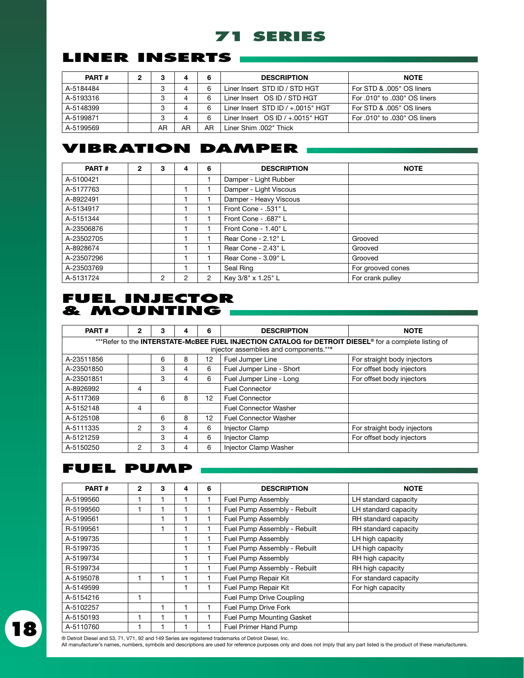## **LINER INSERTS**

| PART#     | ິ | з  | 4  | 6  | <b>DESCRIPTION</b>                      | <b>NOTE</b>                  |
|-----------|---|----|----|----|-----------------------------------------|------------------------------|
| A-5184484 |   | 3  | 4  | 6  | Liner Insert STD ID / STD HGT           | For STD & .005" OS liners    |
| A-5193316 |   | ົ  |    | 6  | Liner Insert OS ID / STD HGT            | For .010" to .030" OS liners |
| A-5148399 |   | 3  | 4  | 6  | Liner Insert $STD$ ID $/ + .0015$ " HGT | For STD & .005" OS liners    |
| A-5199871 |   | 3  | 4  | 6  | Liner Insert OS ID / +.0015" HGT        | For .010" to .030" OS liners |
| A-5199569 |   | AR | AR | AR | Liner Shim .002" Thick                  |                              |

## **VIBRATION DAMPER**

| PART#      | 2 | з | 4 | 6 | <b>DESCRIPTION</b>     | <b>NOTE</b>       |
|------------|---|---|---|---|------------------------|-------------------|
| A-5100421  |   |   |   |   | Damper - Light Rubber  |                   |
| A-5177763  |   |   |   |   | Damper - Light Viscous |                   |
| A-8922491  |   |   |   |   | Damper - Heavy Viscous |                   |
| A-5134917  |   |   |   |   | Front Cone - .531" L   |                   |
| A-5151344  |   |   |   |   | Front Cone - .687" L   |                   |
| A-23506876 |   |   |   |   | Front Cone - $1.40"$ L |                   |
| A-23502705 |   |   |   |   | Rear Cone - 2.12" L    | Grooved           |
| A-8928674  |   |   |   |   | Rear Cone - 2.43" L    | Grooved           |
| A-23507296 |   |   |   |   | Rear Cone - 3.09" L    | Grooved           |
| A-23503769 |   |   |   |   | Seal Ring              | For grooved cones |
| A-5131724  |   | 2 | 2 | 2 | Key 3/8" x 1.25" L     | For crank pulley  |

## **FUEL INJECTOR & MOUNTING**

| PART#                                                                                                                                                       | 2              | 3 | 4 | 6  | <b>DESCRIPTION</b>           | <b>NOTE</b>                 |  |  |  |  |
|-------------------------------------------------------------------------------------------------------------------------------------------------------------|----------------|---|---|----|------------------------------|-----------------------------|--|--|--|--|
| ***Refer to the INTERSTATE-McBEE FUEL INJECTION CATALOG for DETROIT DIESEL <sup>®</sup> for a complete listing of<br>injector assemblies and components.*** |                |   |   |    |                              |                             |  |  |  |  |
| A-23511856                                                                                                                                                  |                | 6 | 8 | 12 | Fuel Jumper Line             | For straight body injectors |  |  |  |  |
| A-23501850                                                                                                                                                  |                | 3 | 4 | 6  | Fuel Jumper Line - Short     | For offset body injectors   |  |  |  |  |
| A-23501851                                                                                                                                                  |                | 3 | 4 | 6  | Fuel Jumper Line - Long      | For offset body injectors   |  |  |  |  |
| A-8926992                                                                                                                                                   | 4              |   |   |    | <b>Fuel Connector</b>        |                             |  |  |  |  |
| A-5117369                                                                                                                                                   |                | 6 | 8 | 12 | <b>Fuel Connector</b>        |                             |  |  |  |  |
| A-5152148                                                                                                                                                   | 4              |   |   |    | <b>Fuel Connector Washer</b> |                             |  |  |  |  |
| A-5125108                                                                                                                                                   |                | 6 | 8 | 12 | <b>Fuel Connector Washer</b> |                             |  |  |  |  |
| A-5111335                                                                                                                                                   | $\overline{2}$ | 3 | 4 | 6  | Injector Clamp               | For straight body injectors |  |  |  |  |
| A-5121259                                                                                                                                                   |                | 3 | 4 | 6  | <b>Injector Clamp</b>        | For offset body injectors   |  |  |  |  |
| A-5150250                                                                                                                                                   | 2              | 3 | 4 | 6  | Injector Clamp Washer        |                             |  |  |  |  |

## **FUEL PUMP**

| PART#     | 2 | 3 |   | 6 | <b>DESCRIPTION</b>               | <b>NOTE</b>           |
|-----------|---|---|---|---|----------------------------------|-----------------------|
|           |   |   | 4 |   |                                  |                       |
| A-5199560 |   |   |   |   | Fuel Pump Assembly               | LH standard capacity  |
| R-5199560 |   |   |   |   | Fuel Pump Assembly - Rebuilt     | LH standard capacity  |
| A-5199561 |   |   |   |   | Fuel Pump Assembly               | RH standard capacity  |
| R-5199561 |   |   |   |   | Fuel Pump Assembly - Rebuilt     | RH standard capacity  |
| A-5199735 |   |   |   |   | Fuel Pump Assembly               | LH high capacity      |
| R-5199735 |   |   |   |   | Fuel Pump Assembly - Rebuilt     | LH high capacity      |
| A-5199734 |   |   |   |   | Fuel Pump Assembly               | RH high capacity      |
| R-5199734 |   |   |   |   | Fuel Pump Assembly - Rebuilt     | RH high capacity      |
| A-5195078 |   |   |   |   | Fuel Pump Repair Kit             | For standard capacity |
| A-5149599 |   |   |   |   | Fuel Pump Repair Kit             | For high capacity     |
| A-5154216 |   |   |   |   | <b>Fuel Pump Drive Coupling</b>  |                       |
| A-5102257 |   |   |   |   | Fuel Pump Drive Fork             |                       |
| A-5150193 |   |   |   |   | <b>Fuel Pump Mounting Gasket</b> |                       |
| A-5110760 |   |   |   |   | Fuel Primer Hand Pump            |                       |



® Detroit Diesel and 53, 71, V71, 92 and 149 Series are registered trademarks of Detroit Diesel, Inc.

All manufacturer's names, numbers, symbols and descriptions are used for reference purposes only and does not imply that any part listed is the product of these manufacturers.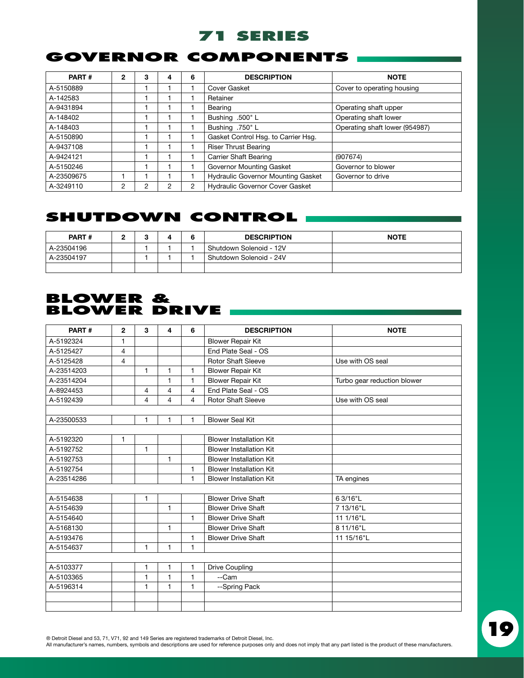## **GOVERNOR COMPONENTS**

| PART#      | 2 | з | 4 | 6 | <b>DESCRIPTION</b>                        | <b>NOTE</b>                    |
|------------|---|---|---|---|-------------------------------------------|--------------------------------|
| A-5150889  |   |   |   |   | Cover Gasket                              | Cover to operating housing     |
| A-142583   |   |   |   |   | Retainer                                  |                                |
| A-9431894  |   |   |   |   | Bearing                                   | Operating shaft upper          |
| A-148402   |   |   |   |   | Bushing .500" L                           | Operating shaft lower          |
| A-148403   |   |   |   |   | Bushing .750" L                           | Operating shaft lower (954987) |
| A-5150890  |   |   |   |   | Gasket Control Hsg. to Carrier Hsg.       |                                |
| A-9437108  |   |   |   |   | <b>Riser Thrust Bearing</b>               |                                |
| A-9424121  |   |   |   |   | <b>Carrier Shaft Bearing</b>              | (907674)                       |
| A-5150246  |   |   |   |   | Governor Mounting Gasket                  | Governor to blower             |
| A-23509675 |   |   |   |   | <b>Hydraulic Governor Mounting Gasket</b> | Governor to drive              |
| A-3249110  | 2 | 2 | 2 | 2 | <b>Hydraulic Governor Cover Gasket</b>    |                                |

## **SHUTDOWN CONTROL**

| <b>PART#</b> | ◠<br>u | 6 | <b>DESCRIPTION</b>      | <b>NOTE</b> |
|--------------|--------|---|-------------------------|-------------|
| A-23504196   |        |   | Shutdown Solenoid - 12V |             |
| A-23504197   |        |   | Shutdown Solenoid - 24V |             |
|              |        |   |                         |             |

## **BLOWER & BLOWER &**<br>BLOWER DRIV

| PART#      | $\mathbf{2}$   | 3 | 4              | 6            | <b>DESCRIPTION</b>             | <b>NOTE</b>                 |
|------------|----------------|---|----------------|--------------|--------------------------------|-----------------------------|
| A-5192324  | 1              |   |                |              | <b>Blower Repair Kit</b>       |                             |
| A-5125427  | $\overline{4}$ |   |                |              | End Plate Seal - OS            |                             |
| A-5125428  | 4              |   |                |              | <b>Rotor Shaft Sleeve</b>      | Use with OS seal            |
| A-23514203 |                | 1 | 1              | 1            | <b>Blower Repair Kit</b>       |                             |
| A-23514204 |                |   | 1              | 1            | <b>Blower Repair Kit</b>       | Turbo gear reduction blower |
| A-8924453  |                | 4 | 4              | 4            | End Plate Seal - OS            |                             |
| A-5192439  |                | 4 | $\overline{4}$ | 4            | <b>Rotor Shaft Sleeve</b>      | Use with OS seal            |
|            |                |   |                |              |                                |                             |
| A-23500533 |                | 1 | 1              | 1            | <b>Blower Seal Kit</b>         |                             |
|            |                |   |                |              |                                |                             |
| A-5192320  | 1              |   |                |              | <b>Blower Installation Kit</b> |                             |
| A-5192752  |                | 1 |                |              | <b>Blower Installation Kit</b> |                             |
| A-5192753  |                |   | $\mathbf{1}$   |              | <b>Blower Installation Kit</b> |                             |
| A-5192754  |                |   |                | 1            | <b>Blower Installation Kit</b> |                             |
| A-23514286 |                |   |                | 1            | <b>Blower Installation Kit</b> | TA engines                  |
|            |                |   |                |              |                                |                             |
| A-5154638  |                | 1 |                |              | <b>Blower Drive Shaft</b>      | 63/16"L                     |
| A-5154639  |                |   | $\mathbf{1}$   |              | <b>Blower Drive Shaft</b>      | 7 13/16"L                   |
| A-5154640  |                |   |                | 1            | <b>Blower Drive Shaft</b>      | 11 1/16"L                   |
| A-5168130  |                |   | $\mathbf{1}$   |              | <b>Blower Drive Shaft</b>      | 8 11/16"L                   |
| A-5193476  |                |   |                | 1            | <b>Blower Drive Shaft</b>      | 11 15/16"L                  |
| A-5154637  |                | 1 | $\mathbf{1}$   | 1            |                                |                             |
|            |                |   |                |              |                                |                             |
| A-5103377  |                | 1 | $\mathbf{1}$   | $\mathbf{1}$ | <b>Drive Coupling</b>          |                             |
| A-5103365  |                | 1 | 1              | 1            | --Cam                          |                             |
| A-5196314  |                | 1 | 1              | $\mathbf{1}$ | --Spring Pack                  |                             |
|            |                |   |                |              |                                |                             |
|            |                |   |                |              |                                |                             |

® Detroit Diesel and 53, 71, V71, 92 and 149 Series are registered trademarks of Detroit Diesel, Inc.

All manufacturer's names, numbers, symbols and descriptions are used for reference purposes only and does not imply that any part listed is the product of these manufacturers.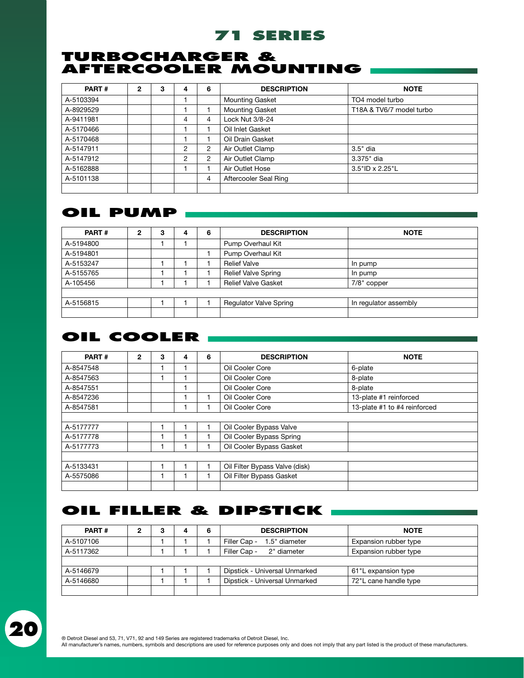## **turbocharger & AFTERCOOLER MOUNTING**

| <b>PART#</b> | $\mathbf{2}$ | з | 4              | 6 | <b>DESCRIPTION</b>     | <b>NOTE</b>              |
|--------------|--------------|---|----------------|---|------------------------|--------------------------|
| A-5103394    |              |   |                |   | <b>Mounting Gasket</b> | TO4 model turbo          |
| A-8929529    |              |   |                |   | <b>Mounting Gasket</b> | T18A & TV6/7 model turbo |
| A-9411981    |              |   | 4              | 4 | Lock Nut 3/8-24        |                          |
| A-5170466    |              |   |                |   | Oil Inlet Gasket       |                          |
| A-5170468    |              |   |                |   | Oil Drain Gasket       |                          |
| A-5147911    |              |   | $\overline{2}$ | 2 | Air Outlet Clamp       | 3.5" dia                 |
| A-5147912    |              |   | 2              | 2 | Air Outlet Clamp       | 3.375" dia               |
| A-5162888    |              |   |                |   | Air Outlet Hose        | 3.5"ID x 2.25"L          |
| A-5101138    |              |   |                | 4 | Aftercooler Seal Ring  |                          |
|              |              |   |                |   |                        |                          |

## **OIL PUMP**

| PART#     | 2 | з | 4 | 6 | <b>DESCRIPTION</b>            | <b>NOTE</b>           |
|-----------|---|---|---|---|-------------------------------|-----------------------|
| A-5194800 |   |   |   |   | Pump Overhaul Kit             |                       |
| A-5194801 |   |   |   |   | Pump Overhaul Kit             |                       |
| A-5153247 |   |   |   |   | <b>Relief Valve</b>           | In pump               |
| A-5155765 |   |   |   |   | <b>Relief Valve Spring</b>    | In pump               |
| A-105456  |   |   |   |   | <b>Relief Valve Gasket</b>    | 7/8" copper           |
|           |   |   |   |   |                               |                       |
| A-5156815 |   |   |   |   | <b>Regulator Valve Spring</b> | In regulator assembly |
|           |   |   |   |   |                               |                       |

## **OIL COOLER**

| PART#     | $\mathbf{2}$ | 3 | 4 | 6 | <b>DESCRIPTION</b>             | <b>NOTE</b>                  |
|-----------|--------------|---|---|---|--------------------------------|------------------------------|
| A-8547548 |              |   |   |   | Oil Cooler Core                | 6-plate                      |
| A-8547563 |              |   |   |   | Oil Cooler Core                | 8-plate                      |
| A-8547551 |              |   |   |   | Oil Cooler Core                | 8-plate                      |
| A-8547236 |              |   |   |   | Oil Cooler Core                | 13-plate #1 reinforced       |
| A-8547581 |              |   |   |   | Oil Cooler Core                | 13-plate #1 to #4 reinforced |
|           |              |   |   |   |                                |                              |
| A-5177777 |              |   |   |   | Oil Cooler Bypass Valve        |                              |
| A-5177778 |              |   |   |   | Oil Cooler Bypass Spring       |                              |
| A-5177773 |              |   |   |   | Oil Cooler Bypass Gasket       |                              |
|           |              |   |   |   |                                |                              |
| A-5133431 |              |   |   |   | Oil Filter Bypass Valve (disk) |                              |
| A-5575086 |              |   |   |   | Oil Filter Bypass Gasket       |                              |
|           |              |   |   |   |                                |                              |

## **OIL FILLER & DIPSTICK**

| PART#     | 2 | 3 | 4 | 6 | <b>DESCRIPTION</b>            | <b>NOTE</b>           |
|-----------|---|---|---|---|-------------------------------|-----------------------|
| A-5107106 |   |   |   |   | 1.5" diameter<br>Filler Cap - | Expansion rubber type |
| A-5117362 |   |   |   |   | Filler Cap -<br>2" diameter   | Expansion rubber type |
|           |   |   |   |   |                               |                       |
| A-5146679 |   |   |   |   | Dipstick - Universal Unmarked | 61"L expansion type   |
| A-5146680 |   |   |   |   | Dipstick - Universal Unmarked | 72"L cane handle type |
|           |   |   |   |   |                               |                       |



® Detroit Diesel and 53, 71, V71, 92 and 149 Series are registered trademarks of Detroit Diesel, Inc. All manufacturer's names, numbers, symbols and descriptions are used for reference purposes only and does not imply that any part listed is the product of these manufacturers.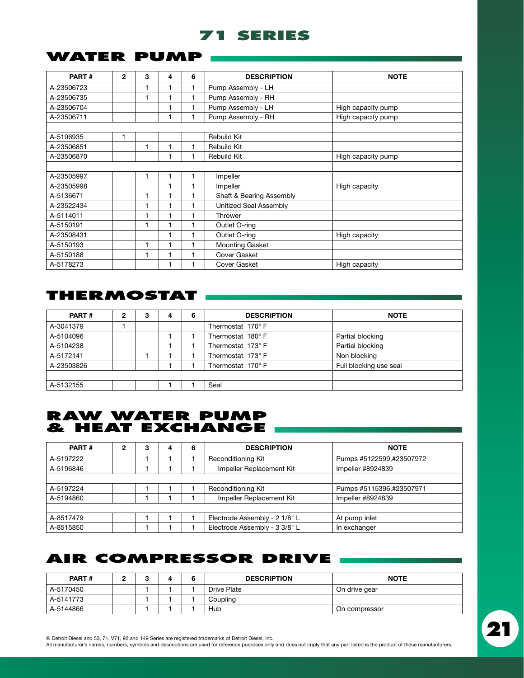## **water pump**

| PART#      | $\mathbf{2}$ | 3 |   | 6 | <b>DESCRIPTION</b>       | <b>NOTE</b>        |
|------------|--------------|---|---|---|--------------------------|--------------------|
|            |              |   | 4 |   |                          |                    |
| A-23506723 |              |   |   |   | Pump Assembly - LH       |                    |
| A-23506735 |              | 1 | 1 |   | Pump Assembly - RH       |                    |
| A-23506704 |              |   | 1 |   | Pump Assembly - LH       | High capacity pump |
| A-23506711 |              |   | 1 |   | Pump Assembly - RH       | High capacity pump |
|            |              |   |   |   |                          |                    |
| A-5196935  |              |   |   |   | Rebuild Kit              |                    |
| A-23506851 |              | 1 | 1 |   | <b>Rebuild Kit</b>       |                    |
| A-23506870 |              |   | 1 |   | <b>Rebuild Kit</b>       | High capacity pump |
|            |              |   |   |   |                          |                    |
| A-23505997 |              |   |   |   | Impeller                 |                    |
| A-23505998 |              |   | 1 |   | Impeller                 | High capacity      |
| A-5136671  |              | 1 |   |   | Shaft & Bearing Assembly |                    |
| A-23522434 |              | 1 | ٠ |   | Unitized Seal Assembly   |                    |
| A-5114011  |              | 1 | 1 |   | Thrower                  |                    |
| A-5150191  |              | 1 |   |   | Outlet O-ring            |                    |
| A-23508431 |              |   | 1 |   | Outlet O-ring            | High capacity      |
| A-5150193  |              | 1 |   |   | Mounting Gasket          |                    |
| A-5150188  |              | 1 | ٠ |   | Cover Gasket             |                    |
| A-5178273  |              |   | 1 |   | Cover Gasket             | High capacity      |

## **thermostat**

| PART#      | 2 | з | 4 | 6 | <b>DESCRIPTION</b>       | <b>NOTE</b>            |
|------------|---|---|---|---|--------------------------|------------------------|
| A-3041379  |   |   |   |   | Thermostat $170^\circ$ F |                        |
| A-5104096  |   |   |   |   | Thermostat 180° F        | Partial blocking       |
| A-5104238  |   |   |   |   | Thermostat 173° F        | Partial blocking       |
| A-5172141  |   |   |   |   | Thermostat 173° F        | Non blocking           |
| A-23503826 |   |   |   |   | Thermostat 170° F        | Full blocking use seal |
|            |   |   |   |   |                          |                        |
| A-5132155  |   |   |   |   | Seal                     |                        |

## **raw water pump & heat exchange**

| PART#     | 2 | З | 4 | 6 | <b>DESCRIPTION</b>            | <b>NOTE</b>              |  |
|-----------|---|---|---|---|-------------------------------|--------------------------|--|
| A-5197222 |   |   |   |   | Reconditioning Kit            | Pumps #5122599,#23507972 |  |
| A-5196846 |   |   |   |   | Impeller Replacement Kit      | Impeller #8924839        |  |
|           |   |   |   |   |                               |                          |  |
| A-5197224 |   |   |   |   | Reconditioning Kit            | Pumps #5115396,#23507971 |  |
| A-5194860 |   |   |   |   | Impeller Replacement Kit      | Impeller #8924839        |  |
|           |   |   |   |   |                               |                          |  |
| A-8517479 |   |   |   |   | Electrode Assembly - 2 1/8" L | At pump inlet            |  |
| A-8515850 |   |   |   |   | Electrode Assembly - 3 3/8" L | In exchanger             |  |

## **air compressor drive**

| PART#     |  | л | c | <b>DESCRIPTION</b> | <b>NOTE</b>   |
|-----------|--|---|---|--------------------|---------------|
| A-5170450 |  |   |   | Drive Plate        | On drive gear |
| A-5141773 |  |   |   | Coupling           |               |
| A-5144866 |  |   |   | Hub                | On compressor |

® Detroit Diesel and 53, 71, V71, 92 and 149 Series are registered trademarks of Detroit Diesel, Inc.

All manufacturer's names, numbers, symbols and descriptions are used for reference purposes only and does not imply that any part listed is the product of these manufacturers.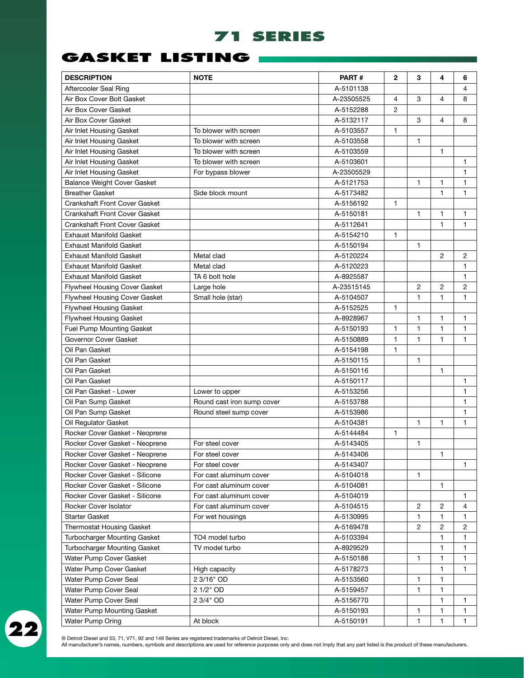## **gasket listing**

| <b>DESCRIPTION</b>                  | <b>NOTE</b>                | PART#      | $\mathbf{2}$ | 3              | 4              | 6            |
|-------------------------------------|----------------------------|------------|--------------|----------------|----------------|--------------|
| Aftercooler Seal Ring               |                            | A-5101138  |              |                |                | 4            |
| Air Box Cover Bolt Gasket           |                            | A-23505525 | 4            | 3              | 4              | 8            |
| Air Box Cover Gasket                |                            | A-5152288  | 2            |                |                |              |
| Air Box Cover Gasket                |                            | A-5132117  |              | 3              | 4              | 8            |
| Air Inlet Housing Gasket            | To blower with screen      | A-5103557  | 1            |                |                |              |
| Air Inlet Housing Gasket            | To blower with screen      | A-5103558  |              | $\mathbf{1}$   |                |              |
| Air Inlet Housing Gasket            | To blower with screen      | A-5103559  |              |                | 1              |              |
| Air Inlet Housing Gasket            | To blower with screen      | A-5103601  |              |                |                | 1            |
| Air Inlet Housing Gasket            | For bypass blower          | A-23505529 |              |                |                | 1            |
| <b>Balance Weight Cover Gasket</b>  |                            | A-5121753  |              | $\mathbf{1}$   | 1              | 1            |
| <b>Breather Gasket</b>              | Side block mount           | A-5173482  |              |                | 1              | $\mathbf{1}$ |
| Crankshaft Front Cover Gasket       |                            | A-5156192  | 1            |                |                |              |
| Crankshaft Front Cover Gasket       |                            | A-5150181  |              | $\mathbf{1}$   | 1              | $\mathbf{1}$ |
| Crankshaft Front Cover Gasket       |                            | A-5112641  |              |                | 1              | $\mathbf{1}$ |
| <b>Exhaust Manifold Gasket</b>      |                            | A-5154210  | 1            |                |                |              |
| <b>Exhaust Manifold Gasket</b>      |                            | A-5150194  |              | 1              |                |              |
| <b>Exhaust Manifold Gasket</b>      | Metal clad                 | A-5120224  |              |                | 2              | 2            |
| Exhaust Manifold Gasket             | Metal clad                 | A-5120223  |              |                |                | 1            |
| <b>Exhaust Manifold Gasket</b>      | TA 6 bolt hole             | A-8925587  |              |                |                | 1            |
| Flywheel Housing Cover Gasket       | Large hole                 | A-23515145 |              | 2              | 2              | 2            |
| Flywheel Housing Cover Gasket       | Small hole (star)          | A-5104507  |              | $\mathbf{1}$   | 1              | 1            |
| <b>Flywheel Housing Gasket</b>      |                            | A-5152525  | 1            |                |                |              |
| <b>Flywheel Housing Gasket</b>      |                            | A-8928967  |              | 1              | 1              | 1            |
| Fuel Pump Mounting Gasket           |                            | A-5150193  | 1            | $\mathbf{1}$   | 1              | 1            |
| Governor Cover Gasket               |                            | A-5150889  | 1            | 1              | 1              | 1            |
| Oil Pan Gasket                      |                            | A-5154198  | $\mathbf{1}$ |                |                |              |
| Oil Pan Gasket                      |                            | A-5150115  |              | 1              |                |              |
| Oil Pan Gasket                      |                            | A-5150116  |              |                | 1              |              |
| Oil Pan Gasket                      |                            | A-5150117  |              |                |                | 1            |
| Oil Pan Gasket - Lower              | Lower to upper             | A-5153256  |              |                |                | $\mathbf{1}$ |
| Oil Pan Sump Gasket                 | Round cast iron sump cover | A-5153788  |              |                |                | 1            |
| Oil Pan Sump Gasket                 | Round steel sump cover     | A-5153986  |              |                |                | 1            |
| Oil Regulator Gasket                |                            | A-5104381  |              | $\mathbf{1}$   | 1              | 1            |
| Rocker Cover Gasket - Neoprene      |                            | A-5144484  | 1            |                |                |              |
| Rocker Cover Gasket - Neoprene      | For steel cover            | A-5143405  |              | $\mathbf{1}$   |                |              |
| Rocker Cover Gasket - Neoprene      | For steel cover            | A-5143406  |              |                | 1              |              |
| Rocker Cover Gasket - Neoprene      | For steel cover            | A-5143407  |              |                |                | $\mathbf{1}$ |
| Rocker Cover Gasket - Silicone      | For cast aluminum cover    | A-5104018  |              | $\mathbf{1}$   |                |              |
| Rocker Cover Gasket - Silicone      | For cast aluminum cover    | A-5104081  |              |                | 1              |              |
| Rocker Cover Gasket - Silicone      | For cast aluminum cover    | A-5104019  |              |                |                | 1            |
| Rocker Cover Isolator               | For cast aluminum cover    | A-5104515  |              | $\overline{c}$ | 2              | 4            |
| <b>Starter Gasket</b>               | For wet housings           | A-5130995  |              | 1              | 1              | 1            |
| <b>Thermostat Housing Gasket</b>    |                            | A-5169478  |              | 2              | $\overline{c}$ | 2            |
| Turbocharger Mounting Gasket        | TO4 model turbo            | A-5103394  |              |                | 1              | 1            |
| <b>Turbocharger Mounting Gasket</b> | TV model turbo             | A-8929529  |              |                | 1              | 1            |
| Water Pump Cover Gasket             |                            | A-5150188  |              | 1              | 1              | 1            |
| Water Pump Cover Gasket             | High capacity              | A-5178273  |              |                | 1              | 1            |
| Water Pump Cover Seal               | 2 3/16" OD                 | A-5153560  |              | 1              | 1              |              |
| Water Pump Cover Seal               | 2 1/2" OD                  | A-5159457  |              | 1              | 1              |              |
| Water Pump Cover Seal               | 2 3/4" OD                  | A-5156770  |              |                | 1              | 1            |
| Water Pump Mounting Gasket          |                            | A-5150193  |              | 1              | 1              | 1            |
| Water Pump Oring                    | At block                   | A-5150191  |              | 1              | 1              | 1            |
|                                     |                            |            |              |                |                |              |

**22**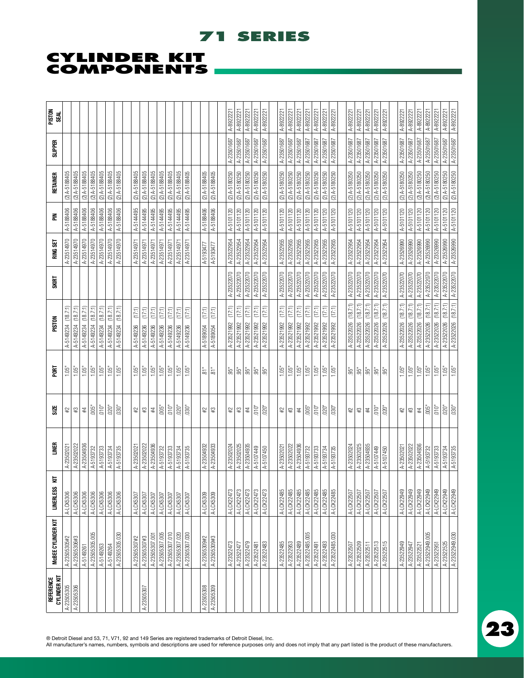## **cylinder kit COMPONENT**

Ŧ

**71 SERIES**

\_\_\_\_\_\_\_\_\_\_\_\_\_\_\_\_\_\_\_\_\_\_\_\_\_\_

 $\overline{\phantom{a}}$ 

® Detroit Diesel and 53, 71, V71, 92 and 149 Series are registered trademarks of Detroit Diesel, Inc.<br>All manufacturer's names, numbers, symbols and descriptions are used for reference purposes only and does not imply that

**23**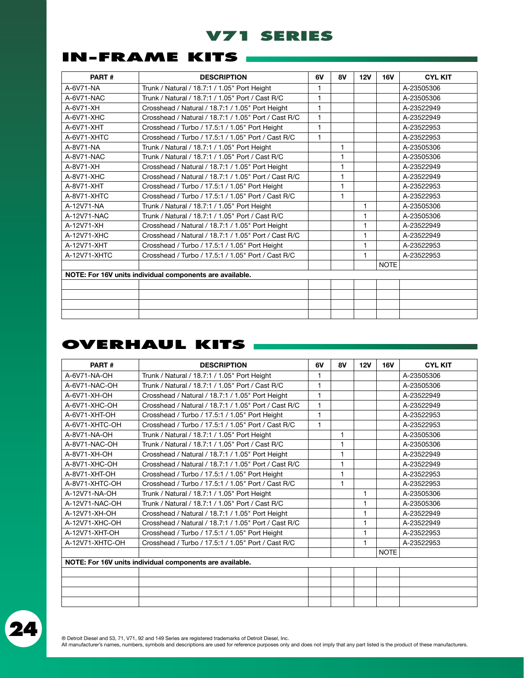## **in-frame kits**

| PART#        | <b>DESCRIPTION</b>                                       | 6V | 8V           | 12V          | <b>16V</b>  | <b>CYL KIT</b> |
|--------------|----------------------------------------------------------|----|--------------|--------------|-------------|----------------|
| A-6V71-NA    | Trunk / Natural / 18.7:1 / 1.05" Port Height             | 1  |              |              |             | A-23505306     |
| A-6V71-NAC   | Trunk / Natural / 18.7:1 / 1.05" Port / Cast R/C         |    | A-23505306   |              |             |                |
| A-6V71-XH    | Crosshead / Natural / 18.7:1 / 1.05" Port Height         | 1  |              |              |             | A-23522949     |
| A-6V71-XHC   | Crosshead / Natural / 18.7:1 / 1.05" Port / Cast R/C     | 1  |              |              |             | A-23522949     |
| A-6V71-XHT   | Crosshead / Turbo / 17.5:1 / 1.05" Port Height           | 1  |              |              |             | A-23522953     |
| A-6V71-XHTC  | Crosshead / Turbo / 17.5:1 / 1.05" Port / Cast R/C       | 1  |              |              |             | A-23522953     |
| A-8V71-NA    | Trunk / Natural / 18.7:1 / 1.05" Port Height             |    | $\mathbf{1}$ |              |             | A-23505306     |
| A-8V71-NAC   | Trunk / Natural / 18.7:1 / 1.05" Port / Cast R/C         |    | 1            |              |             | A-23505306     |
| A-8V71-XH    | Crosshead / Natural / 18.7:1 / 1.05" Port Height         |    | 1            |              |             | A-23522949     |
| A-8V71-XHC   | Crosshead / Natural / 18.7:1 / 1.05" Port / Cast R/C     |    | 1            |              |             | A-23522949     |
| A-8V71-XHT   | Crosshead / Turbo / 17.5:1 / 1.05" Port Height           |    | 1            |              |             | A-23522953     |
| A-8V71-XHTC  | Crosshead / Turbo / 17.5:1 / 1.05" Port / Cast R/C       |    | 1            |              |             | A-23522953     |
| A-12V71-NA   | Trunk / Natural / 18.7:1 / 1.05" Port Height             |    |              | $\mathbf{1}$ |             | A-23505306     |
| A-12V71-NAC  | Trunk / Natural / 18.7:1 / 1.05" Port / Cast R/C         |    |              | 1            |             | A-23505306     |
| A-12V71-XH   | Crosshead / Natural / 18.7:1 / 1.05" Port Height         |    |              | 1            |             | A-23522949     |
| A-12V71-XHC  | Crosshead / Natural / 18.7:1 / 1.05" Port / Cast R/C     |    |              | $\mathbf{1}$ |             | A-23522949     |
| A-12V71-XHT  | Crosshead / Turbo / 17.5:1 / 1.05" Port Height           |    |              | 1            |             | A-23522953     |
| A-12V71-XHTC | Crosshead / Turbo / 17.5:1 / 1.05" Port / Cast R/C       |    |              | 1            |             | A-23522953     |
|              |                                                          |    |              |              | <b>NOTE</b> |                |
|              | NOTE: For 16V units individual components are available. |    |              |              |             |                |
|              |                                                          |    |              |              |             |                |
|              |                                                          |    |              |              |             |                |
|              |                                                          |    |              |              |             |                |
|              |                                                          |    |              |              |             |                |

## **overhaul kits**

| PART#           | <b>DESCRIPTION</b>                                       | 6V           | 8V           | 12V | <b>16V</b>  | <b>CYL KIT</b> |
|-----------------|----------------------------------------------------------|--------------|--------------|-----|-------------|----------------|
| A-6V71-NA-OH    | Trunk / Natural / 18.7:1 / 1.05" Port Height             | 1            |              |     |             | A-23505306     |
| A-6V71-NAC-OH   | Trunk / Natural / 18.7:1 / 1.05" Port / Cast R/C         | $\mathbf{1}$ |              |     |             | A-23505306     |
| A-6V71-XH-OH    | Crosshead / Natural / 18.7:1 / 1.05" Port Height         | 1            |              |     |             | A-23522949     |
| A-6V71-XHC-OH   | Crosshead / Natural / 18.7:1 / 1.05" Port / Cast R/C     | 1            |              |     |             | A-23522949     |
| A-6V71-XHT-OH   | Crosshead / Turbo / 17.5:1 / 1.05" Port Height           | 1            |              |     |             | A-23522953     |
| A-6V71-XHTC-OH  | Crosshead / Turbo / 17.5:1 / 1.05" Port / Cast R/C       | $\mathbf{1}$ |              |     |             | A-23522953     |
| A-8V71-NA-OH    | Trunk / Natural / 18.7:1 / 1.05" Port Height             |              | 1            |     |             | A-23505306     |
| A-8V71-NAC-OH   | Trunk / Natural / 18.7:1 / 1.05" Port / Cast R/C         |              | 1            |     |             | A-23505306     |
| A-8V71-XH-OH    | Crosshead / Natural / 18.7:1 / 1.05" Port Height         |              | 1            |     |             | A-23522949     |
| A-8V71-XHC-OH   | Crosshead / Natural / 18.7:1 / 1.05" Port / Cast R/C     |              | $\mathbf{1}$ |     |             | A-23522949     |
| A-8V71-XHT-OH   | Crosshead / Turbo / 17.5:1 / 1.05" Port Height           |              | $\mathbf{1}$ |     |             | A-23522953     |
| A-8V71-XHTC-OH  | Crosshead / Turbo / 17.5:1 / 1.05" Port / Cast R/C       |              | $\mathbf{1}$ |     |             | A-23522953     |
| A-12V71-NA-OH   | Trunk / Natural / 18.7:1 / 1.05" Port Height             |              |              | 1   |             | A-23505306     |
| A-12V71-NAC-OH  | Trunk / Natural / 18.7:1 / 1.05" Port / Cast R/C         |              |              | 1   |             | A-23505306     |
| A-12V71-XH-OH   | Crosshead / Natural / 18.7:1 / 1.05" Port Height         |              |              | 1   |             | A-23522949     |
| A-12V71-XHC-OH  | Crosshead / Natural / 18.7:1 / 1.05" Port / Cast R/C     |              |              | 1   |             | A-23522949     |
| A-12V71-XHT-OH  | Crosshead / Turbo / 17.5:1 / 1.05" Port Height           |              |              | 1   |             | A-23522953     |
| A-12V71-XHTC-OH | Crosshead / Turbo / 17.5:1 / 1.05" Port / Cast R/C       |              |              | 1   |             | A-23522953     |
|                 |                                                          |              |              |     | <b>NOTE</b> |                |
|                 | NOTE: For 16V units individual components are available. |              |              |     |             |                |
|                 |                                                          |              |              |     |             |                |
|                 |                                                          |              |              |     |             |                |
|                 |                                                          |              |              |     |             |                |
|                 |                                                          |              |              |     |             |                |

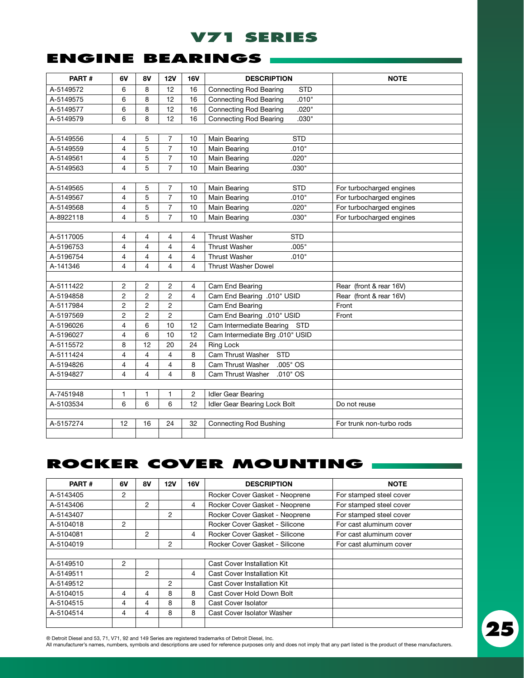## **engine bearings**

| PART#     | 6V                       | <b>8V</b>      | <b>12V</b>     | <b>16V</b>     | <b>DESCRIPTION</b>                          | <b>NOTE</b>              |
|-----------|--------------------------|----------------|----------------|----------------|---------------------------------------------|--------------------------|
| A-5149572 | 6                        | 8              | 12             | 16             | <b>STD</b><br><b>Connecting Rod Bearing</b> |                          |
| A-5149575 | 6                        | 8              | 12             | 16             | <b>Connecting Rod Bearing</b><br>.010"      |                          |
| A-5149577 | 6                        | 8              | 12             | 16             | <b>Connecting Rod Bearing</b><br>.020"      |                          |
| A-5149579 | 6                        | 8              | 12             | 16             | <b>Connecting Rod Bearing</b><br>.030"      |                          |
|           |                          |                |                |                |                                             |                          |
| A-5149556 | 4                        | 5              | $\overline{7}$ | 10             | <b>STD</b><br>Main Bearing                  |                          |
| A-5149559 | $\overline{\mathcal{L}}$ | 5              | $\overline{7}$ | 10             | .010"<br>Main Bearing                       |                          |
| A-5149561 | 4                        | 5              | $\overline{7}$ | 10             | .020"<br>Main Bearing                       |                          |
| A-5149563 | $\overline{4}$           | 5              | $\overline{7}$ | 10             | .030"<br>Main Bearing                       |                          |
|           |                          |                |                |                |                                             |                          |
| A-5149565 | 4                        | 5              | $\overline{7}$ | 10             | Main Bearing<br><b>STD</b>                  | For turbocharged engines |
| A-5149567 | $\overline{4}$           | 5              | $\overline{7}$ | 10             | .010"<br>Main Bearing                       | For turbocharged engines |
| A-5149568 | $\overline{4}$           | 5              | $\overline{7}$ | 10             | .020"<br>Main Bearing                       | For turbocharged engines |
| A-8922118 | 4                        | 5              | $\overline{7}$ | 10             | .030"<br>Main Bearing                       | For turbocharged engines |
|           |                          |                |                |                |                                             |                          |
| A-5117005 | 4                        | 4              | 4              | 4              | <b>Thrust Washer</b><br><b>STD</b>          |                          |
| A-5196753 | $\overline{4}$           | 4              | $\overline{4}$ | $\overline{4}$ | .005"<br><b>Thrust Washer</b>               |                          |
| A-5196754 | $\overline{4}$           | 4              | 4              | $\overline{4}$ | .010"<br><b>Thrust Washer</b>               |                          |
| A-141346  | $\overline{\mathcal{L}}$ | 4              | $\overline{4}$ | 4              | <b>Thrust Washer Dowel</b>                  |                          |
|           |                          |                |                |                |                                             |                          |
| A-5111422 | $\overline{2}$           | $\overline{2}$ | $\overline{2}$ | 4              | Cam End Bearing                             | Rear (front & rear 16V)  |
| A-5194858 | $\overline{2}$           | $\overline{2}$ | $\overline{2}$ | 4              | Cam End Bearing .010" USID                  | Rear (front & rear 16V)  |
| A-5117984 | $\overline{2}$           | $\overline{2}$ | $\overline{2}$ |                | Cam End Bearing                             | Front                    |
| A-5197569 | $\overline{2}$           | $\overline{2}$ | $\overline{2}$ |                | Cam End Bearing .010" USID                  | Front                    |
| A-5196026 | $\overline{4}$           | 6              | 10             | 12             | Cam Intermediate Bearing STD                |                          |
| A-5196027 | 4                        | 6              | 10             | 12             | Cam Intermediate Brg .010" USID             |                          |
| A-5115572 | 8                        | 12             | 20             | 24             | <b>Ring Lock</b>                            |                          |
| A-5111424 | 4                        | 4              | $\overline{4}$ | 8              | Cam Thrust Washer<br><b>STD</b>             |                          |
| A-5194826 | 4                        | 4              | $\overline{4}$ | 8              | $.005"$ OS<br>Cam Thrust Washer             |                          |
| A-5194827 | $\overline{4}$           | 4              | $\overline{4}$ | 8              | $.010"$ OS<br>Cam Thrust Washer             |                          |
|           |                          |                |                |                |                                             |                          |
| A-7451948 | 1                        | 1              | 1              | $\overline{c}$ | Idler Gear Bearing                          |                          |
| A-5103534 | 6                        | 6              | 6              | 12             | Idler Gear Bearing Lock Bolt                | Do not reuse             |
|           |                          |                |                |                |                                             |                          |
| A-5157274 | 12                       | 16             | 24             | 32             | <b>Connecting Rod Bushing</b>               | For trunk non-turbo rods |
|           |                          |                |                |                |                                             |                          |

## **ROCKER COVER MOUNTING**

| PART#     | 6V             | <b>8V</b> | 12V | 16V | <b>DESCRIPTION</b>             | <b>NOTE</b>             |
|-----------|----------------|-----------|-----|-----|--------------------------------|-------------------------|
| A-5143405 | 2              |           |     |     | Rocker Cover Gasket - Neoprene | For stamped steel cover |
| A-5143406 |                | 2         |     | 4   | Rocker Cover Gasket - Neoprene | For stamped steel cover |
| A-5143407 |                |           | 2   |     | Rocker Cover Gasket - Neoprene | For stamped steel cover |
| A-5104018 | $\overline{2}$ |           |     |     | Rocker Cover Gasket - Silicone | For cast aluminum cover |
| A-5104081 |                | 2         |     | 4   | Rocker Cover Gasket - Silicone | For cast aluminum cover |
| A-5104019 |                |           | 2   |     | Rocker Cover Gasket - Silicone | For cast aluminum cover |
|           |                |           |     |     |                                |                         |
| A-5149510 | 2              |           |     |     | Cast Cover Installation Kit    |                         |
| A-5149511 |                | 2         |     | 4   | Cast Cover Installation Kit    |                         |
| A-5149512 |                |           | 2   |     | Cast Cover Installation Kit    |                         |
| A-5104015 | 4              | 4         | 8   | 8   | Cast Cover Hold Down Bolt      |                         |
| A-5104515 | 4              | 4         | 8   | 8   | Cast Cover Isolator            |                         |
| A-5104514 | 4              | 4         | 8   | 8   | Cast Cover Isolator Washer     |                         |
|           |                |           |     |     |                                |                         |

® Detroit Diesel and 53, 71, V71, 92 and 149 Series are registered trademarks of Detroit Diesel, Inc.<br>All manufacturer's names, numbers, symbols and descriptions are used for reference purposes only and does not imply that

**25**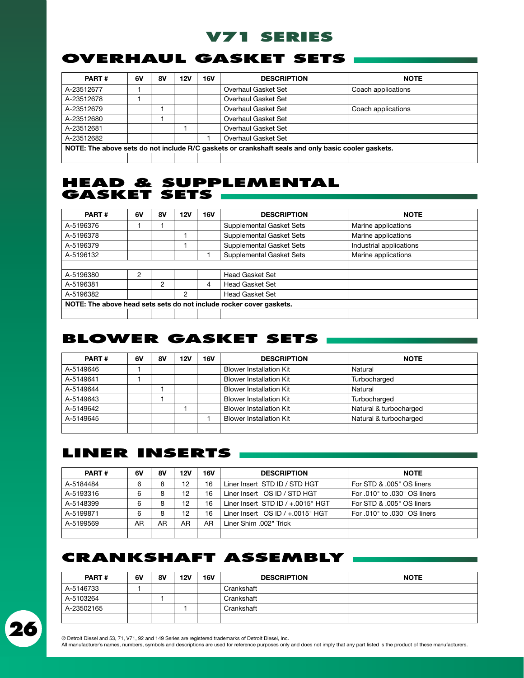## **OVERHAUL GASKET SETS**

| PART#      | 6V | <b>8V</b> | 12V | <b>16V</b> | <b>DESCRIPTION</b>                                                                                 | <b>NOTE</b>        |
|------------|----|-----------|-----|------------|----------------------------------------------------------------------------------------------------|--------------------|
| A-23512677 |    |           |     |            | Overhaul Gasket Set                                                                                | Coach applications |
| A-23512678 |    |           |     |            | Overhaul Gasket Set                                                                                |                    |
| A-23512679 |    |           |     |            | Overhaul Gasket Set                                                                                | Coach applications |
| A-23512680 |    |           |     |            | Overhaul Gasket Set                                                                                |                    |
| A-23512681 |    |           |     |            | Overhaul Gasket Set                                                                                |                    |
| A-23512682 |    |           |     |            | Overhaul Gasket Set                                                                                |                    |
|            |    |           |     |            | NOTE: The above sets do not include R/C gaskets or crankshaft seals and only basic cooler gaskets. |                    |
|            |    |           |     |            |                                                                                                    |                    |

## **HEAD & SUPPLEMENTAL GASKET SETS**

| PART#                                                               | 6V | <b>8V</b> | 12V | 16V | <b>DESCRIPTION</b>       | <b>NOTE</b>             |  |
|---------------------------------------------------------------------|----|-----------|-----|-----|--------------------------|-------------------------|--|
| A-5196376                                                           |    |           |     |     | Supplemental Gasket Sets | Marine applications     |  |
| A-5196378                                                           |    |           |     |     | Supplemental Gasket Sets | Marine applications     |  |
| A-5196379                                                           |    |           |     |     | Supplemental Gasket Sets | Industrial applications |  |
| A-5196132                                                           |    |           |     |     | Supplemental Gasket Sets | Marine applications     |  |
|                                                                     |    |           |     |     |                          |                         |  |
| A-5196380                                                           | 2  |           |     |     | <b>Head Gasket Set</b>   |                         |  |
| A-5196381                                                           |    | 2         |     | 4   | <b>Head Gasket Set</b>   |                         |  |
| A-5196382                                                           |    |           | 2   |     | <b>Head Gasket Set</b>   |                         |  |
| NOTE: The above head sets sets do not include rocker cover gaskets. |    |           |     |     |                          |                         |  |
|                                                                     |    |           |     |     |                          |                         |  |

## **BLOWER GASKET SETS**

| PART#     | 6V | <b>8V</b> | 12V | <b>16V</b> | <b>DESCRIPTION</b>             | <b>NOTE</b>            |
|-----------|----|-----------|-----|------------|--------------------------------|------------------------|
| A-5149646 |    |           |     |            | <b>Blower Installation Kit</b> | Natural                |
| A-5149641 |    |           |     |            | <b>Blower Installation Kit</b> | Turbocharged           |
| A-5149644 |    |           |     |            | <b>Blower Installation Kit</b> | Natural                |
| A-5149643 |    |           |     |            | <b>Blower Installation Kit</b> | Turbocharged           |
| A-5149642 |    |           |     |            | <b>Blower Installation Kit</b> | Natural & turbocharged |
| A-5149645 |    |           |     |            | <b>Blower Installation Kit</b> | Natural & turbocharged |
|           |    |           |     |            |                                |                        |

## **LINER INSERTS**

| PART#     | 6V | 8V | <b>12V</b>        | <b>16V</b> | <b>DESCRIPTION</b>                     | <b>NOTE</b>                  |
|-----------|----|----|-------------------|------------|----------------------------------------|------------------------------|
| A-5184484 | 6  | 8  | 12                | 16         | Liner Insert STD ID / STD HGT          | For STD & .005" OS liners    |
| A-5193316 | 6  | 8  | 12                | 16         | Liner Insert OS ID / STD HGT           | For .010" to .030" OS liners |
| A-5148399 | 6  | 8  | $12 \overline{ }$ | 16         | Liner Insert STD ID $/ +.0015$ " HGT   | For STD & .005" OS liners    |
| A-5199871 | 6  | 8  | 12                | 16         | Liner Insert $OS$ ID $/ + .0015$ " HGT | For .010" to .030" OS liners |
| A-5199569 | AR | AR | AR                | AR         | Liner Shim .002" Trick                 |                              |
|           |    |    |                   |            |                                        |                              |

## **CRANKSHAFT ASSEMBLY**

| PART#      | 6V | 8V | 12V | <b>16V</b> | <b>DESCRIPTION</b> | <b>NOTE</b> |
|------------|----|----|-----|------------|--------------------|-------------|
| A-5146733  |    |    |     |            | Crankshaft         |             |
| A-5103264  |    |    |     |            | Crankshaft         |             |
| A-23502165 |    |    |     |            | Crankshaft         |             |
|            |    |    |     |            |                    |             |

**26**

® Detroit Diesel and 53, 71, V71, 92 and 149 Series are registered trademarks of Detroit Diesel, Inc. All manufacturer's names, numbers, symbols and descriptions are used for reference purposes only and does not imply that any part listed is the product of these manufacturers.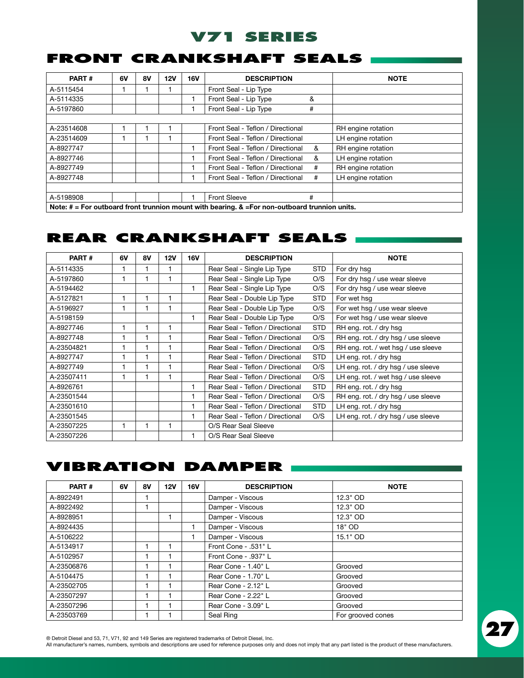## **FRONT CRANKSHAFT SEALS**

| PART#      | 6V                                                                                                | 8V | 12V | 16V | <b>DESCRIPTION</b>                |   | <b>NOTE</b>        |  |  |  |
|------------|---------------------------------------------------------------------------------------------------|----|-----|-----|-----------------------------------|---|--------------------|--|--|--|
| A-5115454  |                                                                                                   |    |     |     | Front Seal - Lip Type             |   |                    |  |  |  |
| A-5114335  |                                                                                                   |    |     |     | Front Seal - Lip Type             | & |                    |  |  |  |
| A-5197860  |                                                                                                   |    |     |     | Front Seal - Lip Type             | # |                    |  |  |  |
|            |                                                                                                   |    |     |     |                                   |   |                    |  |  |  |
| A-23514608 |                                                                                                   |    |     |     | Front Seal - Teflon / Directional |   | RH engine rotation |  |  |  |
| A-23514609 |                                                                                                   |    |     |     | Front Seal - Teflon / Directional |   | LH engine rotation |  |  |  |
| A-8927747  |                                                                                                   |    |     |     | Front Seal - Teflon / Directional | & | RH engine rotation |  |  |  |
| A-8927746  |                                                                                                   |    |     |     | Front Seal - Teflon / Directional | & | LH engine rotation |  |  |  |
| A-8927749  |                                                                                                   |    |     |     | Front Seal - Teflon / Directional | # | RH engine rotation |  |  |  |
| A-8927748  |                                                                                                   |    |     |     | Front Seal - Teflon / Directional | # | LH engine rotation |  |  |  |
|            |                                                                                                   |    |     |     |                                   |   |                    |  |  |  |
| A-5198908  |                                                                                                   |    |     |     | <b>Front Sleeve</b>               | # |                    |  |  |  |
|            | Note: $\#$ = For outboard front trunnion mount with bearing. & = For non-outboard trunnion units. |    |     |     |                                   |   |                    |  |  |  |

## **REAR CRANKSHAFT SEALS**

| PART#      | 6V | 8V | <b>12V</b> | 16V | <b>DESCRIPTION</b>               |            | <b>NOTE</b>                         |
|------------|----|----|------------|-----|----------------------------------|------------|-------------------------------------|
| A-5114335  |    |    |            |     | Rear Seal - Single Lip Type      | <b>STD</b> | For dry hsg                         |
| A-5197860  |    |    | 1          |     | Rear Seal - Single Lip Type      | O/S        | For dry hsg / use wear sleeve       |
| A-5194462  |    |    |            | 1   | Rear Seal - Single Lip Type      | O/S        | For dry hsg / use wear sleeve       |
| A-5127821  |    |    | 1          |     | Rear Seal - Double Lip Type      | <b>STD</b> | For wet hsg                         |
| A-5196927  |    |    |            |     | Rear Seal - Double Lip Type      | O/S        | For wet hsq / use wear sleeve       |
| A-5198159  |    |    |            | 1   | Rear Seal - Double Lip Type      | O/S        | For wet hsg / use wear sleeve       |
| A-8927746  |    | 1  | 1          |     | Rear Seal - Teflon / Directional | <b>STD</b> | RH eng. rot. / dry hsg              |
| A-8927748  |    |    |            |     | Rear Seal - Teflon / Directional | O/S        | RH eng. rot. / dry hsg / use sleeve |
| A-23504821 |    | 1  | 1          |     | Rear Seal - Teflon / Directional | O/S        | RH eng. rot. / wet hsg / use sleeve |
| A-8927747  |    |    | 1          |     | Rear Seal - Teflon / Directional | <b>STD</b> | LH eng. rot. / dry hsq              |
| A-8927749  |    |    |            |     | Rear Seal - Teflon / Directional | O/S        | LH eng. rot. / dry hsg / use sleeve |
| A-23507411 |    |    |            |     | Rear Seal - Teflon / Directional | O/S        | LH eng. rot. / wet hsg / use sleeve |
| A-8926761  |    |    |            |     | Rear Seal - Teflon / Directional | <b>STD</b> | RH eng. rot. / dry hsg              |
| A-23501544 |    |    |            |     | Rear Seal - Teflon / Directional | O/S        | RH eng. rot. / dry hsg / use sleeve |
| A-23501610 |    |    |            |     | Rear Seal - Teflon / Directional | <b>STD</b> | LH eng. rot. / dry hsg              |
| A-23501545 |    |    |            |     | Rear Seal - Teflon / Directional | O/S        | LH eng. rot. / dry hsg / use sleeve |
| A-23507225 |    |    | 1          |     | O/S Rear Seal Sleeve             |            |                                     |
| A-23507226 |    |    |            |     | O/S Rear Seal Sleeve             |            |                                     |

## **VIBRATION DAMPER**

| PART#      | 6V | 8V | 12V | <b>16V</b> | <b>DESCRIPTION</b>   | <b>NOTE</b>       |
|------------|----|----|-----|------------|----------------------|-------------------|
| A-8922491  |    |    |     |            | Damper - Viscous     | 12.3" OD          |
| A-8922492  |    |    |     |            | Damper - Viscous     | 12.3" OD          |
| A-8928951  |    |    |     |            | Damper - Viscous     | 12.3" OD          |
| A-8924435  |    |    |     | 1          | Damper - Viscous     | 18" OD            |
| A-5106222  |    |    |     | 1          | Damper - Viscous     | 15.1" OD          |
| A-5134917  |    |    |     |            | Front Cone - .531" L |                   |
| A-5102957  |    |    |     |            | Front Cone - .937" L |                   |
| A-23506876 |    |    |     |            | Rear Cone - 1.40" L  | Grooved           |
| A-5104475  |    |    |     |            | Rear Cone - 1.70" L  | Grooved           |
| A-23502705 |    |    |     |            | Rear Cone - 2.12" L  | Grooved           |
| A-23507297 |    |    |     |            | Rear Cone - 2.22" L  | Grooved           |
| A-23507296 |    |    |     |            | Rear Cone - 3.09" L  | Grooved           |
| A-23503769 |    |    |     |            | Seal Ring            | For grooved cones |

® Detroit Diesel and 53, 71, V71, 92 and 149 Series are registered trademarks of Detroit Diesel, Inc.

All manufacturer's names, numbers, symbols and descriptions are used for reference purposes only and does not imply that any part listed is the product of these manufacturers.

**27**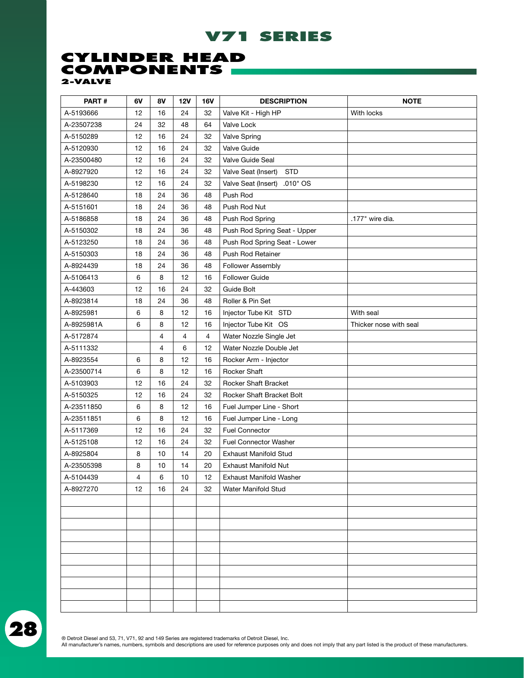## **CYLINDER HEA components 2-valve**

| PART#      | 6V | <b>8V</b> | <b>12V</b> | <b>16V</b>     | <b>DESCRIPTION</b>                | <b>NOTE</b>            |
|------------|----|-----------|------------|----------------|-----------------------------------|------------------------|
| A-5193666  | 12 | 16        | 24         | 32             | Valve Kit - High HP               | With locks             |
| A-23507238 | 24 | 32        | 48         | 64             | Valve Lock                        |                        |
| A-5150289  | 12 | 16        | 24         | 32             | <b>Valve Spring</b>               |                        |
| A-5120930  | 12 | 16        | 24         | 32             | Valve Guide                       |                        |
| A-23500480 | 12 | 16        | 24         | 32             | Valve Guide Seal                  |                        |
| A-8927920  | 12 | 16        | 24         | 32             | <b>STD</b><br>Valve Seat (Insert) |                        |
| A-5198230  | 12 | 16        | 24         | 32             | .010" OS<br>Valve Seat (Insert)   |                        |
| A-5128640  | 18 | 24        | 36         | 48             | Push Rod                          |                        |
| A-5151601  | 18 | 24        | 36         | 48             | Push Rod Nut                      |                        |
| A-5186858  | 18 | 24        | 36         | 48             | Push Rod Spring                   | .177" wire dia.        |
| A-5150302  | 18 | 24        | 36         | 48             | Push Rod Spring Seat - Upper      |                        |
| A-5123250  | 18 | 24        | 36         | 48             | Push Rod Spring Seat - Lower      |                        |
| A-5150303  | 18 | 24        | 36         | 48             | Push Rod Retainer                 |                        |
| A-8924439  | 18 | 24        | 36         | 48             | <b>Follower Assembly</b>          |                        |
| A-5106413  | 6  | 8         | 12         | 16             | <b>Follower Guide</b>             |                        |
| A-443603   | 12 | 16        | 24         | 32             | Guide Bolt                        |                        |
| A-8923814  | 18 | 24        | 36         | 48             | Roller & Pin Set                  |                        |
| A-8925981  | 6  | 8         | 12         | 16             | Injector Tube Kit STD             | With seal              |
| A-8925981A | 6  | 8         | 12         | 16             | Injector Tube Kit OS              | Thicker nose with seal |
| A-5172874  |    | 4         | 4          | $\overline{4}$ | Water Nozzle Single Jet           |                        |
| A-5111332  |    | 4         | 6          | 12             | Water Nozzle Double Jet           |                        |
| A-8923554  | 6  | 8         | 12         | 16             | Rocker Arm - Injector             |                        |
| A-23500714 | 6  | 8         | 12         | 16             | <b>Rocker Shaft</b>               |                        |
| A-5103903  | 12 | 16        | 24         | 32             | <b>Rocker Shaft Bracket</b>       |                        |
| A-5150325  | 12 | 16        | 24         | 32             | Rocker Shaft Bracket Bolt         |                        |
| A-23511850 | 6  | 8         | 12         | 16             | Fuel Jumper Line - Short          |                        |
| A-23511851 | 6  | 8         | 12         | 16             | Fuel Jumper Line - Long           |                        |
| A-5117369  | 12 | 16        | 24         | 32             | <b>Fuel Connector</b>             |                        |
| A-5125108  | 12 | 16        | 24         | 32             | <b>Fuel Connector Washer</b>      |                        |
| A-8925804  | 8  | 10        | 14         | 20             | <b>Exhaust Manifold Stud</b>      |                        |
| A-23505398 | 8  | 10        | 14         | 20             | <b>Exhaust Manifold Nut</b>       |                        |
| A-5104439  | 4  | 6         | 10         | 12             | Exhaust Manifold Washer           |                        |
| A-8927270  | 12 | 16        | 24         | 32             | Water Manifold Stud               |                        |
|            |    |           |            |                |                                   |                        |
|            |    |           |            |                |                                   |                        |
|            |    |           |            |                |                                   |                        |
|            |    |           |            |                |                                   |                        |
|            |    |           |            |                |                                   |                        |
|            |    |           |            |                |                                   |                        |
|            |    |           |            |                |                                   |                        |
|            |    |           |            |                |                                   |                        |
|            |    |           |            |                |                                   |                        |
|            |    |           |            |                |                                   |                        |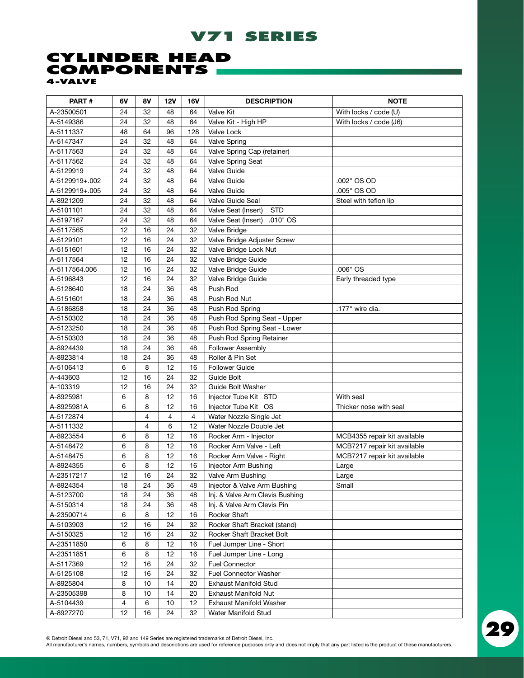## **CYLINDER HEA components 4-valve**

| PART#          | 6V | 8V             | 12V | 16V | <b>DESCRIPTION</b>                | <b>NOTE</b>                  |
|----------------|----|----------------|-----|-----|-----------------------------------|------------------------------|
| A-23500501     | 24 | 32             | 48  | 64  | <b>Valve Kit</b>                  | With locks / code (U)        |
| A-5149386      | 24 | 32             | 48  | 64  | Valve Kit - High HP               | With locks / code (J6)       |
| A-5111337      | 48 | 64             | 96  | 128 | Valve Lock                        |                              |
| A-5147347      | 24 | 32             | 48  | 64  | <b>Valve Spring</b>               |                              |
| A-5117563      | 24 | 32             | 48  | 64  | Valve Spring Cap (retainer)       |                              |
| A-5117562      | 24 | 32             | 48  | 64  | Valve Spring Seat                 |                              |
| A-5129919      | 24 | 32             | 48  | 64  | Valve Guide                       |                              |
| A-5129919+.002 | 24 | 32             | 48  | 64  | Valve Guide                       | .002" OS OD                  |
| A-5129919+.005 | 24 | 32             | 48  | 64  | Valve Guide                       | .005" OS OD                  |
| A-8921209      | 24 | 32             | 48  | 64  | Valve Guide Seal                  | Steel with teflon lip        |
| A-5101101      | 24 | 32             | 48  | 64  | <b>STD</b><br>Valve Seat (Insert) |                              |
| A-5197167      | 24 | 32             | 48  | 64  | Valve Seat (Insert)<br>.010" OS   |                              |
| A-5117565      | 12 | 16             | 24  | 32  | Valve Bridge                      |                              |
| A-5129101      | 12 | 16             | 24  | 32  | Valve Bridge Adjuster Screw       |                              |
| A-5151601      | 12 | 16             | 24  | 32  | Valve Bridge Lock Nut             |                              |
| A-5117564      | 12 | 16             | 24  | 32  | Valve Bridge Guide                |                              |
| A-5117564.006  | 12 | 16             | 24  | 32  | Valve Bridge Guide                | .006" OS                     |
| A-5196843      | 12 | 16             | 24  | 32  | Valve Bridge Guide                | Early threaded type          |
| A-5128640      | 18 | 24             | 36  | 48  | Push Rod                          |                              |
| A-5151601      | 18 | 24             | 36  | 48  | Push Rod Nut                      |                              |
| A-5186858      | 18 | 24             | 36  | 48  | Push Rod Spring                   | .177" wire dia.              |
| A-5150302      | 18 | 24             | 36  | 48  | Push Rod Spring Seat - Upper      |                              |
| A-5123250      | 18 | 24             | 36  | 48  | Push Rod Spring Seat - Lower      |                              |
| A-5150303      | 18 | 24             | 36  | 48  | Push Rod Spring Retainer          |                              |
| A-8924439      | 18 | 24             | 36  | 48  | Follower Assembly                 |                              |
| A-8923814      | 18 | 24             | 36  | 48  | Roller & Pin Set                  |                              |
| A-5106413      | 6  | 8              | 12  | 16  | <b>Follower Guide</b>             |                              |
| A-443603       | 12 | 16             | 24  | 32  | Guide Bolt                        |                              |
| A-103319       | 12 | 16             | 24  | 32  | <b>Guide Bolt Washer</b>          |                              |
| A-8925981      | 6  | 8              | 12  | 16  | Injector Tube Kit STD             | With seal                    |
| A-8925981A     | 6  | 8              | 12  | 16  | Injector Tube Kit OS              | Thicker nose with seal       |
| A-5172874      |    | 4              | 4   | 4   | Water Nozzle Single Jet           |                              |
| A-5111332      |    | $\overline{4}$ | 6   | 12  | Water Nozzle Double Jet           |                              |
| A-8923554      | 6  | 8              | 12  | 16  | Rocker Arm - Injector             | MCB4355 repair kit available |
| A-5148472      | 6  | 8              | 12  | 16  | Rocker Arm Valve - Left           | MCB7217 repair kit available |
| A-5148475      | 6  | 8              | 12  | 16  | Rocker Arm Valve - Right          | MCB7217 repair kit available |
| A-8924355      | 6  | 8              | 12  | 16  | Injector Arm Bushing              | Large                        |
| A-23517217     | 12 | 16             | 24  | 32  | Valve Arm Bushing                 | Large                        |
| A-8924354      | 18 | 24             | 36  | 48  | Injector & Valve Arm Bushing      | Small                        |
| A-5123700      | 18 | 24             | 36  | 48  | Inj. & Valve Arm Clevis Bushing   |                              |
| A-5150314      | 18 | 24             | 36  | 48  | Inj. & Valve Arm Clevis Pin       |                              |
| A-23500714     | 6  | 8              | 12  | 16  | Rocker Shaft                      |                              |
| A-5103903      | 12 | 16             | 24  | 32  | Rocker Shaft Bracket (stand)      |                              |
| A-5150325      | 12 | 16             | 24  | 32  | Rocker Shaft Bracket Bolt         |                              |
| A-23511850     | 6  | 8              | 12  | 16  | Fuel Jumper Line - Short          |                              |
| A-23511851     | 6  | 8              | 12  | 16  | Fuel Jumper Line - Long           |                              |
| A-5117369      | 12 | 16             | 24  | 32  | <b>Fuel Connector</b>             |                              |
| A-5125108      | 12 | 16             | 24  | 32  | <b>Fuel Connector Washer</b>      |                              |
| A-8925804      | 8  | 10             | 14  | 20  | <b>Exhaust Manifold Stud</b>      |                              |
| A-23505398     | 8  | 10             | 14  | 20  | <b>Exhaust Manifold Nut</b>       |                              |
| A-5104439      | 4  | 6              | 10  | 12  | <b>Exhaust Manifold Washer</b>    |                              |
| A-8927270      | 12 | 16             | 24  | 32  | Water Manifold Stud               |                              |

® Detroit Diesel and 53, 71, V71, 92 and 149 Series are registered trademarks of Detroit Diesel, Inc.<br>All manufacturer's names, numbers, symbols and descriptions are used for reference purposes only and does not imply that

**29**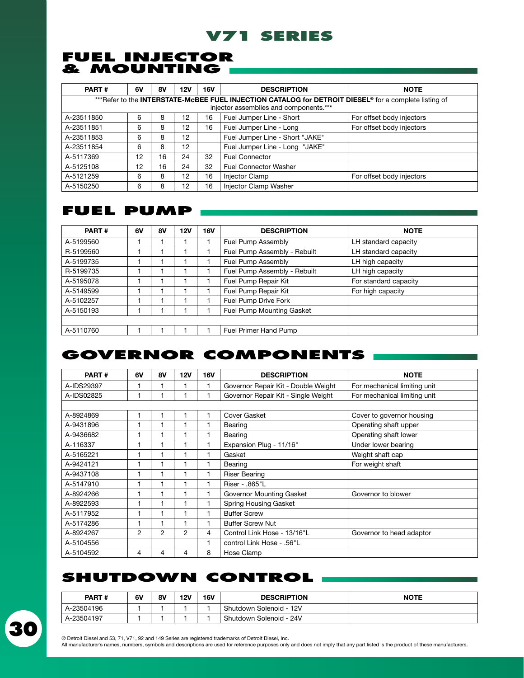## **FUEL INJECTOR & MOUNTING**

| PART#                                                                                                                                           | 6V | <b>8V</b> | 12V | <b>16V</b> | <b>DESCRIPTION</b>              | <b>NOTE</b>               |  |  |  |  |  |
|-------------------------------------------------------------------------------------------------------------------------------------------------|----|-----------|-----|------------|---------------------------------|---------------------------|--|--|--|--|--|
| ***Refer to the INTERSTATE-McBEE FUEL INJECTION CATALOG for DETROIT DIESEL® for a complete listing of<br>injector assemblies and components.*** |    |           |     |            |                                 |                           |  |  |  |  |  |
| A-23511850                                                                                                                                      | 6  | 8         | 12  | 16         | Fuel Jumper Line - Short        | For offset body injectors |  |  |  |  |  |
| A-23511851                                                                                                                                      | 6  | 8         | 12  | 16         | Fuel Jumper Line - Long         | For offset body injectors |  |  |  |  |  |
| A-23511853                                                                                                                                      | 6  | 8         | 12  |            | Fuel Jumper Line - Short "JAKE" |                           |  |  |  |  |  |
| A-23511854                                                                                                                                      | 6  | 8         | 12  |            | Fuel Jumper Line - Long "JAKE"  |                           |  |  |  |  |  |
| A-5117369                                                                                                                                       | 12 | 16        | 24  | 32         | <b>Fuel Connector</b>           |                           |  |  |  |  |  |
| A-5125108                                                                                                                                       | 12 | 16        | 24  | 32         | <b>Fuel Connector Washer</b>    |                           |  |  |  |  |  |
| A-5121259                                                                                                                                       | 6  | 8         | 12  | 16         | Injector Clamp                  | For offset body injectors |  |  |  |  |  |
| A-5150250                                                                                                                                       | 6  | 8         | 12  | 16         | Injector Clamp Washer           |                           |  |  |  |  |  |

## **FUEL PUMP**

| PART#     | 6V | <b>8V</b> | 12V | 16V | <b>DESCRIPTION</b>           | <b>NOTE</b>           |
|-----------|----|-----------|-----|-----|------------------------------|-----------------------|
| A-5199560 |    |           |     |     | Fuel Pump Assembly           | LH standard capacity  |
| R-5199560 |    |           |     |     | Fuel Pump Assembly - Rebuilt | LH standard capacity  |
| A-5199735 |    |           |     |     | Fuel Pump Assembly           | LH high capacity      |
| R-5199735 |    |           |     |     | Fuel Pump Assembly - Rebuilt | LH high capacity      |
| A-5195078 |    |           |     |     | Fuel Pump Repair Kit         | For standard capacity |
| A-5149599 |    |           |     |     | Fuel Pump Repair Kit         | For high capacity     |
| A-5102257 |    |           |     |     | Fuel Pump Drive Fork         |                       |
| A-5150193 |    |           |     |     | Fuel Pump Mounting Gasket    |                       |
|           |    |           |     |     |                              |                       |
| A-5110760 |    |           |     |     | Fuel Primer Hand Pump        |                       |

## **GOVERNOR COMPONENTS**

| PART#      | 6V             | 8V | 12V | <b>16V</b> | <b>DESCRIPTION</b>                  | <b>NOTE</b>                  |
|------------|----------------|----|-----|------------|-------------------------------------|------------------------------|
| A-IDS29397 |                |    |     | 1          | Governor Repair Kit - Double Weight | For mechanical limiting unit |
| A-IDS02825 |                |    |     | 1          | Governor Repair Kit - Single Weight | For mechanical limiting unit |
|            |                |    |     |            |                                     |                              |
| A-8924869  |                |    |     | 1          | Cover Gasket                        | Cover to governor housing    |
| A-9431896  |                |    |     | 1          | Bearing                             | Operating shaft upper        |
| A-9436682  |                |    |     | 1          | Bearing                             | Operating shaft lower        |
| A-116337   | 1              |    |     | 1          | Expansion Plug - 11/16"             | Under lower bearing          |
| A-5165221  | 1              |    | ٠   | 1          | Gasket                              | Weight shaft cap             |
| A-9424121  |                |    |     | 1          | Bearing                             | For weight shaft             |
| A-9437108  | 1              |    |     | 1          | <b>Riser Bearing</b>                |                              |
| A-5147910  |                |    |     | 1          | Riser - .865"L                      |                              |
| A-8924266  |                |    |     | 1          | Governor Mounting Gasket            | Governor to blower           |
| A-8922593  |                |    |     | 1          | Spring Housing Gasket               |                              |
| A-5117952  |                |    |     | 1          | <b>Buffer Screw</b>                 |                              |
| A-5174286  |                |    |     | 1          | <b>Buffer Screw Nut</b>             |                              |
| A-8924267  | $\overline{2}$ | 2  | 2   | 4          | Control Link Hose - 13/16"L         | Governor to head adaptor     |
| A-5104556  |                |    |     | 1          | control Link Hose - .56"L           |                              |
| A-5104592  | 4              | 4  | 4   | 8          | Hose Clamp                          |                              |

## **SHUTDOWN CONTROL**

| PART#      | 6V | 8٧ | 12V | <b>16V</b> | <b>DESCRIPTION</b>      | <b>NOTE</b> |
|------------|----|----|-----|------------|-------------------------|-------------|
| A-23504196 |    |    |     |            | Shutdown Solenoid - 12V |             |
| A-23504197 |    |    |     |            | Shutdown Solenoid - 24V |             |

® Detroit Diesel and 53, 71, V71, 92 and 149 Series are registered trademarks of Detroit Diesel, Inc. All manufacturer's names, numbers, symbols and descriptions are used for reference purposes only and does not imply that any part listed is the product of these manufacturers.

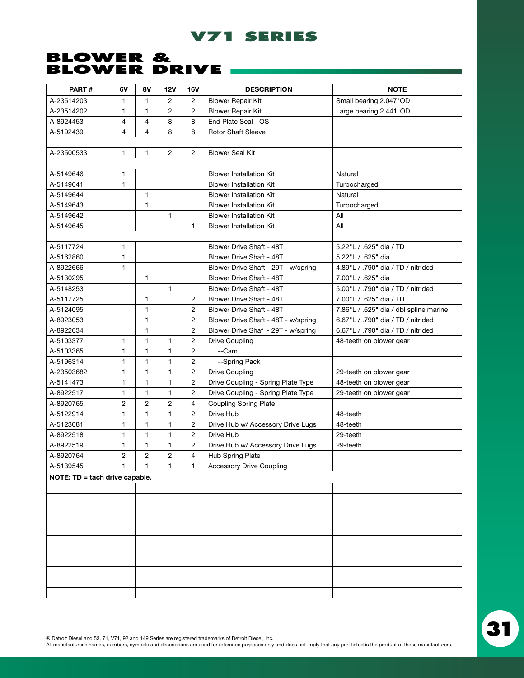## **BLOWER & BLOWER &**<br>BLOWER DRIV

| PART#                            | 6V             | 8V                       | 12V            | <b>16V</b>     | <b>DESCRIPTION</b>                  | <b>NOTE</b>                            |
|----------------------------------|----------------|--------------------------|----------------|----------------|-------------------------------------|----------------------------------------|
| A-23514203                       | 1              | 1                        | $\overline{c}$ | 2              | <b>Blower Repair Kit</b>            | Small bearing 2.047"OD                 |
| A-23514202                       | 1              | 1                        | $\overline{c}$ | $\overline{c}$ | <b>Blower Repair Kit</b>            | Large bearing 2.441"OD                 |
| A-8924453                        | 4              | 4                        | 8              | 8              | End Plate Seal - OS                 |                                        |
| A-5192439                        | 4              | 4                        | 8              | 8              | <b>Rotor Shaft Sleeve</b>           |                                        |
|                                  |                |                          |                |                |                                     |                                        |
| A-23500533                       | 1              | 1                        | $\overline{2}$ | 2              | <b>Blower Seal Kit</b>              |                                        |
|                                  |                |                          |                |                |                                     |                                        |
| A-5149646                        | 1              |                          |                |                | <b>Blower Installation Kit</b>      | Natural                                |
| A-5149641                        | 1              |                          |                |                | <b>Blower Installation Kit</b>      | Turbocharged                           |
| A-5149644                        |                | 1                        |                |                | <b>Blower Installation Kit</b>      | Natural                                |
| A-5149643                        |                | $\mathbf{1}$             |                |                | <b>Blower Installation Kit</b>      | Turbocharged                           |
| A-5149642                        |                |                          | 1              |                | <b>Blower Installation Kit</b>      | All                                    |
| A-5149645                        |                |                          |                | 1              | <b>Blower Installation Kit</b>      | All                                    |
|                                  |                |                          |                |                |                                     |                                        |
| A-5117724                        | 1              |                          |                |                | Blower Drive Shaft - 48T            | 5.22"L / .625" dia / TD                |
| A-5162860                        | 1              |                          |                |                | Blower Drive Shaft - 48T            | 5.22"L / .625" dia                     |
| A-8922666                        | 1              |                          |                |                | Blower Drive Shaft - 29T - w/spring | 4.89"L / .790" dia / TD / nitrided     |
| A-5130295                        |                | 1                        |                |                | Blower Drive Shaft - 48T            | 7.00"L / .625" dia                     |
| A-5148253                        |                |                          | 1              |                | Blower Drive Shaft - 48T            | 5.00"L / .790" dia / TD / nitrided     |
| A-5117725                        |                | 1                        |                | 2              | Blower Drive Shaft - 48T            | 7.00"L / .625" dia / TD                |
| A-5124095                        |                | 1                        |                | 2              | Blower Drive Shaft - 48T            | 7.86"L / .625" dia / dbl spline marine |
| A-8923053                        |                | 1                        |                | $\overline{c}$ | Blower Drive Shaft - 48T - w/spring | 6.67"L / .790" dia / TD / nitrided     |
| A-8922634                        |                | 1                        |                | $\overline{c}$ | Blower Drive Shaf - 29T - w/spring  | 6.67"L / .790" dia / TD / nitrided     |
| A-5103377                        | 1              | 1                        | 1              | 2              | <b>Drive Coupling</b>               | 48-teeth on blower gear                |
| A-5103365                        | 1              | 1                        | 1              | 2              | --Cam                               |                                        |
| A-5196314                        | 1              | 1                        | $\mathbf{1}$   | 2              | --Spring Pack                       |                                        |
| A-23503682                       | 1              | 1                        | 1              | $\overline{c}$ | <b>Drive Coupling</b>               | 29-teeth on blower gear                |
| A-5141473                        | 1              | $\mathbf{1}$             | $\mathbf{1}$   | $\overline{2}$ | Drive Coupling - Spring Plate Type  | 48-teeth on blower gear                |
| A-8922517                        | $\mathbf{1}$   | 1                        | $\mathbf{1}$   | 2              | Drive Coupling - Spring Plate Type  | 29-teeth on blower gear                |
| A-8920765                        | 2              | $\overline{c}$           | $\overline{c}$ | 4              | <b>Coupling Spring Plate</b>        |                                        |
| A-5122914                        | 1              | 1                        | 1              | $\overline{c}$ | Drive Hub                           | 48-teeth                               |
| A-5123081                        | 1              | 1                        | 1              | $\overline{c}$ | Drive Hub w/ Accessory Drive Lugs   | 48-teeth                               |
| A-8922518                        | 1              | 1                        | $\mathbf{1}$   | $\overline{c}$ | Drive Hub                           | 29-teeth                               |
| A-8922519                        | 1              | 1                        | $\mathbf{1}$   | $\overline{c}$ | Drive Hub w/ Accessory Drive Lugs   | 29-teeth                               |
| A-8920764                        | $\overline{c}$ | $\overline{c}$           | $\overline{c}$ | 4              | Hub Spring Plate                    |                                        |
| A-5139545                        | $\overline{1}$ | $\overline{\phantom{a}}$ | $1 -$          | $\mathbf{1}$   | <b>Accessory Drive Coupling</b>     |                                        |
| NOTE: $TD =$ tach drive capable. |                |                          |                |                |                                     |                                        |
|                                  |                |                          |                |                |                                     |                                        |
|                                  |                |                          |                |                |                                     |                                        |
|                                  |                |                          |                |                |                                     |                                        |
|                                  |                |                          |                |                |                                     |                                        |
|                                  |                |                          |                |                |                                     |                                        |
|                                  |                |                          |                |                |                                     |                                        |
|                                  |                |                          |                |                |                                     |                                        |
|                                  |                |                          |                |                |                                     |                                        |
|                                  |                |                          |                |                |                                     |                                        |
|                                  |                |                          |                |                |                                     |                                        |
|                                  |                |                          |                |                |                                     |                                        |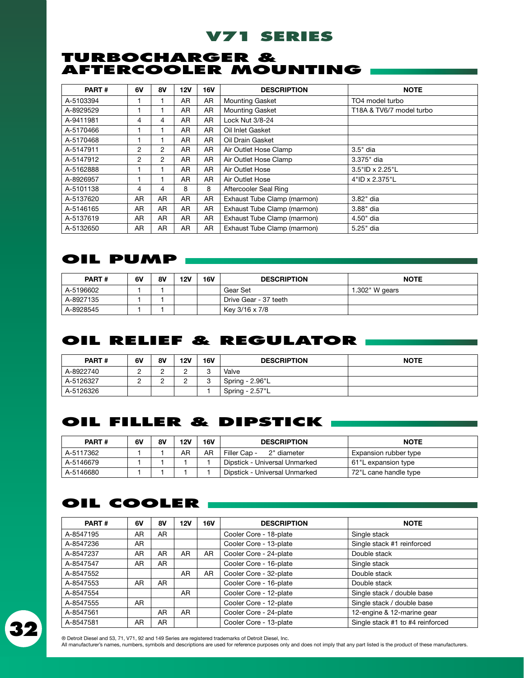## **TURBOCHARGER & aftercooler mounting**

| PART#     | 6V        | 8V        | 12V       | <b>16V</b> | <b>DESCRIPTION</b>          | <b>NOTE</b>              |
|-----------|-----------|-----------|-----------|------------|-----------------------------|--------------------------|
| A-5103394 |           |           | AR        | AR         | <b>Mounting Gasket</b>      | TO4 model turbo          |
| A-8929529 |           |           | AR        | <b>AR</b>  | Mounting Gasket             | T18A & TV6/7 model turbo |
| A-9411981 | 4         | 4         | AR        | <b>AR</b>  | Lock Nut 3/8-24             |                          |
| A-5170466 |           |           | AR        | AR.        | Oil Inlet Gasket            |                          |
| A-5170468 |           |           | AR        | <b>AR</b>  | Oil Drain Gasket            |                          |
| A-5147911 | 2         | 2         | AR        | AR         | Air Outlet Hose Clamp       | 3.5" dia                 |
| A-5147912 | 2         | 2         | AR        | <b>AR</b>  | Air Outlet Hose Clamp       | 3.375" dia               |
| A-5162888 |           |           | AR        | <b>AR</b>  | Air Outlet Hose             | 3.5"ID x 2.25"L          |
| A-8926957 |           |           | AR        | AR.        | Air Outlet Hose             | 4"ID x 2.375"L           |
| A-5101138 | 4         | 4         | 8         | 8          | Aftercooler Seal Ring       |                          |
| A-5137620 | AR        | <b>AR</b> | AR        | AR.        | Exhaust Tube Clamp (marmon) | 3.82" dia                |
| A-5146165 | AR.       | <b>AR</b> | AR        | <b>AR</b>  | Exhaust Tube Clamp (marmon) | 3.88" dia                |
| A-5137619 | AR        | <b>AR</b> | AR        | <b>AR</b>  | Exhaust Tube Clamp (marmon) | 4.50" dia                |
| A-5132650 | <b>AR</b> | <b>AR</b> | <b>AR</b> | AR         | Exhaust Tube Clamp (marmon) | 5.25" dia                |

## **oil pump**

| PART#     | 6V | 8V | <b>12V</b> | <b>16V</b> | <b>DESCRIPTION</b>    | <b>NOTE</b>      |
|-----------|----|----|------------|------------|-----------------------|------------------|
| A-5196602 |    |    |            |            | Gear Set              | $1.302"$ W gears |
| A-8927135 |    |    |            |            | Drive Gear - 37 teeth |                  |
| A-8928545 |    |    |            |            | Key 3/16 x 7/8        |                  |

## **oil relief & regulator**

| PART#     | 6V | <b>8V</b> | <b>12V</b>    | <b>16V</b> | <b>DESCRIPTION</b> | <b>NOTE</b> |
|-----------|----|-----------|---------------|------------|--------------------|-------------|
| A-8922740 |    | _         | ◠<br><u>.</u> | C<br>ٮ     | Valve              |             |
| A-5126327 | ⌒  |           | $\sim$        | ⌒          | Spring - 2.96"L    |             |
| A-5126326 |    |           |               |            | Spring - 2.57"L    |             |

## **oil filler & dipstick**

| PART#     | 6V | <b>8V</b> | <b>12V</b> | <b>16V</b> | <b>DESCRIPTION</b>            | <b>NOTE</b>           |
|-----------|----|-----------|------------|------------|-------------------------------|-----------------------|
| A-5117362 |    |           | AR         | ΑR         | Filler Cap -<br>2" diameter   | Expansion rubber type |
| A-5146679 |    |           |            |            | Dipstick - Universal Unmarked | 61"L expansion type   |
| A-5146680 |    |           |            |            | Dipstick - Universal Unmarked | 72"L cane handle type |

## **oil cooler**

| PART#     | 6V | 8V | 12V       | <b>16V</b> | <b>DESCRIPTION</b>     | <b>NOTE</b>                      |
|-----------|----|----|-----------|------------|------------------------|----------------------------------|
| A-8547195 | AR | AR |           |            | Cooler Core - 18-plate | Single stack                     |
| A-8547236 | AR |    |           |            | Cooler Core - 13-plate | Single stack #1 reinforced       |
| A-8547237 | AR | AR | <b>AR</b> | AR         | Cooler Core - 24-plate | Double stack                     |
| A-8547547 | AR | AR |           |            | Cooler Core - 16-plate | Single stack                     |
| A-8547552 |    |    | AR        | AR         | Cooler Core - 32-plate | Double stack                     |
| A-8547553 | AR | AR |           |            | Cooler Core - 16-plate | Double stack                     |
| A-8547554 |    |    | AR        |            | Cooler Core - 12-plate | Single stack / double base       |
| A-8547555 | AR |    |           |            | Cooler Core - 12-plate | Single stack / double base       |
| A-8547561 |    | AR | AR        |            | Cooler Core - 24-plate | 12-engine & 12-marine gear       |
| A-8547581 | AR | AR |           |            | Cooler Core - 13-plate | Single stack #1 to #4 reinforced |



® Detroit Diesel and 53, 71, V71, 92 and 149 Series are registered trademarks of Detroit Diesel, Inc.

All manufacturer's names, numbers, symbols and descriptions are used for reference purposes only and does not imply that any part listed is the product of these manufacturers.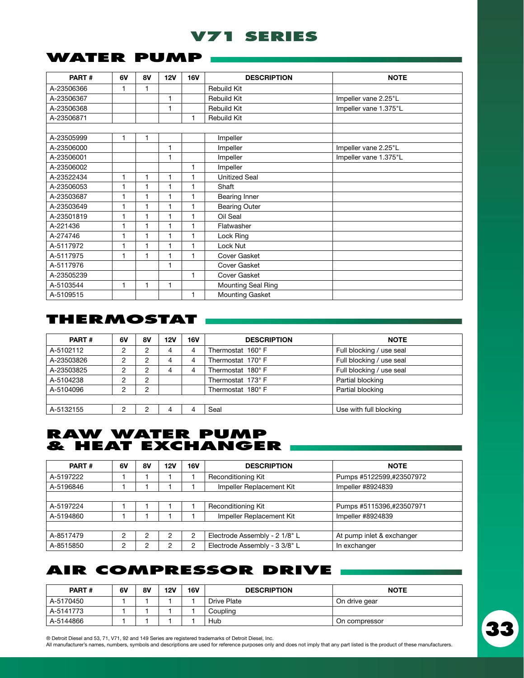## **water pump**

| PART#      | 6V | 8V | 12V          | <b>16V</b> | <b>DESCRIPTION</b>     | <b>NOTE</b>           |
|------------|----|----|--------------|------------|------------------------|-----------------------|
| A-23506366 |    | 1  |              |            | Rebuild Kit            |                       |
| A-23506367 |    |    | 1            |            | Rebuild Kit            | Impeller vane 2.25"L  |
| A-23506368 |    |    | 1            |            | Rebuild Kit            | Impeller vane 1.375"L |
| A-23506871 |    |    |              | 1          | <b>Rebuild Kit</b>     |                       |
|            |    |    |              |            |                        |                       |
| A-23505999 | 1  | 1  |              |            | Impeller               |                       |
| A-23506000 |    |    | 1            |            | Impeller               | Impeller vane 2.25"L  |
| A-23506001 |    |    | 1            |            | Impeller               | Impeller vane 1.375"L |
| A-23506002 |    |    |              | 1          | Impeller               |                       |
| A-23522434 | 1  | 1  | $\mathbf{1}$ | 1          | <b>Unitized Seal</b>   |                       |
| A-23506053 |    | 1  | 1            | 1          | Shaft                  |                       |
| A-23503687 |    | 1  | 1            | 1          | Bearing Inner          |                       |
| A-23503649 |    | 1  | 1            | 1          | <b>Bearing Outer</b>   |                       |
| A-23501819 |    | 1  | $\mathbf{1}$ | 1          | Oil Seal               |                       |
| A-221436   | 1  | 1  | 1            | 1          | Flatwasher             |                       |
| A-274746   |    | 1  | $\mathbf{1}$ | 1          | Lock Ring              |                       |
| A-5117972  |    | 1  | 1            | 1          | Lock Nut               |                       |
| A-5117975  | 1  | 1  | 1            | 1          | Cover Gasket           |                       |
| A-5117976  |    |    | 1            |            | Cover Gasket           |                       |
| A-23505239 |    |    |              | 1          | Cover Gasket           |                       |
| A-5103544  | 1  | 1  | 1            |            | Mounting Seal Ring     |                       |
| A-5109515  |    |    |              | 1          | <b>Mounting Gasket</b> |                       |

## **thermostat**

| PART#      | 6V | <b>8V</b> | 12V | 16V | <b>DESCRIPTION</b>       | <b>NOTE</b>              |
|------------|----|-----------|-----|-----|--------------------------|--------------------------|
| A-5102112  | っ  | 2         | 4   | 4   | Thermostat 160° F        | Full blocking / use seal |
| A-23503826 | n  | 2         | 4   | 4   | Thermostat $170^\circ$ F | Full blocking / use seal |
| A-23503825 | っ  | 2         | 4   | 4   | Thermostat 180° F        | Full blocking / use seal |
| A-5104238  | ∩  | 2         |     |     | Thermostat $173^\circ$ F | Partial blocking         |
| A-5104096  |    | 2         |     |     | Thermostat 180°F         | Partial blocking         |
|            |    |           |     |     |                          |                          |
| A-5132155  | C  | 2         | 4   | 4   | Seal                     | Use with full blocking   |

## **raw water pump & heat exchanger**

| PART#     | 6V | 8V | 12V | <b>16V</b> | <b>DESCRIPTION</b>            | <b>NOTE</b>               |
|-----------|----|----|-----|------------|-------------------------------|---------------------------|
| A-5197222 |    |    |     |            | <b>Reconditioning Kit</b>     | Pumps #5122599,#23507972  |
| A-5196846 |    |    |     |            | Impeller Replacement Kit      | Impeller #8924839         |
|           |    |    |     |            |                               |                           |
| A-5197224 |    |    |     |            | <b>Reconditioning Kit</b>     | Pumps #5115396,#23507971  |
| A-5194860 |    |    |     |            | Impeller Replacement Kit      | Impeller #8924839         |
|           |    |    |     |            |                               |                           |
| A-8517479 | ∩  | 2  | 2   | 2          | Electrode Assembly - 2 1/8" L | At pump inlet & exchanger |
| A-8515850 | ∩  | ⌒  | ົ   | 2          | Electrode Assembly - 3 3/8" L | In exchanger              |

## **air compressor drive**

| PART#     | 6V | 8V | 12V | <b>16V</b> | <b>DESCRIPTION</b> | <b>NOTE</b>   |
|-----------|----|----|-----|------------|--------------------|---------------|
| A-5170450 |    |    |     |            | Drive Plate        | On drive gear |
| A-5141773 |    |    |     |            | Coupling           |               |
| A-5144866 |    |    |     |            | Hub                | On compressor |

® Detroit Diesel and 53, 71, V71, 92 and 149 Series are registered trademarks of Detroit Diesel, Inc.

All manufacturer's names, numbers, symbols and descriptions are used for reference purposes only and does not imply that any part listed is the product of these manufacturers.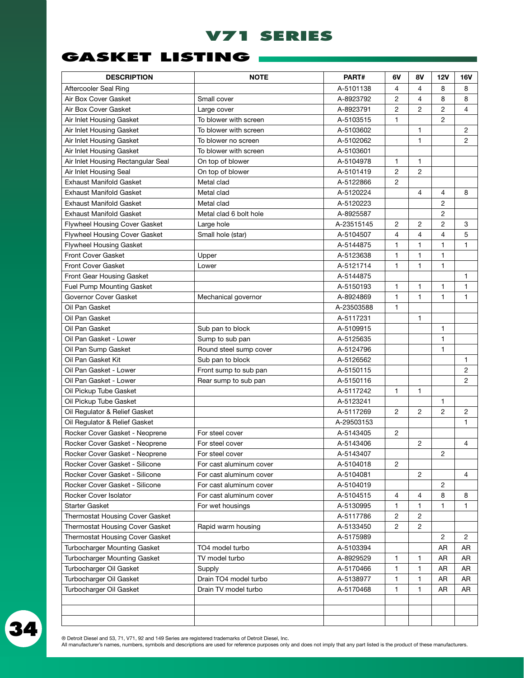## **gasket listing**

| <b>DESCRIPTION</b>                     | <b>NOTE</b>             | PART#      | 6V             | 8V             | <b>12V</b>              | 16V            |
|----------------------------------------|-------------------------|------------|----------------|----------------|-------------------------|----------------|
| Aftercooler Seal Ring                  |                         | A-5101138  | 4              | 4              | 8                       | 8              |
| Air Box Cover Gasket                   | Small cover             | A-8923792  | 2              | 4              | 8                       | 8              |
| Air Box Cover Gasket                   | Large cover             | A-8923791  | $\overline{2}$ | $\overline{2}$ | 2                       | 4              |
| Air Inlet Housing Gasket               | To blower with screen   | A-5103515  | 1              |                | 2                       |                |
| Air Inlet Housing Gasket               | To blower with screen   | A-5103602  |                | $\mathbf{1}$   |                         | 2              |
| Air Inlet Housing Gasket               | To blower no screen     | A-5102062  |                | 1              |                         | $\overline{c}$ |
| Air Inlet Housing Gasket               | To blower with screen   | A-5103601  |                |                |                         |                |
| Air Inlet Housing Rectangular Seal     | On top of blower        | A-5104978  | 1              | $\mathbf{1}$   |                         |                |
| Air Inlet Housing Seal                 | On top of blower        | A-5101419  | $\overline{2}$ | $\overline{2}$ |                         |                |
| <b>Exhaust Manifold Gasket</b>         | Metal clad              | A-5122866  | $\overline{2}$ |                |                         |                |
| <b>Exhaust Manifold Gasket</b>         | Metal clad              | A-5120224  |                | 4              | 4                       | 8              |
| <b>Exhaust Manifold Gasket</b>         | Metal clad              | A-5120223  |                |                | 2                       |                |
| <b>Exhaust Manifold Gasket</b>         | Metal clad 6 bolt hole  | A-8925587  |                |                | $\overline{2}$          |                |
| Flywheel Housing Cover Gasket          | Large hole              | A-23515145 | 2              | $\overline{2}$ | $\overline{2}$          | 3              |
| Flywheel Housing Cover Gasket          | Small hole (star)       | A-5104507  | 4              | $\overline{4}$ | $\overline{4}$          | 5              |
| <b>Flywheel Housing Gasket</b>         |                         | A-5144875  | 1              | 1              | 1                       | $\mathbf{1}$   |
| Front Cover Gasket                     | Upper                   | A-5123638  | 1              | 1              | 1                       |                |
| <b>Front Cover Gasket</b>              | Lower                   | A-5121714  | 1              | 1              | 1                       |                |
| Front Gear Housing Gasket              |                         | A-5144875  |                |                |                         | 1              |
| <b>Fuel Pump Mounting Gasket</b>       |                         | A-5150193  | 1              | 1              | 1                       | 1              |
| Governor Cover Gasket                  | Mechanical governor     | A-8924869  | 1              | 1              | 1                       | 1              |
| Oil Pan Gasket                         |                         | A-23503588 | 1              |                |                         |                |
| Oil Pan Gasket                         |                         | A-5117231  |                | 1              |                         |                |
| Oil Pan Gasket                         | Sub pan to block        | A-5109915  |                |                | 1                       |                |
| Oil Pan Gasket - Lower                 | Sump to sub pan         | A-5125635  |                |                | 1                       |                |
| Oil Pan Sump Gasket                    | Round steel sump cover  | A-5124796  |                |                | 1                       |                |
| Oil Pan Gasket Kit                     | Sub pan to block        | A-5126562  |                |                |                         | 1              |
| Oil Pan Gasket - Lower                 | Front sump to sub pan   | A-5150115  |                |                |                         | $\overline{c}$ |
| Oil Pan Gasket - Lower                 | Rear sump to sub pan    | A-5150116  |                |                |                         | 2              |
| Oil Pickup Tube Gasket                 |                         | A-5117242  | 1              | $\mathbf{1}$   |                         |                |
| Oil Pickup Tube Gasket                 |                         | A-5123241  |                |                | 1                       |                |
| Oil Regulator & Relief Gasket          |                         | A-5117269  | $\overline{c}$ | $\overline{2}$ | $\overline{2}$          | $\overline{2}$ |
| Oil Regulator & Relief Gasket          |                         | A-29503153 |                |                |                         | 1              |
| Rocker Cover Gasket - Neoprene         | For steel cover         | A-5143405  | 2              |                |                         |                |
| Rocker Cover Gasket - Neoprene         | For steel cover         | A-5143406  |                | $\overline{c}$ |                         | 4              |
| Rocker Cover Gasket - Neoprene         | For steel cover         | A-5143407  |                |                | $\overline{\mathbf{c}}$ |                |
| Rocker Cover Gasket - Silicone         | For cast aluminum cover | A-5104018  | 2              |                |                         |                |
| Rocker Cover Gasket - Silicone         | For cast aluminum cover | A-5104081  |                | 2              |                         | 4              |
| Rocker Cover Gasket - Silicone         | For cast aluminum cover | A-5104019  |                |                | 2                       |                |
| Rocker Cover Isolator                  | For cast aluminum cover | A-5104515  | 4              | 4              | 8                       | 8              |
| Starter Gasket                         | For wet housings        | A-5130995  | 1              | 1              | 1                       | 1              |
| Thermostat Housing Cover Gasket        |                         | A-5117786  | 2              | $\overline{c}$ |                         |                |
| <b>Thermostat Housing Cover Gasket</b> | Rapid warm housing      | A-5133450  | 2              | 2              |                         |                |
| Thermostat Housing Cover Gasket        |                         | A-5175989  |                |                | 2                       | 2              |
| Turbocharger Mounting Gasket           | TO4 model turbo         | A-5103394  |                |                | AR                      | AR             |
| Turbocharger Mounting Gasket           | TV model turbo          | A-8929529  | 1              | 1              | AR                      | AR             |
| Turbocharger Oil Gasket                | Supply                  | A-5170466  | 1              | 1              | AR                      | AR             |
| Turbocharger Oil Gasket                | Drain TO4 model turbo   | A-5138977  | 1              | 1              | AR                      | AR             |
| Turbocharger Oil Gasket                | Drain TV model turbo    | A-5170468  | 1              | 1              | AR                      | AR             |
|                                        |                         |            |                |                |                         |                |
|                                        |                         |            |                |                |                         |                |
|                                        |                         |            |                |                |                         |                |

**34**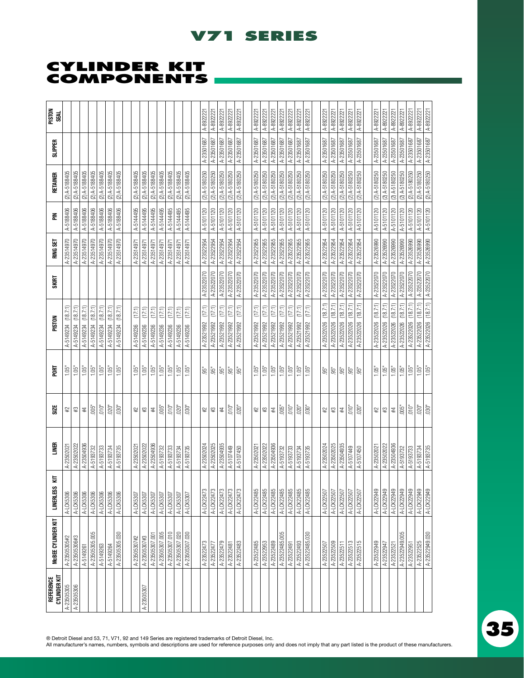## **cylinder kit COMPONENT**

| <b>MOLSIJ</b><br><b>SEAL</b> |                       |                    |                    |                       |                       |                       |                    |                     |                                    |                     |                     |                     |                     |                     | A-892221             | A-89222              | A-8922221            | A-892221                                | A-892221             | A-892221             | A-8922221            | A-892221             | A-892221             | A-8922221            | A-8922221            | A-8922221            | A-892221            | A-892221             | A-892221            | A-8922221           | A-892221               | $A-892221$          | A-892221            | A-892221            | A-892221               | A-892221               | A-892221               | A-892221               |
|------------------------------|-----------------------|--------------------|--------------------|-----------------------|-----------------------|-----------------------|--------------------|---------------------|------------------------------------|---------------------|---------------------|---------------------|---------------------|---------------------|----------------------|----------------------|----------------------|-----------------------------------------|----------------------|----------------------|----------------------|----------------------|----------------------|----------------------|----------------------|----------------------|---------------------|----------------------|---------------------|---------------------|------------------------|---------------------|---------------------|---------------------|------------------------|------------------------|------------------------|------------------------|
| <b>SLIPPER</b>               |                       |                    |                    |                       |                       |                       |                    |                     |                                    |                     |                     |                     |                     |                     | A-23501687           | A-23501687           | A-23501687           | A-23501687                              | A-23501687           | A-23501687           | A-23501687           | A-23501687           | A-23501687           | A-23501687           | A-23501687           | A-23501687           | A-23501687          | A-23501687           | A-23501687          | A-23501687          | A-23501687             | A-23501687          | A-23501687          | A-23501687          | A-23501687             | A-23501687             | A-23501687             | A-23501687             |
| RETAINER                     | (2) A-5188405         | (2) A-5188405      | $(2)$ $A-5188405$  | (2) A-5188405         | (2) A-5188405         | $(2)$ A-5188405       | (2) A-5188405      | (2) A-5188405       | (2) A-5188405                      | (2) A-5188405       | $(2)$ A-5188405     | (2) A-5188405       | (2) A-5188405       | (2) A-5188405       | (2) A-5180250        | (2) A-5180250        | (2) A-5180250        | (2) A-5180250                           | (2) A-5180250        | (2) A-5180250        | $(2)$ A-5180250      | (2) A-51 80250       | (2) A-5180250        | (2) A-5180250        | (2) A-5180250        | $(2)$ $A - 5180250$  | (2) A-5180250       | $(2)$ $A - 5180250$  | (2) A-5180250       | $(2)$ A-5180250     | (2) A-5180250          | (2) A-5180250       | (2) A-5180250       | $(2)$ A-5180250     | (2) A-5180250          | $(2)$ $A-5180250$      | $(2)$ A-5180250        | $(2)$ A-5180250        |
| 릁                            | A-5188406             | A-5188406          | A-5188406          | A-5188406             | A-5188406             | A-5188406             | A-5188406          | A-5144495           | A-5144495                          | A-5144495           | A-5144495           | A-5144495           | A-5144495           | A-5144495           | A-5101120            | A-5101120            | A-5101120            | A-5101120                               | A-5101120            | A-5101120            | A-5101120            | A-5101120            | A-5101120            | A-5101120            | A-5101120            | A-5101120            | A-5101120           | A-5101120            | A-5101120           | A-5101120           | A-5101120              | A-5101120           | A-5101120           | A-5101120           | A-5101120              | A-5101120              | A-5101120              | A-5101120              |
| RING SET                     | A-23514970            | A-23514970         | A-23514970         | A-23514970            | A-23514970            | A-23514970            | A-23514970         | A-2351497           | A-23514971                         | A-23514971          | A-23514971          | A-23514971          | A-23514971          | A-23514971          | A-23522954           | A-23522954           | A-23522954           | A-23522954                              | A-23522954           | A-23522955           | A-23522955           | A-23522955           | A-23522955           | A-23522955           | A-23522955           | A-23522955           | A-23522954          | A-23522954           | A-23522954          | A-23522954          | A-23522954             | A-23526990          | A-23526990          | A-23526990          | A-23526990             | A-23526990             | A-23526990             | A-2352690              |
| <b>SKIRT</b>                 |                       |                    |                    |                       |                       |                       |                    |                     |                                    |                     |                     |                     |                     |                     | A-23522070           | A-23522070           | A-23522070           | A-23522070                              | A-23522070           | A-23522070           | A-23522070           | A-23522070           | A-23522070           | A-23522070           | A-23522070           | A-23522070           | A-23522070          | A-23522070           | A-23522070          | A-23522070          | A-23522070             | A-23522070          | A-23522070          | A-23522070          | A-23522070             | A-23522070             | A-23522070             | A-23522070             |
| <b>PISTON</b>                | (18.7:1)<br>A-5149234 | A-5149234 (18.7:1) | A-5149234 (18.7:1) | (18.7:1)<br>A-5149234 | (18.7:1)<br>A-5149234 | (18.7:1)<br>A-5149234 | A-5149234 (18.7:1) | (17:1)<br>A-5149236 | (17:1)<br>A-5149236                | (17:1)<br>A-5149236 | (17:1)<br>A-5149236 | (17:1)<br>A-5149236 | (17:1)<br>A-5149236 | (17:1)<br>A-5149236 | (17:1)<br>A-23521992 | (17:1)<br>A-23521992 | (17:1)<br>A-23521992 | (17:1)<br>A-23521992                    | (17:1)<br>A-23521992 | (17:1)<br>A-23521992 | (17:1)<br>A-23521992 | (17:1)<br>A-23521992 | (17:1)<br>A-23521992 | (17:1)<br>A-23521992 | (17:1)<br>A-23521992 | (17:1)<br>A-23521992 | A-23522026 (18.7:1) | A-23522026 (18.7:1)  | A-23522026 (18.7:1) | A-23522026 (18.7:1) | (18.7:1)<br>A-23522026 | A-23522026 (18.7:1) | A-23522026 (18.7:1) | A-23522026 (18.7:1) | (18.7:1)<br>A-23522026 | (18.7:1)<br>A-23522026 | (18.7:1)<br>A-23522026 | (18.7:1)<br>A-23522026 |
| FОRТ                         | 1.05"                 | $1.05$ "           | 1.05"              | $1.05$ "              | $1.05$ "              | $1.05$ "              | $1.05$ "           | $1.05$ "            | 1.05"                              | $1.05$ "            | $1.05$ "            | $1.05"$             | $1.05$ "            | 1.05                | $5^{\circ}$          | $5^{\circ}$          |                      | $ \mathbf{\ddot{s}} \mathbf{\ddot{s}} $ |                      | $1.05$ "             | 1.05"                | $1.05$ "             | 1.05                 | $1.05"$              | $1.05$ "             | 1.05                 | $5^{\circ}$         | ်ဆွေး                |                     | ခြား                | ြင်း                   | $1.05$ "            | $1.05$ "            | $1.05"$             | $1.05$ "               | $1.05$ "               | 1.05"                  | ls<br>1.95             |
| SIZE                         | $\ddagger\ddagger$    | $\uparrow\uparrow$ | $\#$               | 005                   | $-010$                | 020"                  | 030"               | #2                  | $\stackrel{\leftrightarrow}{\ast}$ | $\sharp$            | $-005"$             | 010"                | $.020$ "            | 030"                | $\sharp 2$           | $\sharp 3$           | $\sharp\sharp$       | 010"                                    | 020"                 | $\ddagger$           | $\sharp 2$           | $^{\#4}$             | .005"                | $-010^{\circ}$       | $-0.20$              | .030"                | #2                  | $\uparrow\downarrow$ | $^{\#4}$            | 010"                | $-0.20$                | $\sharp 2$          | $\updownarrow$      | $\sharp 4$          | $.005$ "               | 010"                   | $rac{1}{2}$            |                        |
| EN LI                        | A-23502021            | A-23502022         | A-23504936         | A-5193732             | A-5193733             | A-5193734             | A-5193735          | A-2350202           | A-23502022                         | A-23504936          | A-5193732           | A-5193733           | A-5193734           | A-5193735           | A-23502024           | A-23502025           | A-23504935           | A-5107449                               | A-5107450            | A-23502021           | A-23502022           | A-23504936           | A-5193732            | A-5193733            | A-5193734            | A-5193735            | A-23502024          | A-23502025           | A-23504935          | A-5107449           | A-5107450              | A-23502021          | A-23502022          | A-23504936          | A-5193732              | A-5193733              | A-5193734              | A-5193735              |
| 늘<br><b>LINERLESS</b>        | A-LCK5306             | A-LCK5306          | A-LCK5306          | A-LCK5306             | A-LCK5306             | A-LCK5306             | A-LCK5306          | A-LCK5307           | A-LCK5307                          | A-LCK5307           | A-LCK5307           | A-LCK5307           | A-LCK5307           | A-LCK5307           | A-LCK22473           | A-LOK22473           | A-LOK22473           | A-LOK22473                              | A-LOK22473           | A-LOK22485           | A-LCK22485           | A-LCK22485           | A-LCK22485           | A-LCK22485           | A-LCK22485           | A-LCK22485           | A-LCK22507          | A-LCK22507           | A-LCK22507          | A-LCK22507          | A-LCK22507             | A-LCK22949          | A-LCK22949          | A-LCK22949          | A-LCK22949             | A-LCK22949             | A-LCK22949             | A-LCK22949             |
| McBEE CYLINDER KIT           | A-23505305#2          | A-23505306#3       | A-5149261          | A-23505305.005        | A-5149263             | A-5149264             | A-23505305.030     | A-23505307#2        | A-23505307#3                       | A-23505307.00       | A-23505307.005      | A-23505307.010      | A-23505307.020      | A-23505307.030      | A-23522473           | A-23522477           | A-23522479           | A-23522481                              | A-23522483           | A-23522485           | A-23522953           | A-23522489           | A-23522485.005       | A-2352249            | A-23522493           | A-23522485.030       | A-23522507          | A-23522509           | A-23522511          | A-23522513          | A-23522515             | A-23522949          | A-23522947          | A-23522521          | A-23522949.005         | A-23522951             | A-23522525             | A-23522949.030         |
| Reference<br>Cylinder Kit    | A-23505305            | A-23505306         |                    |                       |                       |                       |                    |                     | A-23505307                         |                     |                     |                     |                     |                     |                      |                      |                      |                                         |                      |                      |                      |                      |                      |                      |                      |                      |                     |                      |                     |                     |                        |                     |                     |                     |                        |                        |                        |                        |

**V71 SERIES**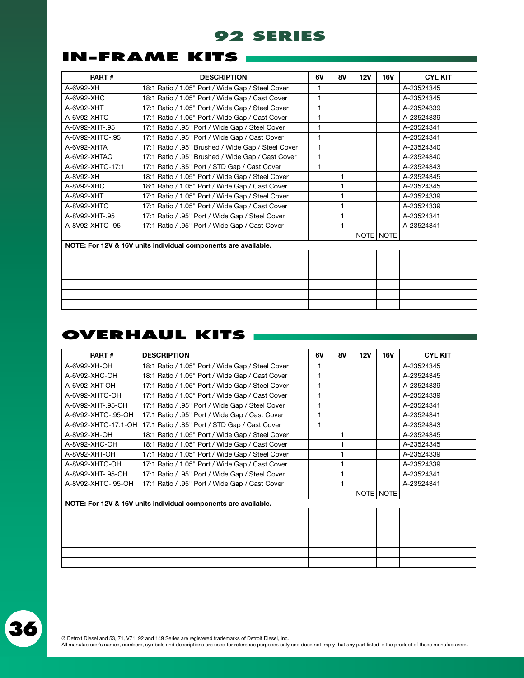## **in-frame kits**

| PART#            | <b>DESCRIPTION</b>                                             | 6V           | 8V           | 12V       | <b>16V</b> | <b>CYL KIT</b> |
|------------------|----------------------------------------------------------------|--------------|--------------|-----------|------------|----------------|
| A-6V92-XH        | 18:1 Ratio / 1.05" Port / Wide Gap / Steel Cover               | 1            |              |           |            | A-23524345     |
| A-6V92-XHC       | 18:1 Ratio / 1.05" Port / Wide Gap / Cast Cover                | A-23524345   |              |           |            |                |
| A-6V92-XHT       | 17:1 Ratio / 1.05" Port / Wide Gap / Steel Cover               | 1            |              |           |            | A-23524339     |
| A-6V92-XHTC      | 17:1 Ratio / 1.05" Port / Wide Gap / Cast Cover                | $\mathbf{1}$ |              |           |            | A-23524339     |
| A-6V92-XHT-.95   | 17:1 Ratio / .95" Port / Wide Gap / Steel Cover                | 1            |              |           |            | A-23524341     |
| A-6V92-XHTC-.95  | 17:1 Ratio / .95" Port / Wide Gap / Cast Cover                 | 1            |              |           |            | A-23524341     |
| A-6V92-XHTA      | 17:1 Ratio / .95" Brushed / Wide Gap / Steel Cover             | 1            |              |           |            | A-23524340     |
| A-6V92-XHTAC     | 17:1 Ratio / .95" Brushed / Wide Gap / Cast Cover              | 1            |              |           |            | A-23524340     |
| A-6V92-XHTC-17:1 | 17:1 Ratio / .85" Port / STD Gap / Cast Cover                  | 1            |              |           |            | A-23524343     |
| A-8V92-XH        | 18:1 Ratio / 1.05" Port / Wide Gap / Steel Cover               |              | $\mathbf{1}$ |           |            | A-23524345     |
| A-8V92-XHC       | 18:1 Ratio / 1.05" Port / Wide Gap / Cast Cover                | A-23524345   |              |           |            |                |
| A-8V92-XHT       | 17:1 Ratio / 1.05" Port / Wide Gap / Steel Cover               |              | A-23524339   |           |            |                |
| A-8V92-XHTC      | 17:1 Ratio / 1.05" Port / Wide Gap / Cast Cover                |              | A-23524339   |           |            |                |
| A-8V92-XHT-.95   | 17:1 Ratio / .95" Port / Wide Gap / Steel Cover                |              | 1            |           |            | A-23524341     |
| A-8V92-XHTC-.95  | 17:1 Ratio / .95" Port / Wide Gap / Cast Cover                 |              | 1            |           |            | A-23524341     |
|                  |                                                                |              |              | NOTE NOTE |            |                |
|                  | NOTE: For 12V & 16V units individual components are available. |              |              |           |            |                |
|                  |                                                                |              |              |           |            |                |
|                  |                                                                |              |              |           |            |                |
|                  |                                                                |              |              |           |            |                |
|                  |                                                                |              |              |           |            |                |
|                  |                                                                |              |              |           |            |                |
|                  |                                                                |              |              |           |            |                |

## **overhaul kits**

| PART#               | <b>DESCRIPTION</b>                                             | 6V         | 8V         | 12V | <b>16V</b> | <b>CYL KIT</b> |
|---------------------|----------------------------------------------------------------|------------|------------|-----|------------|----------------|
| A-6V92-XH-OH        | 18:1 Ratio / 1.05" Port / Wide Gap / Steel Cover               | 1          |            |     |            | A-23524345     |
| A-6V92-XHC-OH       | 18:1 Ratio / 1.05" Port / Wide Gap / Cast Cover                | A-23524345 |            |     |            |                |
| A-6V92-XHT-OH       | 17:1 Ratio / 1.05" Port / Wide Gap / Steel Cover               | 1          |            |     |            | A-23524339     |
| A-6V92-XHTC-OH      | 17:1 Ratio / 1.05" Port / Wide Gap / Cast Cover                | 1          |            |     |            | A-23524339     |
| A-6V92-XHT-.95-OH   | 17:1 Ratio / .95" Port / Wide Gap / Steel Cover                | 1          |            |     |            | A-23524341     |
| A-6V92-XHTC-.95-OH  | 17:1 Ratio / .95" Port / Wide Gap / Cast Cover                 | 1          |            |     |            | A-23524341     |
| A-6V92-XHTC-17:1-OH | 17:1 Ratio / .85" Port / STD Gap / Cast Cover                  | 1          |            |     |            | A-23524343     |
| A-8V92-XH-OH        | 18:1 Ratio / 1.05" Port / Wide Gap / Steel Cover               |            |            |     |            | A-23524345     |
| A-8V92-XHC-OH       | 18:1 Ratio / 1.05" Port / Wide Gap / Cast Cover                |            |            |     |            | A-23524345     |
| A-8V92-XHT-OH       | 17:1 Ratio / 1.05" Port / Wide Gap / Steel Cover               | A-23524339 |            |     |            |                |
| A-8V92-XHTC-OH      | 17:1 Ratio / 1.05" Port / Wide Gap / Cast Cover                |            | A-23524339 |     |            |                |
| A-8V92-XHT-.95-OH   | 17:1 Ratio / .95" Port / Wide Gap / Steel Cover                |            |            |     |            | A-23524341     |
| A-8V92-XHTC-.95-OH  | 17:1 Ratio / .95" Port / Wide Gap / Cast Cover                 |            | 1          |     |            | A-23524341     |
|                     |                                                                |            |            |     | NOTE NOTE  |                |
|                     | NOTE: For 12V & 16V units individual components are available. |            |            |     |            |                |
|                     |                                                                |            |            |     |            |                |
|                     |                                                                |            |            |     |            |                |
|                     |                                                                |            |            |     |            |                |
|                     |                                                                |            |            |     |            |                |
|                     |                                                                |            |            |     |            |                |
|                     |                                                                |            |            |     |            |                |

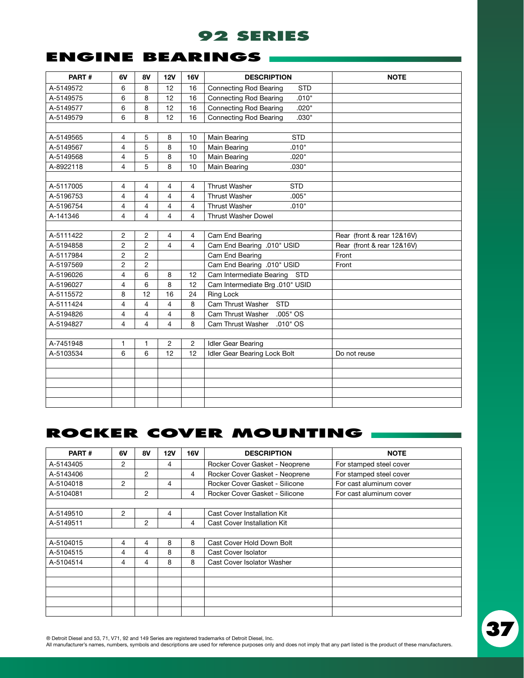## **engine bearings**

| PART#     | 6V             | 8V                      | <b>12V</b>     | <b>16V</b>     | <b>DESCRIPTION</b>                          | <b>NOTE</b>                |
|-----------|----------------|-------------------------|----------------|----------------|---------------------------------------------|----------------------------|
| A-5149572 | 6              | 8                       | 12             | 16             | <b>STD</b><br><b>Connecting Rod Bearing</b> |                            |
| A-5149575 | 6              | 8                       | 12             | 16             | <b>Connecting Rod Bearing</b><br>.010"      |                            |
| A-5149577 | 6              | 8                       | 12             | 16             | <b>Connecting Rod Bearing</b><br>.020"      |                            |
| A-5149579 | 6              | 8                       | 12             | 16             | .030"<br><b>Connecting Rod Bearing</b>      |                            |
|           |                |                         |                |                |                                             |                            |
| A-5149565 | 4              | 5                       | 8              | 10             | <b>STD</b><br>Main Bearing                  |                            |
| A-5149567 | $\overline{4}$ | 5                       | 8              | 10             | Main Bearing<br>.010"                       |                            |
| A-5149568 | $\overline{4}$ | 5                       | 8              | 10             | Main Bearing<br>.020"                       |                            |
| A-8922118 | 4              | 5                       | 8              | 10             | Main Bearing<br>.030"                       |                            |
|           |                |                         |                |                |                                             |                            |
| A-5117005 | 4              | 4                       | $\overline{4}$ | 4              | <b>Thrust Washer</b><br><b>STD</b>          |                            |
| A-5196753 | $\overline{4}$ | $\overline{\mathbf{4}}$ | $\overline{4}$ | $\overline{4}$ | .005"<br><b>Thrust Washer</b>               |                            |
| A-5196754 | $\overline{4}$ | 4                       | $\overline{4}$ | $\overline{4}$ | <b>Thrust Washer</b><br>.010"               |                            |
| A-141346  | 4              | 4                       | 4              | 4              | <b>Thrust Washer Dowel</b>                  |                            |
|           |                |                         |                |                |                                             |                            |
| A-5111422 | $\overline{2}$ | 2                       | 4              | $\overline{4}$ | Cam End Bearing                             | Rear (front & rear 12&16V) |
| A-5194858 | $\overline{2}$ | $\overline{2}$          | $\overline{4}$ | $\overline{4}$ | Cam End Bearing .010" USID                  | Rear (front & rear 12&16V) |
| A-5117984 | $\overline{c}$ | $\overline{c}$          |                |                | Cam End Bearing                             | Front                      |
| A-5197569 | $\overline{2}$ | $\overline{2}$          |                |                | Cam End Bearing .010" USID                  | Front                      |
| A-5196026 | $\overline{4}$ | 6                       | 8              | 12             | Cam Intermediate Bearing<br><b>STD</b>      |                            |
| A-5196027 | $\overline{4}$ | 6                       | 8              | 12             | Cam Intermediate Brg .010" USID             |                            |
| A-5115572 | 8              | 12                      | 16             | 24             | <b>Ring Lock</b>                            |                            |
| A-5111424 | $\overline{4}$ | 4                       | $\overline{4}$ | 8              | Cam Thrust Washer<br><b>STD</b>             |                            |
| A-5194826 | 4              | 4                       | $\overline{4}$ | 8              | .005" OS<br>Cam Thrust Washer               |                            |
| A-5194827 | $\overline{4}$ | 4                       | 4              | 8              | Cam Thrust Washer<br>.010" OS               |                            |
|           |                |                         |                |                |                                             |                            |
| A-7451948 | $\mathbf{1}$   | 1                       | $\overline{2}$ | $\overline{2}$ | <b>Idler Gear Bearing</b>                   |                            |
| A-5103534 | 6              | 6                       | 12             | 12             | Idler Gear Bearing Lock Bolt                | Do not reuse               |
|           |                |                         |                |                |                                             |                            |
|           |                |                         |                |                |                                             |                            |
|           |                |                         |                |                |                                             |                            |
|           |                |                         |                |                |                                             |                            |
|           |                |                         |                |                |                                             |                            |

## **rocker cover mounting**

| PART#     | 6V             | 8V             | <b>12V</b> | <b>16V</b> | <b>DESCRIPTION</b>             | <b>NOTE</b>             |
|-----------|----------------|----------------|------------|------------|--------------------------------|-------------------------|
| A-5143405 | $\overline{2}$ |                | 4          |            | Rocker Cover Gasket - Neoprene | For stamped steel cover |
| A-5143406 |                | $\overline{2}$ |            | 4          | Rocker Cover Gasket - Neoprene | For stamped steel cover |
| A-5104018 | $\overline{2}$ |                | 4          |            | Rocker Cover Gasket - Silicone | For cast aluminum cover |
| A-5104081 |                | $\overline{2}$ |            | 4          | Rocker Cover Gasket - Silicone | For cast aluminum cover |
|           |                |                |            |            |                                |                         |
| A-5149510 | 2              |                | 4          |            | Cast Cover Installation Kit    |                         |
| A-5149511 |                | 2              |            | 4          | Cast Cover Installation Kit    |                         |
|           |                |                |            |            |                                |                         |
| A-5104015 | 4              | 4              | 8          | 8          | Cast Cover Hold Down Bolt      |                         |
| A-5104515 | 4              | 4              | 8          | 8          | Cast Cover Isolator            |                         |
| A-5104514 | 4              | 4              | 8          | 8          | Cast Cover Isolator Washer     |                         |
|           |                |                |            |            |                                |                         |
|           |                |                |            |            |                                |                         |
|           |                |                |            |            |                                |                         |
|           |                |                |            |            |                                |                         |
|           |                |                |            |            |                                |                         |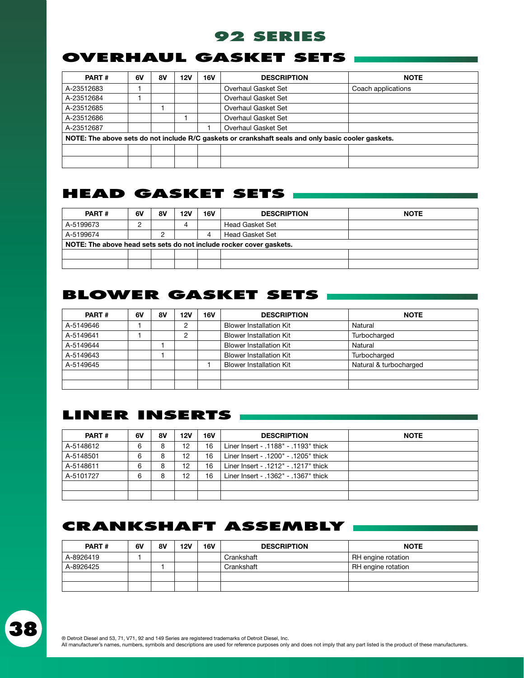## **overhaul gasket sets**

| PART#                                                                                              | 6V | 8V | 12V | <b>16V</b> | <b>DESCRIPTION</b>  | <b>NOTE</b>        |  |  |  |
|----------------------------------------------------------------------------------------------------|----|----|-----|------------|---------------------|--------------------|--|--|--|
| A-23512683                                                                                         |    |    |     |            | Overhaul Gasket Set | Coach applications |  |  |  |
| A-23512684                                                                                         |    |    |     |            | Overhaul Gasket Set |                    |  |  |  |
| A-23512685                                                                                         |    |    |     |            | Overhaul Gasket Set |                    |  |  |  |
| A-23512686                                                                                         |    |    |     |            | Overhaul Gasket Set |                    |  |  |  |
| A-23512687                                                                                         |    |    |     |            | Overhaul Gasket Set |                    |  |  |  |
| NOTE: The above sets do not include R/C gaskets or crankshaft seals and only basic cooler gaskets. |    |    |     |            |                     |                    |  |  |  |
|                                                                                                    |    |    |     |            |                     |                    |  |  |  |
|                                                                                                    |    |    |     |            |                     |                    |  |  |  |

## **head gasket sets**

| <b>PART#</b> | 6V                                                                  | <b>8V</b> | <b>12V</b> | <b>16V</b> | <b>DESCRIPTION</b> | <b>NOTE</b> |  |  |  |  |
|--------------|---------------------------------------------------------------------|-----------|------------|------------|--------------------|-------------|--|--|--|--|
| A-5199673    |                                                                     |           | 4          |            | Head Gasket Set    |             |  |  |  |  |
| A-5199674    |                                                                     | c         |            | 4          | Head Gasket Set    |             |  |  |  |  |
|              | NOTE: The above head sets sets do not include rocker cover gaskets. |           |            |            |                    |             |  |  |  |  |
|              |                                                                     |           |            |            |                    |             |  |  |  |  |
|              |                                                                     |           |            |            |                    |             |  |  |  |  |

## **blower gasket sets**

| <b>PART#</b> | 6V | 8V | 12V    | <b>16V</b> | <b>DESCRIPTION</b>             | <b>NOTE</b>            |
|--------------|----|----|--------|------------|--------------------------------|------------------------|
| A-5149646    |    |    | റ      |            | <b>Blower Installation Kit</b> | Natural                |
| A-5149641    |    |    | റ<br>ے |            | <b>Blower Installation Kit</b> | Turbocharged           |
| A-5149644    |    |    |        |            | <b>Blower Installation Kit</b> | Natural                |
| A-5149643    |    |    |        |            | <b>Blower Installation Kit</b> | Turbocharged           |
| A-5149645    |    |    |        |            | <b>Blower Installation Kit</b> | Natural & turbocharged |
|              |    |    |        |            |                                |                        |
|              |    |    |        |            |                                |                        |

## **liner inserts**

| <b>PART#</b> | 6V | <b>8V</b> | <b>12V</b> | <b>16V</b> | <b>DESCRIPTION</b>                   | <b>NOTE</b> |
|--------------|----|-----------|------------|------------|--------------------------------------|-------------|
| A-5148612    | 6  | 8         | 12         | 16         | Liner Insert - .1188" - .1193" thick |             |
| A-5148501    | 6  | 8         | 12         | 16         | Liner Insert - .1200" - .1205" thick |             |
| A-5148611    | 6  | 8         | 12         | 16         | 1 iner Insert - 1212" - 1217" thick  |             |
| A-5101727    | 6  | 8         | 12         | 16         | Liner Insert - .1362" - .1367" thick |             |
|              |    |           |            |            |                                      |             |
|              |    |           |            |            |                                      |             |

## **crankshaft assembly**

| PART#     | 6V | 8V | 12V | <b>16V</b> | <b>DESCRIPTION</b> | <b>NOTE</b>        |
|-----------|----|----|-----|------------|--------------------|--------------------|
| A-8926419 |    |    |     |            | Crankshaft         | RH engine rotation |
| A-8926425 |    |    |     |            | Crankshaft         | RH engine rotation |
|           |    |    |     |            |                    |                    |
|           |    |    |     |            |                    |                    |

® Detroit Diesel and 53, 71, V71, 92 and 149 Series are registered trademarks of Detroit Diesel, Inc. All manufacturer's names, numbers, symbols and descriptions are used for reference purposes only and does not imply that any part listed is the product of these manufacturers.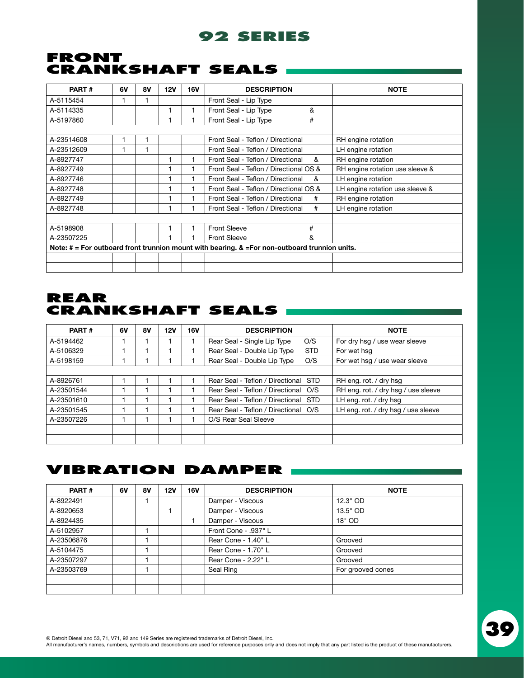## **front crankshaft seals**

| PART#                                                                                               | 6V | 8V | 12V | <b>16V</b> | <b>DESCRIPTION</b>                     |   | <b>NOTE</b>                     |  |  |
|-----------------------------------------------------------------------------------------------------|----|----|-----|------------|----------------------------------------|---|---------------------------------|--|--|
| A-5115454                                                                                           |    |    |     |            | Front Seal - Lip Type                  |   |                                 |  |  |
| A-5114335                                                                                           |    |    |     |            | Front Seal - Lip Type                  | & |                                 |  |  |
| A-5197860                                                                                           |    |    |     |            | Front Seal - Lip Type                  | # |                                 |  |  |
|                                                                                                     |    |    |     |            |                                        |   |                                 |  |  |
| A-23514608                                                                                          |    |    |     |            | Front Seal - Teflon / Directional      |   | RH engine rotation              |  |  |
| A-23512609                                                                                          |    |    |     |            | Front Seal - Teflon / Directional      |   | LH engine rotation              |  |  |
| A-8927747                                                                                           |    |    | 1   |            | Front Seal - Teflon / Directional      | & | RH engine rotation              |  |  |
| A-8927749                                                                                           |    |    | 1   |            | Front Seal - Teflon / Directional OS & |   | RH engine rotation use sleeve & |  |  |
| A-8927746                                                                                           |    |    | 1   |            | Front Seal - Teflon / Directional      | & | LH engine rotation              |  |  |
| A-8927748                                                                                           |    |    | 1   |            | Front Seal - Teflon / Directional OS & |   | LH engine rotation use sleeve & |  |  |
| A-8927749                                                                                           |    |    | 1   |            | Front Seal - Teflon / Directional      | # | RH engine rotation              |  |  |
| A-8927748                                                                                           |    |    |     |            | Front Seal - Teflon / Directional      | # | LH engine rotation              |  |  |
|                                                                                                     |    |    |     |            |                                        |   |                                 |  |  |
| A-5198908                                                                                           |    |    |     |            | <b>Front Sleeve</b>                    | # |                                 |  |  |
| A-23507225                                                                                          |    |    | 1   |            | <b>Front Sleeve</b>                    | ጼ |                                 |  |  |
| Note: $#$ = For outboard front trunnion mount with bearing. $\&$ = For non-outboard trunnion units. |    |    |     |            |                                        |   |                                 |  |  |
|                                                                                                     |    |    |     |            |                                        |   |                                 |  |  |
|                                                                                                     |    |    |     |            |                                        |   |                                 |  |  |

## **rear crankshaft seals**

| PART#      | 6V | 8V | <b>12V</b> | <b>16V</b> | <b>DESCRIPTION</b>                             | <b>NOTE</b>                         |
|------------|----|----|------------|------------|------------------------------------------------|-------------------------------------|
| A-5194462  |    |    |            |            | Rear Seal - Single Lip Type<br>O/S             | For dry hsg / use wear sleeve       |
| A-5106329  |    |    |            |            | Rear Seal - Double Lip Type<br><b>STD</b>      | For wet hsg                         |
| A-5198159  |    |    |            |            | Rear Seal - Double Lip Type<br>O/S             | For wet hsg / use wear sleeve       |
|            |    |    |            |            |                                                |                                     |
| A-8926761  |    |    |            |            | Rear Seal - Teflon / Directional<br>STD        | RH eng. rot. / dry hsg              |
| A-23501544 |    |    |            |            | Rear Seal - Teflon / Directional O/S           | RH eng. rot. / dry hsg / use sleeve |
| A-23501610 |    |    |            |            | Rear Seal - Teflon / Directional<br><b>STD</b> | LH eng. rot. / dry hsg              |
| A-23501545 |    |    |            |            | Rear Seal - Teflon / Directional O/S           | LH eng. rot. / dry hsg / use sleeve |
| A-23507226 |    |    |            |            | O/S Rear Seal Sleeve                           |                                     |
|            |    |    |            |            |                                                |                                     |
|            |    |    |            |            |                                                |                                     |

## **vibraTION damper**

| PART#      | 6V | <b>8V</b> | <b>12V</b> | 16V | <b>DESCRIPTION</b>   | <b>NOTE</b>       |
|------------|----|-----------|------------|-----|----------------------|-------------------|
| A-8922491  |    |           |            |     | Damper - Viscous     | 12.3" OD          |
| A-8920653  |    |           |            |     | Damper - Viscous     | 13.5" OD          |
| A-8924435  |    |           |            |     | Damper - Viscous     | 18" OD            |
| A-5102957  |    |           |            |     | Front Cone - .937" L |                   |
| A-23506876 |    |           |            |     | Rear Cone - 1.40" L  | Grooved           |
| A-5104475  |    |           |            |     | Rear Cone - 1.70" L  | Grooved           |
| A-23507297 |    |           |            |     | Rear Cone - 2.22" L  | Grooved           |
| A-23503769 |    |           |            |     | Seal Ring            | For grooved cones |
|            |    |           |            |     |                      |                   |
|            |    |           |            |     |                      |                   |

® Detroit Diesel and 53, 71, V71, 92 and 149 Series are registered trademarks of Detroit Diesel, Inc.

All manufacturer's names, numbers, symbols and descriptions are used for reference purposes only and does not imply that any part listed is the product of these manufacturers.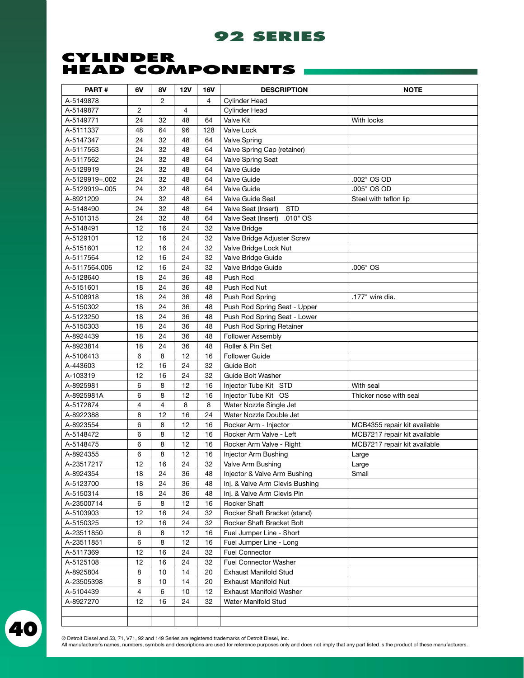## **cylinder head components**

| PART#          | 6V | <b>8V</b>      | <b>12V</b>     | <b>16V</b>     | <b>DESCRIPTION</b>                | <b>NOTE</b>                  |
|----------------|----|----------------|----------------|----------------|-----------------------------------|------------------------------|
| A-5149878      |    | $\overline{2}$ |                | $\overline{4}$ | <b>Cylinder Head</b>              |                              |
| A-5149877      | 2  |                | $\overline{4}$ |                | <b>Cylinder Head</b>              |                              |
| A-5149771      | 24 | 32             | 48             | 64             | <b>Valve Kit</b>                  | With locks                   |
| A-5111337      | 48 | 64             | 96             | 128            | Valve Lock                        |                              |
| A-5147347      | 24 | 32             | 48             | 64             | <b>Valve Spring</b>               |                              |
| A-5117563      | 24 | 32             | 48             | 64             | Valve Spring Cap (retainer)       |                              |
| A-5117562      | 24 | 32             | 48             | 64             | Valve Spring Seat                 |                              |
| A-5129919      | 24 | 32             | 48             | 64             | Valve Guide                       |                              |
| A-5129919+.002 | 24 | 32             | 48             | 64             | Valve Guide                       | .002" OS OD                  |
| A-5129919+.005 | 24 | 32             | 48             | 64             | Valve Guide                       | .005" OS OD                  |
| A-8921209      | 24 | 32             | 48             | 64             | Valve Guide Seal                  | Steel with teflon lip        |
| A-5148490      | 24 | 32             | 48             | 64             | Valve Seat (Insert)<br><b>STD</b> |                              |
| A-5101315      | 24 | 32             | 48             | 64             | Valve Seat (Insert)<br>.010" OS   |                              |
| A-5148491      | 12 | 16             | 24             | 32             | Valve Bridge                      |                              |
| A-5129101      | 12 | 16             | 24             | 32             | Valve Bridge Adjuster Screw       |                              |
| A-5151601      | 12 | 16             | 24             | 32             | Valve Bridge Lock Nut             |                              |
| A-5117564      | 12 | 16             | 24             | 32             | Valve Bridge Guide                |                              |
| A-5117564.006  | 12 | 16             | 24             | 32             | Valve Bridge Guide                | .006" OS                     |
| A-5128640      | 18 | 24             | 36             | 48             | Push Rod                          |                              |
| A-5151601      | 18 | 24             | 36             | 48             | Push Rod Nut                      |                              |
| A-5108918      | 18 | 24             | 36             | 48             | Push Rod Spring                   | .177" wire dia.              |
| A-5150302      | 18 | 24             | 36             | 48             | Push Rod Spring Seat - Upper      |                              |
| A-5123250      | 18 | 24             | 36             | 48             | Push Rod Spring Seat - Lower      |                              |
| A-5150303      | 18 | 24             | 36             | 48             | Push Rod Spring Retainer          |                              |
| A-8924439      | 18 | 24             | 36             | 48             | Follower Assembly                 |                              |
| A-8923814      | 18 | 24             | 36             | 48             | Roller & Pin Set                  |                              |
| A-5106413      | 6  | 8              | 12             | 16             | <b>Follower Guide</b>             |                              |
| A-443603       | 12 | 16             | 24             | 32             | Guide Bolt                        |                              |
| A-103319       | 12 | 16             | 24             | 32             | Guide Bolt Washer                 |                              |
| A-8925981      | 6  | 8              | 12             | 16             | Injector Tube Kit STD             | With seal                    |
| A-8925981A     | 6  | 8              | 12             | 16             | Injector Tube Kit OS              | Thicker nose with seal       |
| A-5172874      | 4  | 4              | 8              | 8              | Water Nozzle Single Jet           |                              |
| A-8922388      | 8  | 12             | 16             | 24             | Water Nozzle Double Jet           |                              |
| A-8923554      | 6  | 8              | 12             | 16             | Rocker Arm - Injector             | MCB4355 repair kit available |
| A-5148472      | 6  | 8              | 12             | 16             | Rocker Arm Valve - Left           | MCB7217 repair kit available |
| A-5148475      | 6  | 8              | 12             | 16             | Rocker Arm Valve - Right          | MCB7217 repair kit available |
| A-8924355      | 6  | 8              | 12             | 16             | Injector Arm Bushing              | Large                        |
| A-23517217     | 12 | 16             | 24             | 32             | Valve Arm Bushing                 | Large                        |
| A-8924354      | 18 | 24             | 36             | 48             | Injector & Valve Arm Bushing      | Small                        |
| A-5123700      | 18 | 24             | 36             | 48             | Inj. & Valve Arm Clevis Bushing   |                              |
| A-5150314      | 18 | 24             | 36             | 48             | Inj. & Valve Arm Clevis Pin       |                              |
| A-23500714     | 6  | 8              | 12             | 16             | Rocker Shaft                      |                              |
| A-5103903      | 12 | 16             | 24             | 32             | Rocker Shaft Bracket (stand)      |                              |
| A-5150325      | 12 | 16             | 24             | 32             | Rocker Shaft Bracket Bolt         |                              |
| A-23511850     | 6  | 8              | 12             | 16             | Fuel Jumper Line - Short          |                              |
| A-23511851     | 6  | 8              | 12             | 16             | Fuel Jumper Line - Long           |                              |
| A-5117369      | 12 | 16             | 24             | 32             | <b>Fuel Connector</b>             |                              |
| A-5125108      | 12 | 16             | 24             | 32             | <b>Fuel Connector Washer</b>      |                              |
| A-8925804      | 8  | 10             | 14             | 20             | <b>Exhaust Manifold Stud</b>      |                              |
| A-23505398     | 8  | 10             | 14             | 20             | <b>Exhaust Manifold Nut</b>       |                              |
| A-5104439      | 4  | 6              | 10             | 12             | <b>Exhaust Manifold Washer</b>    |                              |
| A-8927270      | 12 | 16             | 24             | 32             | Water Manifold Stud               |                              |
|                |    |                |                |                |                                   |                              |
|                |    |                |                |                |                                   |                              |

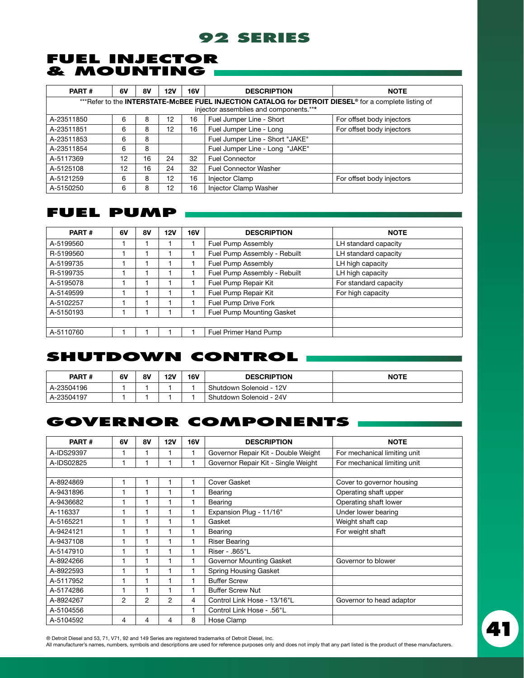## **fuel injector & mounting**

| PART#                                                                                                                                                       | 6V | <b>8V</b> | <b>12V</b> | 16V | <b>DESCRIPTION</b>              | <b>NOTE</b>               |  |  |  |  |  |
|-------------------------------------------------------------------------------------------------------------------------------------------------------------|----|-----------|------------|-----|---------------------------------|---------------------------|--|--|--|--|--|
| ***Refer to the INTERSTATE-McBEE FUEL INJECTION CATALOG for DETROIT DIESEL <sup>®</sup> for a complete listing of<br>injector assemblies and components.*** |    |           |            |     |                                 |                           |  |  |  |  |  |
| A-23511850                                                                                                                                                  | 6  | 8         | 12         | 16  | Fuel Jumper Line - Short        | For offset body injectors |  |  |  |  |  |
| A-23511851                                                                                                                                                  | 6  | 8         | 12         | 16  | Fuel Jumper Line - Long         | For offset body injectors |  |  |  |  |  |
| A-23511853                                                                                                                                                  | 6  | 8         |            |     | Fuel Jumper Line - Short "JAKE" |                           |  |  |  |  |  |
| A-23511854                                                                                                                                                  | 6  | 8         |            |     | Fuel Jumper Line - Long "JAKE"  |                           |  |  |  |  |  |
| A-5117369                                                                                                                                                   | 12 | 16        | 24         | 32  | <b>Fuel Connector</b>           |                           |  |  |  |  |  |
| A-5125108                                                                                                                                                   | 12 | 16        | 24         | 32  | <b>Fuel Connector Washer</b>    |                           |  |  |  |  |  |
| A-5121259                                                                                                                                                   | 6  | 8         | 12         | 16  | <b>Injector Clamp</b>           | For offset body injectors |  |  |  |  |  |
| A-5150250                                                                                                                                                   | 6  | 8         | 12         | 16  | <b>Injector Clamp Washer</b>    |                           |  |  |  |  |  |

## **fuel pump**

| PART#     | 6V | <b>8V</b> | 12V | <b>16V</b> | <b>DESCRIPTION</b>               | <b>NOTE</b>           |
|-----------|----|-----------|-----|------------|----------------------------------|-----------------------|
| A-5199560 |    |           |     |            | Fuel Pump Assembly               | LH standard capacity  |
| R-5199560 |    |           |     |            | Fuel Pump Assembly - Rebuilt     | LH standard capacity  |
| A-5199735 |    |           |     |            | <b>Fuel Pump Assembly</b>        | LH high capacity      |
| R-5199735 |    |           |     |            | Fuel Pump Assembly - Rebuilt     | LH high capacity      |
| A-5195078 |    |           |     |            | Fuel Pump Repair Kit             | For standard capacity |
| A-5149599 |    |           |     |            | Fuel Pump Repair Kit             | For high capacity     |
| A-5102257 |    |           |     |            | Fuel Pump Drive Fork             |                       |
| A-5150193 |    |           |     |            | <b>Fuel Pump Mounting Gasket</b> |                       |
|           |    |           |     |            |                                  |                       |
| A-5110760 |    |           |     |            | Fuel Primer Hand Pump            |                       |

## **shutdown control**

| PART#      | 6V | 8٧ | 12V | <b>16V</b> | <b>DESCRIPTION</b>      | <b>NOTE</b> |
|------------|----|----|-----|------------|-------------------------|-------------|
| A-23504196 |    |    |     |            | Shutdown Solenoid - 12V |             |
| A-23504197 |    |    |     |            | Shutdown Solenoid - 24V |             |

## **governor components**

| PART#      | 6V | <b>8V</b> | 12V | 16V | <b>DESCRIPTION</b>                  | <b>NOTE</b>                  |
|------------|----|-----------|-----|-----|-------------------------------------|------------------------------|
| A-IDS29397 |    |           |     |     | Governor Repair Kit - Double Weight | For mechanical limiting unit |
| A-IDS02825 |    |           |     |     | Governor Repair Kit - Single Weight | For mechanical limiting unit |
|            |    |           |     |     |                                     |                              |
| A-8924869  |    |           |     |     | Cover Gasket                        | Cover to governor housing    |
| A-9431896  |    |           |     |     | Bearing                             | Operating shaft upper        |
| A-9436682  |    |           | 1   |     | Bearing                             | Operating shaft lower        |
| A-116337   |    |           |     |     | Expansion Plug - 11/16"             | Under lower bearing          |
| A-5165221  |    | 1         |     |     | Gasket                              | Weight shaft cap             |
| A-9424121  |    |           |     |     | Bearing                             | For weight shaft             |
| A-9437108  |    | 1         |     |     | <b>Riser Bearing</b>                |                              |
| A-5147910  |    |           |     |     | Riser - .865"L                      |                              |
| A-8924266  |    |           |     |     | Governor Mounting Gasket            | Governor to blower           |
| A-8922593  |    |           |     |     | Spring Housing Gasket               |                              |
| A-5117952  |    |           |     |     | <b>Buffer Screw</b>                 |                              |
| A-5174286  |    | 1         |     |     | <b>Buffer Screw Nut</b>             |                              |
| A-8924267  | 2  | 2         | 2   | 4   | Control Link Hose - 13/16"L         | Governor to head adaptor     |
| A-5104556  |    |           |     |     | Control Link Hose - .56"L           |                              |
| A-5104592  | 4  | 4         | 4   | 8   | Hose Clamp                          |                              |

® Detroit Diesel and 53, 71, V71, 92 and 149 Series are registered trademarks of Detroit Diesel, Inc.

All manufacturer's names, numbers, symbols and descriptions are used for reference purposes only and does not imply that any part listed is the product of these manufacturers.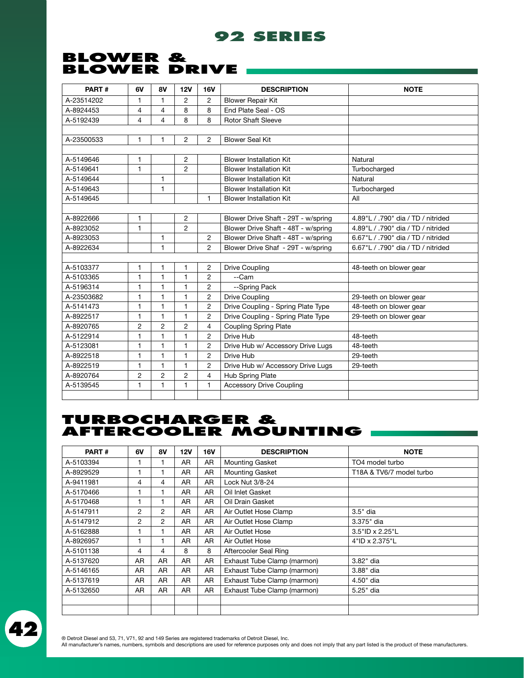## **blower & blower drive**

| PART#      | 6V             | 8V             | 12V            | <b>16V</b>     | <b>DESCRIPTION</b>                  | <b>NOTE</b>                        |
|------------|----------------|----------------|----------------|----------------|-------------------------------------|------------------------------------|
| A-23514202 | 1              | 1              | 2              | $\overline{2}$ | <b>Blower Repair Kit</b>            |                                    |
| A-8924453  | 4              | 4              | 8              | 8              | End Plate Seal - OS                 |                                    |
| A-5192439  | $\overline{4}$ | 4              | 8              | 8              | <b>Rotor Shaft Sleeve</b>           |                                    |
|            |                |                |                |                |                                     |                                    |
| A-23500533 | 1              | 1              | $\overline{2}$ | $\overline{c}$ | <b>Blower Seal Kit</b>              |                                    |
|            |                |                |                |                |                                     |                                    |
| A-5149646  | 1              |                | 2              |                | <b>Blower Installation Kit</b>      | Natural                            |
| A-5149641  | 1              |                | $\overline{2}$ |                | <b>Blower Installation Kit</b>      | Turbocharged                       |
| A-5149644  |                | 1              |                |                | <b>Blower Installation Kit</b>      | Natural                            |
| A-5149643  |                | 1              |                |                | <b>Blower Installation Kit</b>      | Turbocharged                       |
| A-5149645  |                |                |                | $\mathbf{1}$   | <b>Blower Installation Kit</b>      | All                                |
|            |                |                |                |                |                                     |                                    |
| A-8922666  | 1              |                | 2              |                | Blower Drive Shaft - 29T - w/spring | 4.89"L / .790" dia / TD / nitrided |
| A-8923052  | $\mathbf{1}$   |                | $\overline{2}$ |                | Blower Drive Shaft - 48T - w/spring | 4.89"L / .790" dia / TD / nitrided |
| A-8923053  |                | 1              |                | $\overline{2}$ | Blower Drive Shaft - 48T - w/spring | 6.67"L / .790" dia / TD / nitrided |
| A-8922634  |                | 1              |                | 2              | Blower Drive Shaf - 29T - w/spring  | 6.67"L / .790" dia / TD / nitrided |
|            |                |                |                |                |                                     |                                    |
| A-5103377  | 1              | 1              | 1              | $\overline{c}$ | <b>Drive Coupling</b>               | 48-teeth on blower gear            |
| A-5103365  | 1              | 1              | 1              | $\overline{2}$ | --Cam                               |                                    |
| A-5196314  | 1              | 1              | 1              | $\overline{c}$ | --Spring Pack                       |                                    |
| A-23503682 | 1              | 1              | 1              | $\overline{2}$ | <b>Drive Coupling</b>               | 29-teeth on blower gear            |
| A-5141473  | 1              | 1              | 1              | $\overline{c}$ | Drive Coupling - Spring Plate Type  | 48-teeth on blower gear            |
| A-8922517  | 1              | 1              | 1              | $\overline{2}$ | Drive Coupling - Spring Plate Type  | 29-teeth on blower gear            |
| A-8920765  | 2              | $\overline{2}$ | $\overline{2}$ | $\overline{4}$ | <b>Coupling Spring Plate</b>        |                                    |
| A-5122914  | 1              | 1              | 1              | $\overline{2}$ | Drive Hub                           | 48-teeth                           |
| A-5123081  | 1              | 1              | 1              | $\overline{2}$ | Drive Hub w/ Accessory Drive Lugs   | 48-teeth                           |
| A-8922518  | 1              | 1              | 1              | $\overline{2}$ | Drive Hub                           | 29-teeth                           |
| A-8922519  | 1              | 1              | 1              | $\overline{2}$ | Drive Hub w/ Accessory Drive Lugs   | 29-teeth                           |
| A-8920764  | 2              | $\overline{2}$ | $\overline{2}$ | $\overline{4}$ | Hub Spring Plate                    |                                    |
| A-5139545  | $\mathbf{1}$   | 1              | 1              | $\mathbf{1}$   | <b>Accessory Drive Coupling</b>     |                                    |
|            |                |                |                |                |                                     |                                    |

## **turbocharger & AFTERCOOLER MOUNTING**

| PART#     | 6V             | 8V             | 12V | <b>16V</b> | <b>DESCRIPTION</b>          | <b>NOTE</b>              |
|-----------|----------------|----------------|-----|------------|-----------------------------|--------------------------|
| A-5103394 | 1              |                | AR  | AR         | <b>Mounting Gasket</b>      | TO4 model turbo          |
| A-8929529 |                |                | AR  | AR.        | <b>Mounting Gasket</b>      | T18A & TV6/7 model turbo |
| A-9411981 | 4              | 4              | AR  | <b>AR</b>  | Lock Nut 3/8-24             |                          |
| A-5170466 |                |                | AR  | <b>AR</b>  | Oil Inlet Gasket            |                          |
| A-5170468 |                |                | AR  | <b>AR</b>  | Oil Drain Gasket            |                          |
| A-5147911 | $\overline{2}$ | 2              | AR. | AR         | Air Outlet Hose Clamp       | 3.5" dia                 |
| A-5147912 | $\overline{2}$ | $\overline{2}$ | AR  | <b>AR</b>  | Air Outlet Hose Clamp       | 3.375" dia               |
| A-5162888 | 1              |                | AR  | <b>AR</b>  | Air Outlet Hose             | 3.5"ID x 2.25"L          |
| A-8926957 |                |                | AR  | AR         | Air Outlet Hose             | 4"ID x 2.375"L           |
| A-5101138 | 4              | 4              | 8   | 8          | Aftercooler Seal Ring       |                          |
| A-5137620 | <b>AR</b>      | AR             | AR  | <b>AR</b>  | Exhaust Tube Clamp (marmon) | 3.82" dia                |
| A-5146165 | AR             | AR             | AR. | AR         | Exhaust Tube Clamp (marmon) | 3.88" dia                |
| A-5137619 | <b>AR</b>      | AR.            | AR  | AR         | Exhaust Tube Clamp (marmon) | 4.50" dia                |
| A-5132650 | AR             | AR             | AR  | AR         | Exhaust Tube Clamp (marmon) | 5.25" dia                |
|           |                |                |     |            |                             |                          |
|           |                |                |     |            |                             |                          |

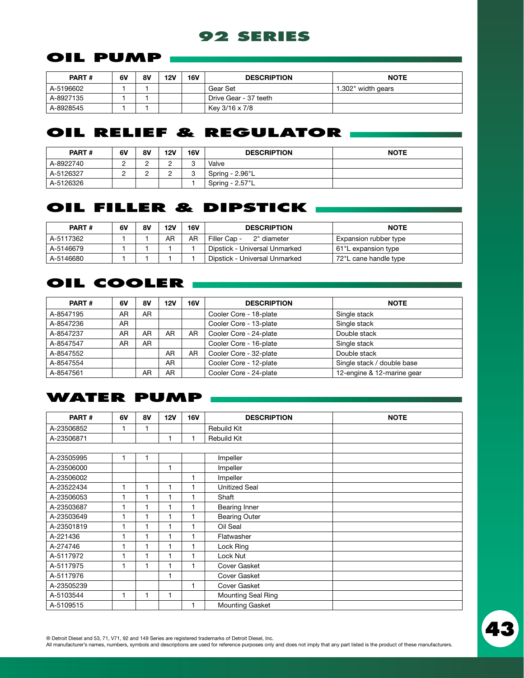## **OIL PUMP**

| PART#     | 6V | <b>8V</b> | 12V | <b>16V</b> | <b>DESCRIPTION</b>    | <b>NOTE</b>        |
|-----------|----|-----------|-----|------------|-----------------------|--------------------|
| A-5196602 |    |           |     |            | Gear Set              | 1.302" width gears |
| A-8927135 |    |           |     |            | Drive Gear - 37 teeth |                    |
| A-8928545 |    |           |     |            | Kev 3/16 x 7/8        |                    |

## **OIL RELIEF & REGULATOR**

| <b>PART#</b> | 6V | 8V | <b>12V</b>      | 16V     | <b>DESCRIPTION</b> | <b>NOTE</b> |
|--------------|----|----|-----------------|---------|--------------------|-------------|
| A-8922740    | ⌒  | C  | ⌒<br>_          | c<br>ັບ | Valve              |             |
| A-5126327    |    | ◠  | $\sqrt{2}$<br>∸ | C<br>ٮ  | Spring - 2.96"L    |             |
| A-5126326    |    |    |                 |         | Spring - 2.57"L    |             |

## **OIL FILLER & DIPSTICK**

| PART#     | 6V | 8V | 12V | <b>16V</b> | <b>DESCRIPTION</b>            | <b>NOTE</b>           |
|-----------|----|----|-----|------------|-------------------------------|-----------------------|
| A-5117362 |    |    | AR  | AR         | Filler Cap -<br>2" diameter   | Expansion rubber type |
| A-5146679 |    |    |     |            | Dipstick - Universal Unmarked | 61"L expansion type   |
| A-5146680 |    |    |     |            | Dipstick - Universal Unmarked | 72"L cane handle type |

## **OIL COOLER**

| <b>PART#</b> | 6V  | 8V | 12V | <b>16V</b> | <b>DESCRIPTION</b>     | <b>NOTE</b>                |
|--------------|-----|----|-----|------------|------------------------|----------------------------|
| A-8547195    | AR  | AR |     |            | Cooler Core - 18-plate | Single stack               |
| A-8547236    | AR  |    |     |            | Cooler Core - 13-plate | Single stack               |
| A-8547237    | AR  | AR | AR  | AR         | Cooler Core - 24-plate | Double stack               |
| A-8547547    | AR. | AR |     |            | Cooler Core - 16-plate | Single stack               |
| A-8547552    |     |    | AR  | AR         | Cooler Core - 32-plate | Double stack               |
| A-8547554    |     |    | AR  |            | Cooler Core - 12-plate | Single stack / double base |
| A-8547561    |     | AR | AR  |            | Cooler Core - 24-plate | 12-engine & 12-marine gear |

## **WATER PUMP**

| PART#      | 6V | <b>8V</b> | 12V | <b>16V</b> | <b>DESCRIPTION</b>        | <b>NOTE</b> |
|------------|----|-----------|-----|------------|---------------------------|-------------|
| A-23506852 |    | 1         |     |            | Rebuild Kit               |             |
| A-23506871 |    |           |     |            | Rebuild Kit               |             |
|            |    |           |     |            |                           |             |
| A-23505995 |    | 1         |     |            | Impeller                  |             |
| A-23506000 |    |           |     |            | Impeller                  |             |
| A-23506002 |    |           |     |            | Impeller                  |             |
| A-23522434 |    | 1         |     |            | <b>Unitized Seal</b>      |             |
| A-23506053 |    | 1         | 1   |            | Shaft                     |             |
| A-23503687 | 1  | 1         | 1   | 1          | Bearing Inner             |             |
| A-23503649 |    |           |     |            | <b>Bearing Outer</b>      |             |
| A-23501819 |    |           |     |            | Oil Seal                  |             |
| A-221436   |    | 1         |     |            | Flatwasher                |             |
| A-274746   |    | 1         |     |            | Lock Ring                 |             |
| A-5117972  |    | 1         |     |            | Lock Nut                  |             |
| A-5117975  | 1  | 1         |     |            | Cover Gasket              |             |
| A-5117976  |    |           |     |            | Cover Gasket              |             |
| A-23505239 |    |           |     | 1          | Cover Gasket              |             |
| A-5103544  |    |           |     |            | <b>Mounting Seal Ring</b> |             |
| A-5109515  |    |           |     | 1          | <b>Mounting Gasket</b>    |             |

All manufacturer's names, numbers, symbols and descriptions are used for reference purposes only and does not imply that any part listed is the product of these manufacturers.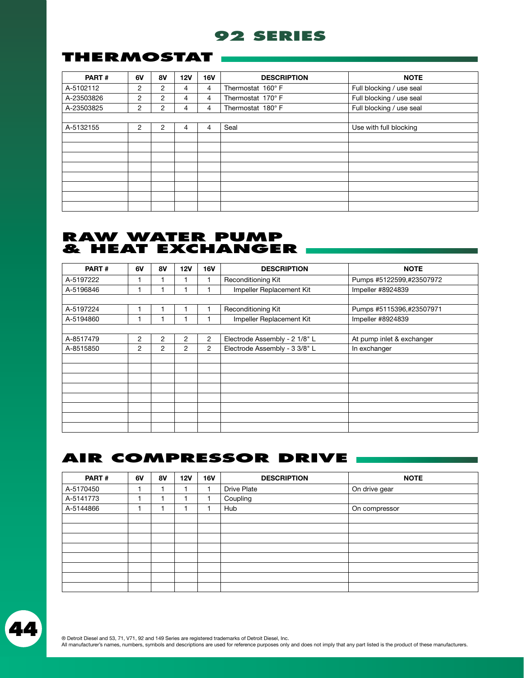## **THERMOSTAT**

| PART#      | 6V             | <b>8V</b>      | <b>12V</b> | <b>16V</b> | <b>DESCRIPTION</b> | <b>NOTE</b>              |
|------------|----------------|----------------|------------|------------|--------------------|--------------------------|
| A-5102112  | $\overline{2}$ | 2              | 4          | 4          | Thermostat 160° F  | Full blocking / use seal |
| A-23503826 | 2              | $\overline{2}$ | 4          | 4          | Thermostat 170° F  | Full blocking / use seal |
| A-23503825 | 2              | 2              | 4          | 4          | Thermostat 180° F  | Full blocking / use seal |
|            |                |                |            |            |                    |                          |
| A-5132155  | $\overline{2}$ | $\overline{2}$ | 4          | 4          | Seal               | Use with full blocking   |
|            |                |                |            |            |                    |                          |
|            |                |                |            |            |                    |                          |
|            |                |                |            |            |                    |                          |
|            |                |                |            |            |                    |                          |
|            |                |                |            |            |                    |                          |
|            |                |                |            |            |                    |                          |
|            |                |                |            |            |                    |                          |
|            |                |                |            |            |                    |                          |

## **RAW WATER PUMP & HEAT EXCHANGER**

| PART#     | 6V | <b>8V</b> | <b>12V</b> | <b>16V</b>     | <b>DESCRIPTION</b>            | <b>NOTE</b>               |
|-----------|----|-----------|------------|----------------|-------------------------------|---------------------------|
| A-5197222 |    |           |            |                | <b>Reconditioning Kit</b>     | Pumps #5122599,#23507972  |
| A-5196846 |    |           |            |                | Impeller Replacement Kit      | Impeller #8924839         |
|           |    |           |            |                |                               |                           |
| A-5197224 |    |           |            |                | <b>Reconditioning Kit</b>     | Pumps #5115396,#23507971  |
| A-5194860 |    |           |            |                | Impeller Replacement Kit      | Impeller #8924839         |
|           |    |           |            |                |                               |                           |
| A-8517479 | 2  | 2         | 2          | $\overline{2}$ | Electrode Assembly - 2 1/8" L | At pump inlet & exchanger |
| A-8515850 | 2  | 2         | 2          | 2              | Electrode Assembly - 3 3/8" L | In exchanger              |
|           |    |           |            |                |                               |                           |
|           |    |           |            |                |                               |                           |
|           |    |           |            |                |                               |                           |
|           |    |           |            |                |                               |                           |
|           |    |           |            |                |                               |                           |
|           |    |           |            |                |                               |                           |
|           |    |           |            |                |                               |                           |
|           |    |           |            |                |                               |                           |

## **AIR COMPRESSOR DRIVE**

| PART#     | 6V | <b>8V</b> | 12V | <b>16V</b> | <b>DESCRIPTION</b> | <b>NOTE</b>   |
|-----------|----|-----------|-----|------------|--------------------|---------------|
| A-5170450 |    |           |     |            | Drive Plate        | On drive gear |
| A-5141773 |    |           |     |            | Coupling           |               |
| A-5144866 |    |           |     |            | Hub                | On compressor |
|           |    |           |     |            |                    |               |
|           |    |           |     |            |                    |               |
|           |    |           |     |            |                    |               |
|           |    |           |     |            |                    |               |
|           |    |           |     |            |                    |               |
|           |    |           |     |            |                    |               |
|           |    |           |     |            |                    |               |
|           |    |           |     |            |                    |               |

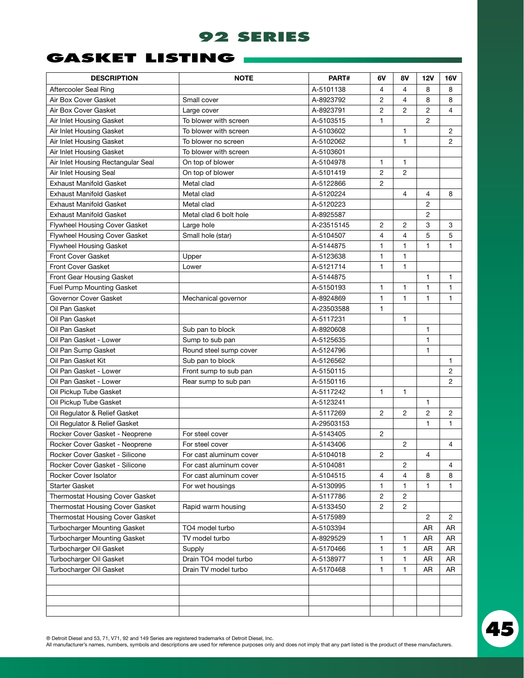## **gasket listing**

| <b>DESCRIPTION</b>                   | <b>NOTE</b>             | PART#      | 6V             | <b>8V</b>      | 12V            | <b>16V</b>     |
|--------------------------------------|-------------------------|------------|----------------|----------------|----------------|----------------|
| Aftercooler Seal Ring                |                         | A-5101138  | 4              | 4              | 8              | 8              |
| Air Box Cover Gasket                 | Small cover             | A-8923792  | $\overline{c}$ | 4              | 8              | 8              |
| Air Box Cover Gasket                 | Large cover             | A-8923791  | $\overline{c}$ | 2              | $\overline{c}$ | 4              |
| Air Inlet Housing Gasket             | To blower with screen   | A-5103515  | $\mathbf{1}$   |                | $\overline{2}$ |                |
| Air Inlet Housing Gasket             | To blower with screen   | A-5103602  |                | 1              |                | 2              |
| Air Inlet Housing Gasket             | To blower no screen     | A-5102062  |                | 1              |                | $\overline{c}$ |
| Air Inlet Housing Gasket             | To blower with screen   | A-5103601  |                |                |                |                |
| Air Inlet Housing Rectangular Seal   | On top of blower        | A-5104978  | 1              | 1              |                |                |
| Air Inlet Housing Seal               | On top of blower        | A-5101419  | $\overline{2}$ | $\overline{2}$ |                |                |
| <b>Exhaust Manifold Gasket</b>       | Metal clad              | A-5122866  | $\overline{c}$ |                |                |                |
| Exhaust Manifold Gasket              | Metal clad              | A-5120224  |                | 4              | 4              | 8              |
| Exhaust Manifold Gasket              | Metal clad              | A-5120223  |                |                | 2              |                |
| <b>Exhaust Manifold Gasket</b>       | Metal clad 6 bolt hole  | A-8925587  |                |                | $\overline{2}$ |                |
| <b>Flywheel Housing Cover Gasket</b> | Large hole              | A-23515145 | 2              | 2              | 3              | 3              |
| <b>Flywheel Housing Cover Gasket</b> | Small hole (star)       | A-5104507  | 4              | 4              | 5              | 5              |
| <b>Flywheel Housing Gasket</b>       |                         | A-5144875  | 1              | 1              | 1              | 1              |
| Front Cover Gasket                   | Upper                   | A-5123638  | 1              | 1              |                |                |
| <b>Front Cover Gasket</b>            | Lower                   | A-5121714  | 1              | 1              |                |                |
| Front Gear Housing Gasket            |                         | A-5144875  |                |                | 1              | 1              |
| Fuel Pump Mounting Gasket            |                         | A-5150193  | 1              | 1              | 1              | 1              |
| Governor Cover Gasket                | Mechanical governor     | A-8924869  | $\mathbf{1}$   | 1              | 1              | 1              |
| Oil Pan Gasket                       |                         | A-23503588 | 1              |                |                |                |
| Oil Pan Gasket                       |                         | A-5117231  |                | 1              |                |                |
| Oil Pan Gasket                       | Sub pan to block        | A-8920608  |                |                | 1              |                |
| Oil Pan Gasket - Lower               | Sump to sub pan         | A-5125635  |                |                | 1              |                |
| Oil Pan Sump Gasket                  | Round steel sump cover  | A-5124796  |                |                | 1              |                |
| Oil Pan Gasket Kit                   | Sub pan to block        | A-5126562  |                |                |                | 1              |
| Oil Pan Gasket - Lower               | Front sump to sub pan   | A-5150115  |                |                |                | 2              |
| Oil Pan Gasket - Lower               | Rear sump to sub pan    | A-5150116  |                |                |                | 2              |
| Oil Pickup Tube Gasket               |                         | A-5117242  | $\mathbf{1}$   | 1              |                |                |
| Oil Pickup Tube Gasket               |                         | A-5123241  |                |                | 1              |                |
| Oil Regulator & Relief Gasket        |                         | A-5117269  | $\overline{2}$ | $\overline{2}$ | $\overline{c}$ | 2              |
| Oil Regulator & Relief Gasket        |                         | A-29503153 |                |                | 1              | 1              |
| Rocker Cover Gasket - Neoprene       | For steel cover         | A-5143405  | 2              |                |                |                |
| Rocker Cover Gasket - Neoprene       | For steel cover         | A-5143406  |                | 2              |                | 4              |
| Rocker Cover Gasket - Silicone       | For cast aluminum cover | A-5104018  | $\overline{c}$ |                | $\overline{4}$ |                |
| Rocker Cover Gasket - Silicone       | For cast aluminum cover | A-5104081  |                | 2              |                | 4              |
| Rocker Cover Isolator                | For cast aluminum cover | A-5104515  | 4              | 4              | 8              | 8              |
| <b>Starter Gasket</b>                | For wet housings        | A-5130995  | 1              | 1              | 1              | 1              |
| Thermostat Housing Cover Gasket      |                         | A-5117786  | 2              | $\overline{c}$ |                |                |
| Thermostat Housing Cover Gasket      | Rapid warm housing      | A-5133450  | $\overline{c}$ | 2              |                |                |
| Thermostat Housing Cover Gasket      |                         | A-5175989  |                |                | 2              | 2              |
| <b>Turbocharger Mounting Gasket</b>  | TO4 model turbo         | A-5103394  |                |                | <b>AR</b>      | AR             |
| Turbocharger Mounting Gasket         | TV model turbo          | A-8929529  | 1              | 1              | AR             | AR             |
| Turbocharger Oil Gasket              | Supply                  | A-5170466  | 1              | 1              | AR             | AR             |
| Turbocharger Oil Gasket              | Drain TO4 model turbo   | A-5138977  | 1              | 1              | AR             | AR             |
| Turbocharger Oil Gasket              | Drain TV model turbo    | A-5170468  | 1              | 1              | AR             | AR             |
|                                      |                         |            |                |                |                |                |
|                                      |                         |            |                |                |                |                |
|                                      |                         |            |                |                |                |                |
|                                      |                         |            |                |                |                |                |
|                                      |                         |            |                |                |                |                |

® Detroit Diesel and 53, 71, V71, 92 and 149 Series are registered trademarks of Detroit Diesel, Inc.<br>All manufacturer's names, numbers, symbols and descriptions are used for reference purposes only and does not imply that

**45**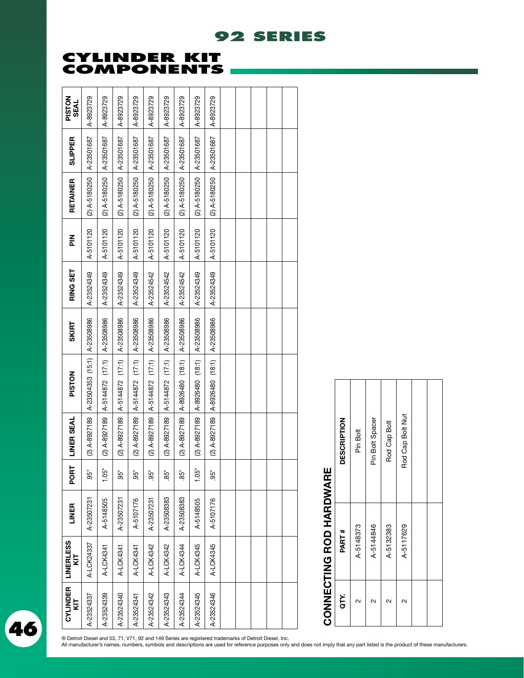

**46**

|                         | <b>DESCRIPTION</b> | Pin Bolt  | Pin Bolt Spacer | Rod Cap Bolt | Rod Cap Bolt Nut |  |
|-------------------------|--------------------|-----------|-----------------|--------------|------------------|--|
| CONNECTING ROD HARDWARE | <b>PART#</b>       | A-5148373 | A-5144846       | A-5132383    | A-5117629        |  |
|                         | άLΣ                | $\sim$    |                 | $\sim$       | $\sim$           |  |

## **cylinder kit COMPONENT**

® Detroit Diesel and 53, 71, V71, 92 and 149 Series are registered trademarks of Detroit Diesel, Inc. All manufacturer's names, numbers, symbols and descriptions are used for reference purposes only and does not imply that any part listed is the product of these manufacturers.

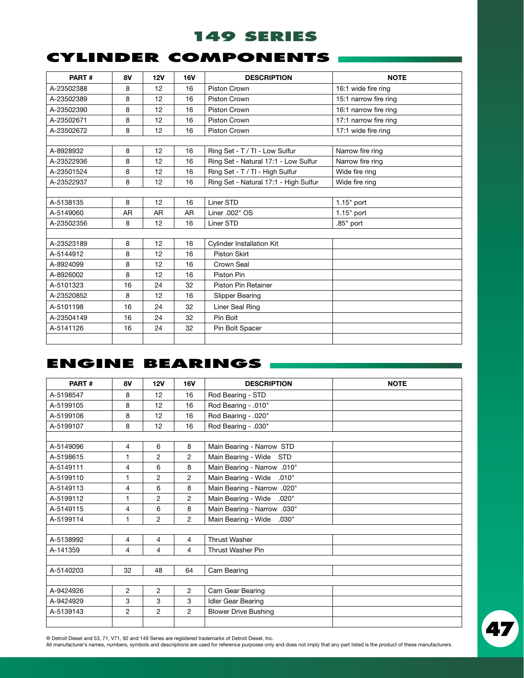## **cylinder components**

| PART#      | 8V        | 12V       | <b>16V</b> | <b>DESCRIPTION</b>                    | <b>NOTE</b>           |
|------------|-----------|-----------|------------|---------------------------------------|-----------------------|
| A-23502388 | 8         | 12        | 16         | Piston Crown                          | 16:1 wide fire ring   |
| A-23502389 | 8         | 12        | 16         | Piston Crown                          | 15:1 narrow fire ring |
| A-23502390 | 8         | 12        | 16         | Piston Crown                          | 16:1 narrow fire ring |
| A-23502671 | 8         | 12        | 16         | Piston Crown                          | 17:1 narrow fire ring |
| A-23502672 | 8         | 12        | 16         | Piston Crown                          | 17:1 wide fire ring   |
|            |           |           |            |                                       |                       |
| A-8928932  | 8         | 12        | 16         | Ring Set - T / TI - Low Sulfur        | Narrow fire ring      |
| A-23522936 | 8         | 12        | 16         | Ring Set - Natural 17:1 - Low Sulfur  | Narrow fire ring      |
| A-23501524 | 8         | 12        | 16         | Ring Set - T / TI - High Sulfur       | Wide fire ring        |
| A-23522937 | 8         | 12        | 16         | Ring Set - Natural 17:1 - High Sulfur | Wide fire ring        |
|            |           |           |            |                                       |                       |
| A-5138135  | 8         | 12        | 16         | Liner STD                             | $1.15"$ port          |
| A-5149060  | <b>AR</b> | <b>AR</b> | <b>AR</b>  | Liner .002" OS                        | $1.15"$ port          |
| A-23502356 | 8         | 12        | 16         | Liner STD                             | $.85"$ port           |
|            |           |           |            |                                       |                       |
| A-23523189 | 8         | 12        | 16         | <b>Cylinder Installation Kit</b>      |                       |
| A-5144912  | 8         | 12        | 16         | <b>Piston Skirt</b>                   |                       |
| A-8924099  | 8         | 12        | 16         | Crown Seal                            |                       |
| A-8926002  | 8         | 12        | 16         | Piston Pin                            |                       |
| A-5101323  | 16        | 24        | 32         | Piston Pin Retainer                   |                       |
| A-23520852 | 8         | 12        | 16         | <b>Slipper Bearing</b>                |                       |
| A-5101198  | 16        | 24        | 32         | Liner Seal Ring                       |                       |
| A-23504149 | 16        | 24        | 32         | Pin Bolt                              |                       |
| A-5141126  | 16        | 24        | 32         | Pin Bolt Spacer                       |                       |
|            |           |           |            |                                       |                       |

## **ENGINE BEARINGS**

| PART#     | 8V             | 12V            | <b>16V</b>     | <b>DESCRIPTION</b>          | <b>NOTE</b> |
|-----------|----------------|----------------|----------------|-----------------------------|-------------|
| A-5198547 | 8              | 12             | 16             | Rod Bearing - STD           |             |
| A-5199105 | 8              | 12             | 16             | Rod Bearing - .010"         |             |
| A-5199106 | 8              | 12             | 16             | Rod Bearing - .020"         |             |
| A-5199107 | 8              | 12             | 16             | Rod Bearing - .030"         |             |
|           |                |                |                |                             |             |
| A-5149096 | $\overline{4}$ | 6              | 8              | Main Bearing - Narrow STD   |             |
| A-5198615 | 1              | 2              | $\overline{2}$ | Main Bearing - Wide STD     |             |
| A-5149111 | 4              | 6              | 8              | Main Bearing - Narrow .010" |             |
| A-5199110 | 1              | 2              | $\overline{2}$ | Main Bearing - Wide .010"   |             |
| A-5149113 | 4              | 6              | 8              | Main Bearing - Narrow .020" |             |
| A-5199112 | 1              | $\overline{2}$ | $\overline{2}$ | Main Bearing - Wide .020"   |             |
| A-5149115 | 4              | 6              | 8              | Main Bearing - Narrow .030" |             |
| A-5199114 | 1              | 2              | $\overline{2}$ | Main Bearing - Wide .030"   |             |
|           |                |                |                |                             |             |
| A-5138992 | 4              | $\overline{4}$ | $\overline{4}$ | <b>Thrust Washer</b>        |             |
| A-141359  | 4              | $\overline{4}$ | $\overline{4}$ | Thrust Washer Pin           |             |
|           |                |                |                |                             |             |
| A-5140203 | 32             | 48             | 64             | Cam Bearing                 |             |
|           |                |                |                |                             |             |
| A-9424926 | $\overline{2}$ | $\overline{2}$ | $\overline{2}$ | Cam Gear Bearing            |             |
| A-9424929 | 3              | 3              | 3              | <b>Idler Gear Bearing</b>   |             |
| A-5139143 | $\overline{c}$ | 2              | $\overline{2}$ | <b>Blower Drive Bushing</b> |             |
|           |                |                |                |                             |             |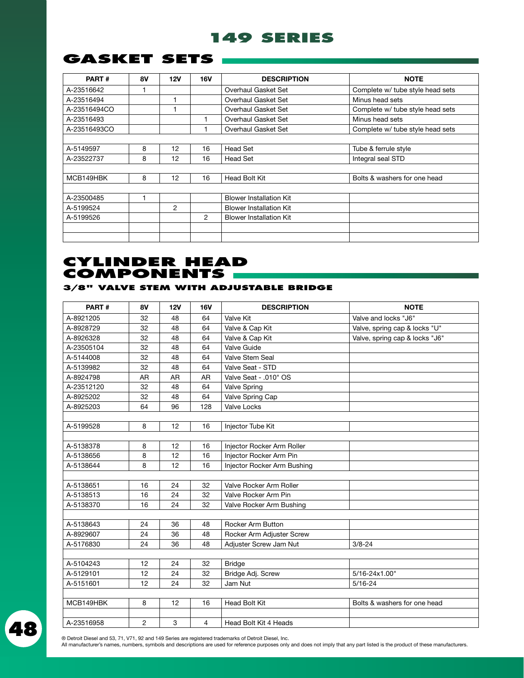## **GASKET SETS**

| PART#        | <b>8V</b> | 12V            | <b>16V</b>     | <b>DESCRIPTION</b>             | <b>NOTE</b>                      |
|--------------|-----------|----------------|----------------|--------------------------------|----------------------------------|
| A-23516642   |           |                |                | Overhaul Gasket Set            | Complete w/ tube style head sets |
| A-23516494   |           |                |                | Overhaul Gasket Set            | Minus head sets                  |
| A-23516494CO |           |                |                | Overhaul Gasket Set            | Complete w/ tube style head sets |
| A-23516493   |           |                |                | Overhaul Gasket Set            | Minus head sets                  |
| A-23516493CO |           |                |                | Overhaul Gasket Set            | Complete w/ tube style head sets |
|              |           |                |                |                                |                                  |
| A-5149597    | 8         | 12             | 16             | <b>Head Set</b>                | Tube & ferrule style             |
| A-23522737   | 8         | 12             | 16             | Head Set                       | Integral seal STD                |
|              |           |                |                |                                |                                  |
| MCB149HBK    | 8         | 12             | 16             | <b>Head Bolt Kit</b>           | Bolts & washers for one head     |
|              |           |                |                |                                |                                  |
| A-23500485   | 1         |                |                | <b>Blower Installation Kit</b> |                                  |
| A-5199524    |           | $\overline{2}$ |                | <b>Blower Installation Kit</b> |                                  |
| A-5199526    |           |                | $\overline{2}$ | <b>Blower Installation Kit</b> |                                  |
|              |           |                |                |                                |                                  |
|              |           |                |                |                                |                                  |

## **cylinder head components**

#### **3/8" VALVE STEM WITH ADJUSTABLE BRIDGE**

| PART#      | 8V             | <b>12V</b> | <b>16V</b>     | <b>DESCRIPTION</b>          | <b>NOTE</b>                    |
|------------|----------------|------------|----------------|-----------------------------|--------------------------------|
| A-8921205  | 32             | 48         | 64             | Valve Kit                   | Valve and locks "J6"           |
| A-8928729  | 32             | 48         | 64             | Valve & Cap Kit             | Valve, spring cap & locks "U"  |
| A-8926328  | 32             | 48         | 64             | Valve & Cap Kit             | Valve, spring cap & locks "J6" |
| A-23505104 | 32             | 48         | 64             | Valve Guide                 |                                |
| A-5144008  | 32             | 48         | 64             | Valve Stem Seal             |                                |
| A-5139982  | 32             | 48         | 64             | Valve Seat - STD            |                                |
| A-8924798  | <b>AR</b>      | <b>AR</b>  | <b>AR</b>      | Valve Seat - .010" OS       |                                |
| A-23512120 | 32             | 48         | 64             | Valve Spring                |                                |
| A-8925202  | 32             | 48         | 64             | Valve Spring Cap            |                                |
| A-8925203  | 64             | 96         | 128            | <b>Valve Locks</b>          |                                |
|            |                |            |                |                             |                                |
| A-5199528  | 8              | 12         | 16             | Injector Tube Kit           |                                |
|            |                |            |                |                             |                                |
| A-5138378  | 8              | 12         | 16             | Injector Rocker Arm Roller  |                                |
| A-5138656  | 8              | 12         | 16             | Injector Rocker Arm Pin     |                                |
| A-5138644  | 8              | 12         | 16             | Injector Rocker Arm Bushing |                                |
|            |                |            |                |                             |                                |
| A-5138651  | 16             | 24         | 32             | Valve Rocker Arm Roller     |                                |
| A-5138513  | 16             | 24         | 32             | Valve Rocker Arm Pin        |                                |
| A-5138370  | 16             | 24         | 32             | Valve Rocker Arm Bushing    |                                |
|            |                |            |                |                             |                                |
| A-5138643  | 24             | 36         | 48             | Rocker Arm Button           |                                |
| A-8929607  | 24             | 36         | 48             | Rocker Arm Adjuster Screw   |                                |
| A-5176830  | 24             | 36         | 48             | Adjuster Screw Jam Nut      | $3/8 - 24$                     |
|            |                |            |                |                             |                                |
| A-5104243  | 12             | 24         | 32             | <b>Bridge</b>               |                                |
| A-5129101  | 12             | 24         | 32             | Bridge Adj. Screw           | 5/16-24x1.00"                  |
| A-5151601  | 12             | 24         | 32             | Jam Nut                     | $5/16 - 24$                    |
|            |                |            |                |                             |                                |
| MCB149HBK  | 8              | 12         | 16             | <b>Head Bolt Kit</b>        | Bolts & washers for one head   |
|            |                |            |                |                             |                                |
| A-23516958 | $\overline{2}$ | 3          | $\overline{4}$ | Head Bolt Kit 4 Heads       |                                |

**48**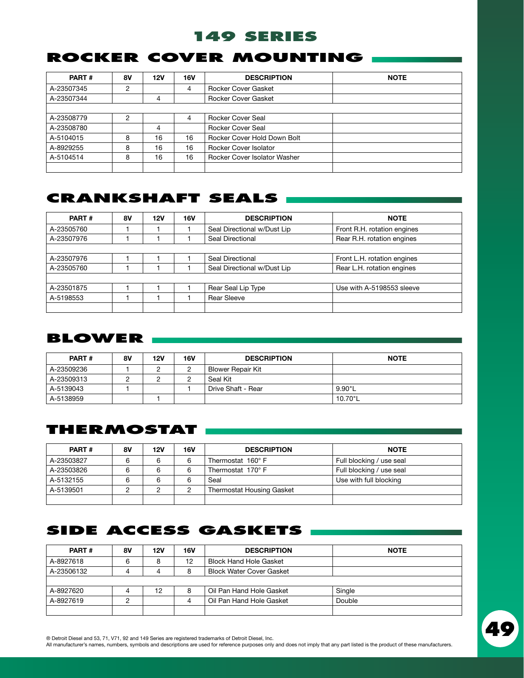## **ROCKER COVER MOUNTING**

| PART#      | 8V | 12V | 16V | <b>DESCRIPTION</b>           | <b>NOTE</b> |
|------------|----|-----|-----|------------------------------|-------------|
| A-23507345 | 2  |     | 4   | <b>Rocker Cover Gasket</b>   |             |
| A-23507344 |    | 4   |     | <b>Rocker Cover Gasket</b>   |             |
|            |    |     |     |                              |             |
| A-23508779 | 2  |     | 4   | <b>Rocker Cover Seal</b>     |             |
| A-23508780 |    | 4   |     | <b>Rocker Cover Seal</b>     |             |
| A-5104015  | 8  | 16  | 16  | Rocker Cover Hold Down Bolt  |             |
| A-8929255  | 8  | 16  | 16  | Rocker Cover Isolator        |             |
| A-5104514  | 8  | 16  | 16  | Rocker Cover Isolator Washer |             |
|            |    |     |     |                              |             |

## **CRAnkshaft seals**

| PART#      | 8V | <b>12V</b> | <b>16V</b> | <b>DESCRIPTION</b>          | <b>NOTE</b>                 |
|------------|----|------------|------------|-----------------------------|-----------------------------|
| A-23505760 |    |            |            | Seal Directional w/Dust Lip | Front R.H. rotation engines |
| A-23507976 |    |            |            | Seal Directional            | Rear R.H. rotation engines  |
|            |    |            |            |                             |                             |
| A-23507976 |    |            |            | Seal Directional            | Front L.H. rotation engines |
| A-23505760 |    |            |            | Seal Directional w/Dust Lip | Rear L.H. rotation engines  |
|            |    |            |            |                             |                             |
| A-23501875 |    |            |            | Rear Seal Lip Type          | Use with A-5198553 sleeve   |
| A-5198553  |    |            |            | <b>Rear Sleeve</b>          |                             |
|            |    |            |            |                             |                             |

## **blower**

| PART#      | 8V | <b>12V</b> | <b>16V</b> | <b>DESCRIPTION</b> | <b>NOTE</b> |
|------------|----|------------|------------|--------------------|-------------|
| A-23509236 |    |            |            | Blower Repair Kit  |             |
| A-23509313 |    |            |            | Seal Kit           |             |
| A-5139043  |    |            |            | Drive Shaft - Rear | 9.90"L      |
| A-5138959  |    |            |            |                    | 10.70"L     |

## **thermostat**

| PART#      | 8V | <b>12V</b> | 16V | <b>DESCRIPTION</b>        | <b>NOTE</b>              |
|------------|----|------------|-----|---------------------------|--------------------------|
| A-23503827 | 6  | 6          | 6   | Thermostat 160°F          | Full blocking / use seal |
| A-23503826 | 6  | 6          | 6   | Thermostat 170° F         | Full blocking / use seal |
| A-5132155  | 6  | 6          | 6   | Seal                      | Use with full blocking   |
| A-5139501  |    |            |     | Thermostat Housing Gasket |                          |
|            |    |            |     |                           |                          |

## **side access gaskets**

| PART#      | 8V | 12V | 16V       | <b>DESCRIPTION</b>              | <b>NOTE</b> |
|------------|----|-----|-----------|---------------------------------|-------------|
| A-8927618  | 6  | 8   | 12        | <b>Block Hand Hole Gasket</b>   |             |
| A-23506132 | 4  |     |           | <b>Block Water Cover Gasket</b> |             |
|            |    |     |           |                                 |             |
| A-8927620  | 4  | 12  | 8         | Oil Pan Hand Hole Gasket        | Single      |
| A-8927619  | ∩  |     | $\Lambda$ | Oil Pan Hand Hole Gasket        | Double      |
|            |    |     |           |                                 |             |

® Detroit Diesel and 53, 71, V71, 92 and 149 Series are registered trademarks of Detroit Diesel, Inc.

All manufacturer's names, numbers, symbols and descriptions are used for reference purposes only and does not imply that any part listed is the product of these manufacturers.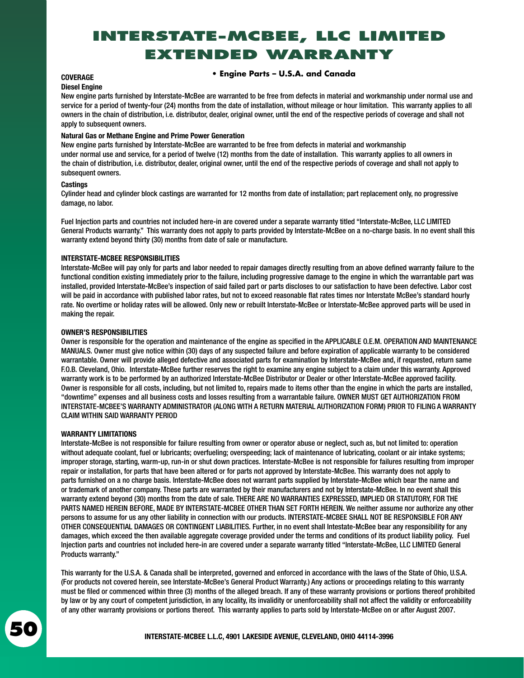## **Interstate-McBee, LLC LIMITED extended Warranty**

#### **• Engine Parts – U.S.A. and Canada**

#### COVERAGE

#### Diesel Engine

New engine parts furnished by Interstate-McBee are warranted to be free from defects in material and workmanship under normal use and service for a period of twenty-four (24) months from the date of installation, without mileage or hour limitation. This warranty applies to all owners in the chain of distribution, i.e. distributor, dealer, original owner, until the end of the respective periods of coverage and shall not apply to subsequent owners.

#### Natural Gas or Methane Engine and Prime Power Generation

New engine parts furnished by Interstate-McBee are warranted to be free from defects in material and workmanship under normal use and service, for a period of twelve (12) months from the date of installation. This warranty applies to all owners in the chain of distribution, i.e. distributor, dealer, original owner, until the end of the respective periods of coverage and shall not apply to subsequent owners.

#### **Castings**

Cylinder head and cylinder block castings are warranted for 12 months from date of installation; part replacement only, no progressive damage, no labor.

Fuel Injection parts and countries not included here-in are covered under a separate warranty titled "Interstate-McBee, LLC LIMITED General Products warranty." This warranty does not apply to parts provided by Interstate-McBee on a no-charge basis. In no event shall this warranty extend beyond thirty (30) months from date of sale or manufacture.

#### INTERSTATE-MCBEE RESPONSIBILITIES

Interstate-McBee will pay only for parts and labor needed to repair damages directly resulting from an above defined warranty failure to the functional condition existing immediately prior to the failure, including progressive damage to the engine in which the warrantable part was installed, provided Interstate-McBee's inspection of said failed part or parts discloses to our satisfaction to have been defective. Labor cost will be paid in accordance with published labor rates, but not to exceed reasonable flat rates times nor Interstate McBee's standard hourly rate. No overtime or holiday rates will be allowed. Only new or rebuilt Interstate-McBee or Interstate-McBee approved parts will be used in making the repair.

#### OWNER'S RESPONSIBILITIES

Owner is responsible for the operation and maintenance of the engine as specified in the APPLICABLE O.E.M. OPERATION AND MAINTENANCE MANUALS. Owner must give notice within (30) days of any suspected failure and before expiration of applicable warranty to be considered warrantable. Owner will provide alleged defective and associated parts for examination by Interstate-McBee and, if requested, return same F.O.B. Cleveland, Ohio. Interstate-McBee further reserves the right to examine any engine subject to a claim under this warranty. Approved warranty work is to be performed by an authorized Interstate-McBee Distributor or Dealer or other Interstate-McBee approved facility. Owner is responsible for all costs, including, but not limited to, repairs made to items other than the engine in which the parts are installed, "downtime" expenses and all business costs and losses resulting from a warrantable failure. OWNER MUST GET AUTHORIZATION FROM INTERSTATE-MCBEE'S WARRANTY ADMINISTRATOR (ALONG WITH A RETURN MATERIAL AUTHORIZATION FORM) PRIOR TO FILING A WARRANTY CLAIM WITHIN SAID WARRANTY PERIOD

#### WARRANTY LIMITATIONS

**50**

Interstate-McBee is not responsible for failure resulting from owner or operator abuse or neglect, such as, but not limited to: operation without adequate coolant, fuel or lubricants; overfueling; overspeeding; lack of maintenance of lubricating, coolant or air intake systems; improper storage, starting, warm-up, run-in or shut down practices. Interstate-McBee is not responsible for failures resulting from improper repair or installation, for parts that have been altered or for parts not approved by Interstate-McBee. This warranty does not apply to parts furnished on a no charge basis. Interstate-McBee does not warrant parts supplied by Interstate-McBee which bear the name and or trademark of another company. These parts are warranted by their manufacturers and not by Interstate-McBee. In no event shall this warranty extend beyond (30) months from the date of sale. THERE ARE NO WARRANTIES EXPRESSED, IMPLIED OR STATUTORY, FOR THE PARTS NAMED HEREIN BEFORE, MADE BY INTERSTATE-MCBEE OTHER THAN SET FORTH HEREIN. We neither assume nor authorize any other persons to assume for us any other liability in connection with our products. INTERSTATE-MCBEE SHALL NOT BE RESPONSIBLE FOR ANY OTHER CONSEQUENTIAL DAMAGES OR CONTINGENT LIABILITIES. Further, in no event shall Intestate-McBee bear any responsibility for any damages, which exceed the then available aggregate coverage provided under the terms and conditions of its product liability policy. Fuel Injection parts and countries not included here-in are covered under a separate warranty titled "Interstate-McBee, LLC LIMITED General Products warranty."

This warranty for the U.S.A. & Canada shall be interpreted, governed and enforced in accordance with the laws of the State of Ohio, U.S.A. (For products not covered herein, see Interstate-McBee's General Product Warranty.) Any actions or proceedings relating to this warranty must be filed or commenced within three (3) months of the alleged breach. If any of these warranty provisions or portions thereof prohibited by law or by any court of competent jurisdiction, in any locality, its invalidity or unenforceability shall not affect the validity or enforceability of any other warranty provisions or portions thereof. This warranty applies to parts sold by Interstate-McBee on or after August 2007.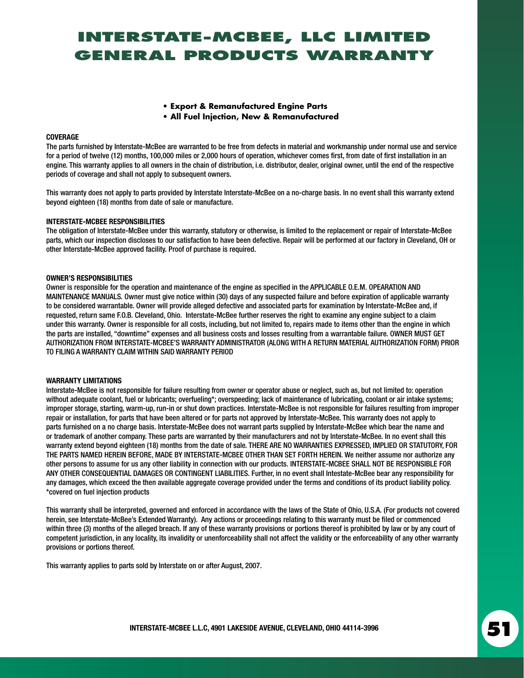## **Interstate-McBee, LLC LIMITED General Products Warranty**

#### **• Export & Remanufactured Engine Parts**

**• All Fuel Injection, New & Remanufactured**

#### **COVERAGE**

The parts furnished by Interstate-McBee are warranted to be free from defects in material and workmanship under normal use and service for a period of twelve (12) months, 100,000 miles or 2,000 hours of operation, whichever comes first, from date of first installation in an engine. This warranty applies to all owners in the chain of distribution, i.e. distributor, dealer, original owner, until the end of the respective periods of coverage and shall not apply to subsequent owners.

This warranty does not apply to parts provided by Interstate Interstate-McBee on a no-charge basis. In no event shall this warranty extend beyond eighteen (18) months from date of sale or manufacture.

#### INTERSTATE-MCBEE RESPONSIBILITIES

The obligation of Interstate-McBee under this warranty, statutory or otherwise, is limited to the replacement or repair of Interstate-McBee parts, which our inspection discloses to our satisfaction to have been defective. Repair will be performed at our factory in Cleveland, OH or other Interstate-McBee approved facility. Proof of purchase is required.

#### OWNER'S RESPONSIBILITIES

Owner is responsible for the operation and maintenance of the engine as specified in the APPLICABLE O.E.M. OPEARATION AND MAINTENANCE MANUALS. Owner must give notice within (30) days of any suspected failure and before expiration of applicable warranty to be considered warrantable. Owner will provide alleged defective and associated parts for examination by Interstate-McBee and, if requested, return same F.O.B. Cleveland, Ohio. Interstate-McBee further reserves the right to examine any engine subject to a claim under this warranty. Owner is responsible for all costs, including, but not limited to, repairs made to items other than the engine in which the parts are installed, "downtime" expenses and all business costs and losses resulting from a warrantable failure. OWNER MUST GET AUTHORIZATION FROM INTERSTATE-MCBEE'S WARRANTY ADMINISTRATOR (ALONG WITH A RETURN MATERIAL AUTHORIZATION FORM) PRIOR TO FILING A WARRANTY CLAIM WITHIN SAID WARRANTY PERIOD

#### WARRANTY I IMITATIONS

Interstate-McBee is not responsible for failure resulting from owner or operator abuse or neglect, such as, but not limited to: operation without adequate coolant, fuel or lubricants; overfueling\*; overspeeding; lack of maintenance of lubricating, coolant or air intake systems; improper storage, starting, warm-up, run-in or shut down practices. Interstate-McBee is not responsible for failures resulting from improper repair or installation, for parts that have been altered or for parts not approved by Interstate-McBee. This warranty does not apply to parts furnished on a no charge basis. Interstate-McBee does not warrant parts supplied by Interstate-McBee which bear the name and or trademark of another company. These parts are warranted by their manufacturers and not by Interstate-McBee. In no event shall this warranty extend beyond eighteen (18) months from the date of sale. THERE ARE NO WARRANTIES EXPRESSED, IMPLIED OR STATUTORY, FOR THE PARTS NAMED HEREIN BEFORE, MADE BY INTERSTATE-MCBEE OTHER THAN SET FORTH HEREIN. We neither assume nor authorize any other persons to assume for us any other liability in connection with our products. INTERSTATE-MCBEE SHALL NOT BE RESPONSIBLE FOR ANY OTHER CONSEQUENTIAL DAMAGES OR CONTINGENT LIABILITIES. Further, in no event shall Intestate-McBee bear any responsibility for any damages, which exceed the then available aggregate coverage provided under the terms and conditions of its product liability policy. \*covered on fuel injection products

This warranty shall be interpreted, governed and enforced in accordance with the laws of the State of Ohio, U.S.A. (For products not covered herein, see Interstate-McBee's Extended Warranty). Any actions or proceedings relating to this warranty must be filed or commenced within three (3) months of the alleged breach. If any of these warranty provisions or portions thereof is prohibited by law or by any court of competent jurisdiction, in any locality, its invalidity or unenforceability shall not affect the validity or the enforceability of any other warranty provisions or portions thereof.

This warranty applies to parts sold by Interstate on or after August, 2007.